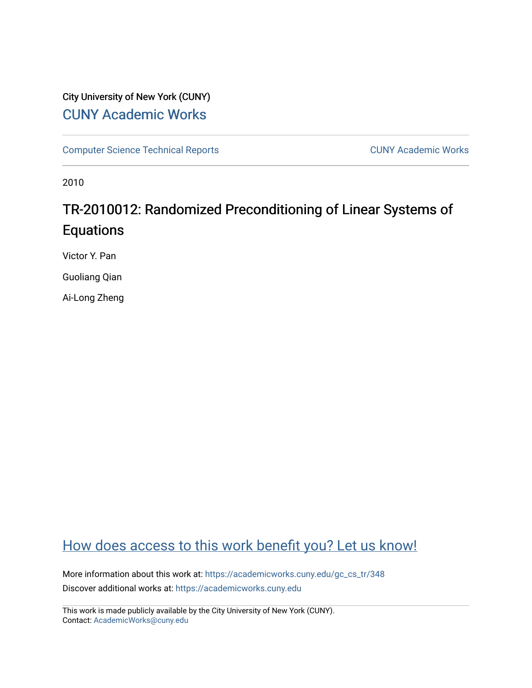# City University of New York (CUNY) [CUNY Academic Works](https://academicworks.cuny.edu/)

[Computer Science Technical Reports](https://academicworks.cuny.edu/gc_cs_tr) **CUNY Academic Works** CUNY Academic Works

2010

# TR-2010012: Randomized Preconditioning of Linear Systems of Equations

Victor Y. Pan

Guoliang Qian

Ai-Long Zheng

# [How does access to this work benefit you? Let us know!](http://ols.cuny.edu/academicworks/?ref=https://academicworks.cuny.edu/gc_cs_tr/348)

More information about this work at: [https://academicworks.cuny.edu/gc\\_cs\\_tr/348](https://academicworks.cuny.edu/gc_cs_tr/348)  Discover additional works at: [https://academicworks.cuny.edu](https://academicworks.cuny.edu/?)

This work is made publicly available by the City University of New York (CUNY). Contact: [AcademicWorks@cuny.edu](mailto:AcademicWorks@cuny.edu)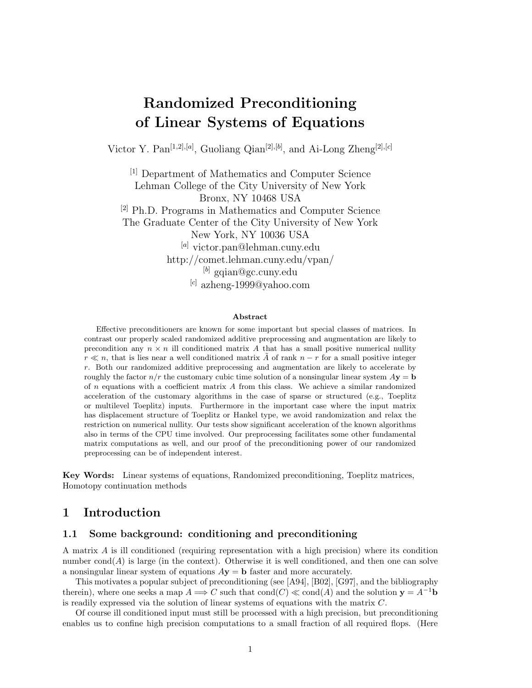# **Randomized Preconditioning of Linear Systems of Equations**

Victor Y. Pan[1*,*2]*,*[*a*] , Guoliang Qian[2]*,*[*b*] , and Ai-Long Zheng[2]*,*[*c*]

[1] Department of Mathematics and Computer Science Lehman College of the City University of New York Bronx, NY 10468 USA [2] Ph.D. Programs in Mathematics and Computer Science The Graduate Center of the City University of New York New York, NY 10036 USA [*a*] victor.pan@lehman.cuny.edu http://comet.lehman.cuny.edu/vpan/ [*b*] gqian@gc.cuny.edu [*c*] azheng-1999@yahoo.com

#### **Abstract**

Effective preconditioners are known for some important but special classes of matrices. In contrast our properly scaled randomized additive preprocessing and augmentation are likely to precondition any  $n \times n$  ill conditioned matrix A that has a small positive numerical nullity  $r \ll n$ , that is lies near a well conditioned matrix  $\overline{A}$  of rank  $n-r$  for a small positive integer *r*. Both our randomized additive preprocessing and augmentation are likely to accelerate by roughly the factor  $n/r$  the customary cubic time solution of a nonsingular linear system  $Ay = b$ of *n* equations with a coefficient matrix *A* from this class. We achieve a similar randomized acceleration of the customary algorithms in the case of sparse or structured (e.g., Toeplitz or multilevel Toeplitz) inputs. Furthermore in the important case where the input matrix has displacement structure of Toeplitz or Hankel type, we avoid randomization and relax the restriction on numerical nullity. Our tests show significant acceleration of the known algorithms also in terms of the CPU time involved. Our preprocessing facilitates some other fundamental matrix computations as well, and our proof of the preconditioning power of our randomized preprocessing can be of independent interest.

**Key Words:** Linear systems of equations, Randomized preconditioning, Toeplitz matrices, Homotopy continuation methods

# **1 Introduction**

## **1.1 Some background: conditioning and preconditioning**

A matrix *A* is ill conditioned (requiring representation with a high precision) where its condition number  $cond(A)$  is large (in the context). Otherwise it is well conditioned, and then one can solve a nonsingular linear system of equations *A***y** = **b** faster and more accurately.

This motivates a popular subject of preconditioning (see [A94], [B02], [G97], and the bibliography therein), where one seeks a map  $A \Longrightarrow C$  such that  $cond(C) \ll cond(A)$  and the solution  $y = A^{-1}b$ is readily expressed via the solution of linear systems of equations with the matrix *C*.

Of course ill conditioned input must still be processed with a high precision, but preconditioning enables us to confine high precision computations to a small fraction of all required flops. (Here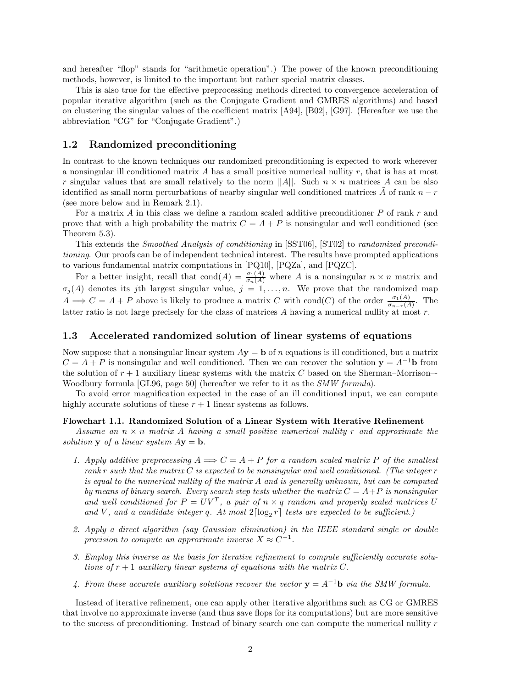and hereafter "flop" stands for "arithmetic operation".) The power of the known preconditioning methods, however, is limited to the important but rather special matrix classes.

This is also true for the effective preprocessing methods directed to convergence acceleration of popular iterative algorithm (such as the Conjugate Gradient and GMRES algorithms) and based on clustering the singular values of the coefficient matrix [A94], [B02], [G97]. (Hereafter we use the abbreviation "CG" for "Conjugate Gradient".)

## **1.2 Randomized preconditioning**

In contrast to the known techniques our randomized preconditioning is expected to work wherever a nonsingular ill conditioned matrix *A* has a small positive numerical nullity *r*, that is has at most *r* singular values that are small relatively to the norm  $||A||$ . Such  $n \times n$  matrices *A* can be also identified as small norm perturbations of nearby singular well conditioned matrices  $\vec{A}$  of rank  $\vec{n} - \vec{r}$ (see more below and in Remark 2.1).

For a matrix *A* in this class we define a random scaled additive preconditioner *P* of rank *r* and prove that with a high probability the matrix  $C = A + P$  is nonsingular and well conditioned (see Theorem 5.3).

This extends the *Smoothed Analysis of conditioning* in [SST06], [ST02] to *randomized preconditioning*. Our proofs can be of independent technical interest. The results have prompted applications to various fundamental matrix computations in [PQ10], [PQZa], and [PQZC].

For a better insight, recall that cond $(A) = \frac{\sigma_1(A)}{\sigma_n(A)}$  where *A* is a nonsingular  $n \times n$  matrix and  $\sigma_j(A)$  denotes its *j*th largest singular value,  $j = 1, \ldots, n$ . We prove that the randomized map  $A \implies C = A + P$  above is likely to produce a matrix *C* with cond(*C*) of the order  $\frac{\sigma_1(A)}{\sigma_{n-r}(A)}$ . The latter ratio is not large precisely for the class of matrices *A* having a numerical nullity at most *r*.

#### **1.3 Accelerated randomized solution of linear systems of equations**

Now suppose that a nonsingular linear system  $A$ **y** = **b** of *n* equations is ill conditioned, but a matrix  $C = A + P$  is nonsingular and well conditioned. Then we can recover the solution **y** =  $A^{-1}$ **b** from the solution of  $r + 1$  auxiliary linear systems with the matrix  $C$  based on the Sherman–Morrison– Woodbury formula [GL96, page 50] (hereafter we refer to it as the *SMW formula*).

To avoid error magnification expected in the case of an ill conditioned input, we can compute highly accurate solutions of these  $r + 1$  linear systems as follows.

#### **Flowchart 1.1. Randomized Solution of a Linear System with Iterative Refinement**

*Assume an n* × *n matrix A having a small positive numerical nullity r and approximate the solution* **y** *of a linear system*  $A$ **y** = **b**.

- 1. Apply additive preprocessing  $A \implies C = A + P$  for a random scaled matrix P of the smallest *rank r such that the matrix C is expected to be nonsingular and well conditioned. (The integer r is equal to the numerical nullity of the matrix A and is generally unknown, but can be computed by means of binary search. Every search step tests whether the matrix*  $C = A + P$  *is nonsingular* and well conditioned for  $P = UV^T$ , a pair of  $n \times q$  random and properly scaled matrices U and *V*, and a candidate integer *q*. At most  $2\lceil \log_2 r \rceil$  tests are expected to be sufficient.)
- *2. Apply a direct algorithm (say Gaussian elimination) in the IEEE standard single or double precision to compute an approximate inverse*  $X \approx C^{-1}$ .
- *3. Employ this inverse as the basis for iterative refinement to compute sufficiently accurate solutions of*  $r + 1$  *auxiliary linear systems of equations with the matrix*  $C$ *.*
- *4. From these accurate auxiliary solutions recover the vector* **y** = *A*−<sup>1</sup>**b** *via the SMW formula.*

Instead of iterative refinement, one can apply other iterative algorithms such as CG or GMRES that involve no approximate inverse (and thus save flops for its computations) but are more sensitive to the success of preconditioning. Instead of binary search one can compute the numerical nullity *r*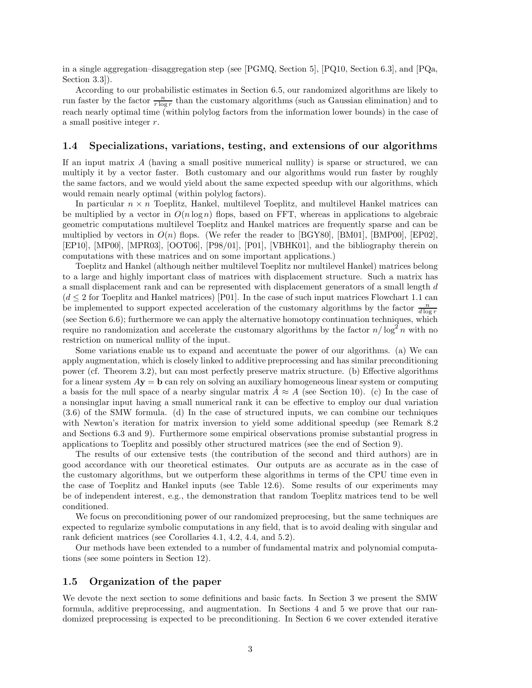in a single aggregation–disaggregation step (see [PGMQ, Section 5], [PQ10, Section 6.3], and [PQa, Section 3.3]).

According to our probabilistic estimates in Section 6.5, our randomized algorithms are likely to run faster by the factor  $\frac{n}{r \log r}$  than the customary algorithms (such as Gaussian elimination) and to reach nearly optimal time (within polylog factors from the information lower bounds) in the case of a small positive integer *r*.

## **1.4 Specializations, variations, testing, and extensions of our algorithms**

If an input matrix *A* (having a small positive numerical nullity) is sparse or structured, we can multiply it by a vector faster. Both customary and our algorithms would run faster by roughly the same factors, and we would yield about the same expected speedup with our algorithms, which would remain nearly optimal (within polylog factors).

In particular  $n \times n$  Toeplitz, Hankel, multilevel Toeplitz, and multilevel Hankel matrices can be multiplied by a vector in  $O(n \log n)$  flops, based on FFT, whereas in applications to algebraic geometric computations multilevel Toeplitz and Hankel matrices are frequently sparse and can be multiplied by vectors in  $O(n)$  flops. (We refer the reader to [BGY80], [BM01], [BMP00], [EP02], [EP10], [MP00], [MPR03], [OOT06], [P98/01], [P01], [VBHK01], and the bibliography therein on computations with these matrices and on some important applications.)

Toeplitz and Hankel (although neither multilevel Toeplitz nor multilevel Hankel) matrices belong to a large and highly important class of matrices with displacement structure. Such a matrix has a small displacement rank and can be represented with displacement generators of a small length *d*  $(d \leq 2$  for Toeplitz and Hankel matrices) [P01]. In the case of such input matrices Flowchart 1.1 can be implemented to support expected acceleration of the customary algorithms by the factor  $\frac{n}{d \log r}$ (see Section 6.6); furthermore we can apply the alternative homotopy continuation techniques, which require no randomization and accelerate the customary algorithms by the factor  $n/\log^2 n$  with no restriction on numerical nullity of the input.

Some variations enable us to expand and accentuate the power of our algorithms. (a) We can apply augmentation, which is closely linked to additive preprocessing and has similar preconditioning power (cf. Theorem 3.2), but can most perfectly preserve matrix structure. (b) Effective algorithms for a linear system *A***y** = **b** can rely on solving an auxiliary homogeneous linear system or computing a basis for the null space of a nearby singular matrix  $A \approx A$  (see Section 10). (c) In the case of a nonsinglar input having a small numerical rank it can be effective to employ our dual variation (3.6) of the SMW formula. (d) In the case of structured inputs, we can combine our techniques with Newton's iteration for matrix inversion to yield some additional speedup (see Remark 8.2) and Sections 6.3 and 9). Furthermore some empirical observations promise substantial progress in applications to Toeplitz and possibly other structured matrices (see the end of Section 9).

The results of our extensive tests (the contribution of the second and third authors) are in good accordance with our theoretical estimates. Our outputs are as accurate as in the case of the customary algorithms, but we outperform these algorithms in terms of the CPU time even in the case of Toeplitz and Hankel inputs (see Table 12.6). Some results of our experiments may be of independent interest, e.g., the demonstration that random Toeplitz matrices tend to be well conditioned.

We focus on preconditioning power of our randomized preprocesing, but the same techniques are expected to regularize symbolic computations in any field, that is to avoid dealing with singular and rank deficient matrices (see Corollaries 4.1, 4.2, 4.4, and 5.2).

Our methods have been extended to a number of fundamental matrix and polynomial computations (see some pointers in Section 12).

#### **1.5 Organization of the paper**

We devote the next section to some definitions and basic facts. In Section 3 we present the SMW formula, additive preprocessing, and augmentation. In Sections 4 and 5 we prove that our randomized preprocessing is expected to be preconditioning. In Section 6 we cover extended iterative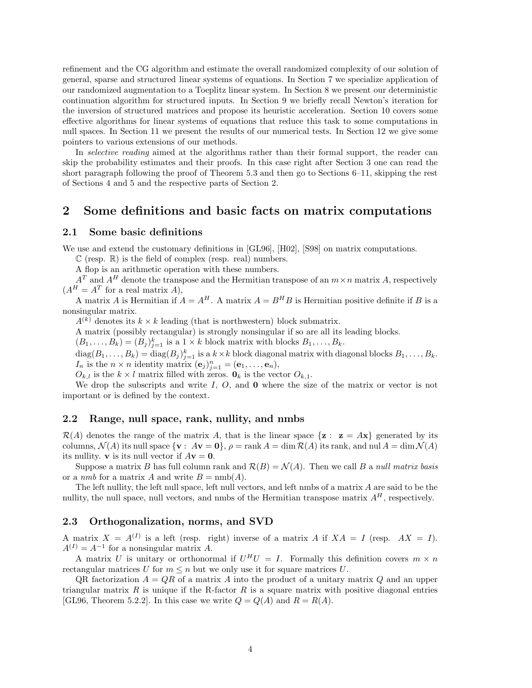refinement and the CG algorithm and estimate the overall randomized complexity of our solution of general, sparse and structured linear systems of equations. In Section 7 we specialize application of our randomized augmentation to a Toeplitz linear system. In Section 8 we present our deterministic continuation algorithm for structured inputs. In Section 9 we briefly recall Newton's iteration for the inversion of structured matrices and propose its heuristic acceleration. Section 10 covers some effective algorithms for linear systems of equations that reduce this task to some computations in null spaces. In Section 11 we present the results of our numerical tests. In Section 12 we give some pointers to various extensions of our methods.

In *selective reading* aimed at the algorithms rather than their formal support, the reader can skip the probability estimates and their proofs. In this case right after Section 3 one can read the short paragraph following the proof of Theorem 5.3 and then go to Sections 6–11, skipping the rest of Sections 4 and 5 and the respective parts of Section 2.

# **2 Some definitions and basic facts on matrix computations**

### **2.1 Some basic definitions**

We use and extend the customary definitions in [GL96], [H02], [S98] on matrix computations.

 $\mathbb C$  (resp.  $\mathbb R$ ) is the field of complex (resp. real) numbers.

A flop is an arithmetic operation with these numbers.

 $A<sup>T</sup>$  and  $A<sup>H</sup>$  denote the transpose and the Hermitian transpose of an  $m \times n$  matrix *A*, respectively  $(A^H = A^T$  for a real matrix *A*),

A matrix *A* is Hermitian if  $A = A^H$ . A matrix  $A = B^H B$  is Hermitian positive definite if *B* is a nonsingular matrix.

 $A^{(k)}$  denotes its  $k \times k$  leading (that is northwestern) block submatrix.

A matrix (possibly rectangular) is strongly nonsingular if so are all its leading blocks.

 $(B_1, \ldots, B_k) = (B_j)_{j=1}^k$  is a  $1 \times k$  block matrix with blocks  $B_1, \ldots, B_k$ .

 $\text{diag}(B_1,\ldots,B_k) = \text{diag}(B_j)_{j=1}^k$  is a  $k \times k$  block diagonal matrix with diagonal blocks  $B_1,\ldots,B_k$ . *I<sub>n</sub>* is the  $n \times n$  identity matrix  $(\mathbf{e}_j)_{j=1}^n = (\mathbf{e}_1, \ldots, \mathbf{e}_n)$ ,

 $O_{k,l}$  is the  $k \times l$  matrix filled with zeros.  $\mathbf{0}_k$  is the vector  $O_{k,1}$ .

We drop the subscripts and write *I*, *O*, and **0** where the size of the matrix or vector is not important or is defined by the context.

### **2.2 Range, null space, rank, nullity, and nmbs**

 $\mathcal{R}(A)$  denotes the range of the matrix A, that is the linear space  $\{z : z = Ax\}$  generated by its columns,  $\mathcal{N}(A)$  its null space  $\{v : Av = 0\}, \rho = \text{rank } A = \dim \mathcal{R}(A)$  its rank, and nul  $A = \dim \mathcal{N}(A)$ its nullity. **v** is its null vector if  $A$ **v** = **0**.

Suppose a matrix *B* has full column rank and  $\mathcal{R}(B) = \mathcal{N}(A)$ . Then we call *B* a *null matrix basis* or a *nmb* for a matrix *A* and write  $B = \text{nmb}(A)$ .

The left nullity, the left null space, left null vectors, and left nmbs of a matrix *A* are said to be the nullity, the null space, null vectors, and nmbs of the Hermitian transpose matrix  $A<sup>H</sup>$ , respectively.

#### **2.3 Orthogonalization, norms, and SVD**

A matrix  $X = A^{(I)}$  is a left (resp. right) inverse of a matrix A if  $XA = I$  (resp.  $AX = I$ ).  $A^{(I)} = A^{-1}$  for a nonsingular matrix *A*.

A matrix *U* is unitary or orthonormal if  $U^H U = I$ . Formally this definition covers  $m \times n$ rectangular matrices *U* for  $m \leq n$  but we only use it for square matrices *U*.

QR factorization *A* = *QR* of a matrix *A* into the product of a unitary matrix *Q* and an upper triangular matrix  $R$  is unique if the R-factor  $R$  is a square matrix with positive diagonal entries [GL96, Theorem 5.2.2]. In this case we write  $Q = Q(A)$  and  $R = R(A)$ .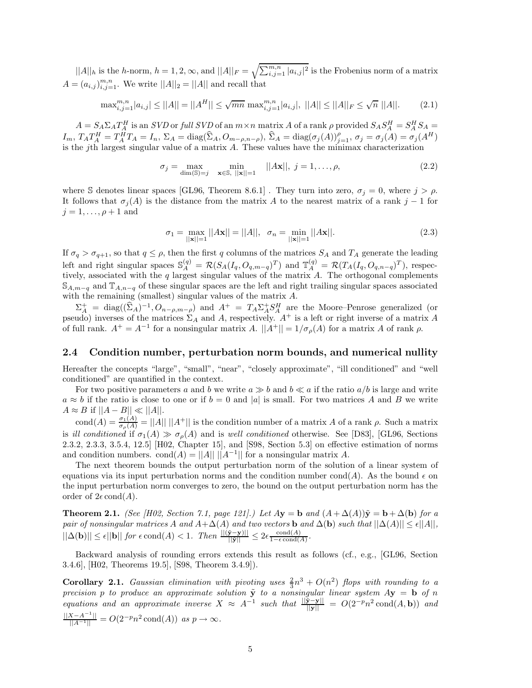$||A||_h$  is the *h*-norm,  $h = 1, 2, \infty$ , and  $||A||_F = \sqrt{\sum_{i,j=1}^{m,n} |a_{i,j}|^2}$  is the Frobenius norm of a matrix  $A = (a_{i,j})_{i,j=1}^{m,n}$ . We write  $||A||_2 = ||A||$  and recall that

$$
\max_{i,j=1}^{m,n} |a_{i,j}| \le ||A|| = ||A^H|| \le \sqrt{mn} \max_{i,j=1}^{m,n} |a_{i,j}|, ||A|| \le ||A||_F \le \sqrt{n} ||A||. \tag{2.1}
$$

 $A = S_A \Sigma_A T_A^H$  is an SVD or full SVD of an  $m \times n$  matrix A of a rank  $\rho$  provided  $S_A S_A^H = S_A^H S_A =$  $I_m$ ,  $T_A T_A^H = T_A^{\hat{H}} T_A = I_n$ ,  $\Sigma_A = \text{diag}(\hat{\Sigma}_A, O_{m-\rho,n-\rho}),$   $\hat{\Sigma}_A = \text{diag}(\sigma_j(A))_{j=1}^{\rho},$   $\sigma_j = \sigma_j(A) = \sigma_j(A^H)$ is the *j*th largest singular value of a matrix *A*. These values have the minimax characterization

$$
\sigma_j = \max_{\dim(\mathbb{S}) = j} \quad \min_{\mathbf{x} \in \mathbb{S}, \ |\mathbf{x}\| = 1} \quad ||A\mathbf{x}||, \ j = 1, \dots, \rho,
$$
\n(2.2)

where S denotes linear spaces [GL96, Theorem 8.6.1]. They turn into zero,  $\sigma_j = 0$ , where  $j > \rho$ . It follows that  $\sigma_j(A)$  is the distance from the matrix *A* to the nearest matrix of a rank *j* − 1 for  $j = 1, \ldots, \rho + 1$  and

$$
\sigma_1 = \max_{||\mathbf{x}||=1} ||A\mathbf{x}|| = ||A||, \quad \sigma_n = \min_{||\mathbf{x}||=1} ||A\mathbf{x}||.
$$
 (2.3)

If  $\sigma_q > \sigma_{q+1}$ , so that  $q \leq \rho$ , then the first *q* columns of the matrices  $S_A$  and  $T_A$  generate the leading left and right singular spaces  $\mathbb{S}_{A}^{(q)} = \mathcal{R}(S_A(I_q, O_{q,m-q})^T)$  and  $\mathbb{T}_{A}^{(q)} = \mathcal{R}(T_A(I_q, O_{q,n-q})^T)$ , respectively, associated with the *q* largest singular values of the matrix *A*. The orthogonal complements  $\mathbb{S}_{A,m-q}$  and  $\mathbb{T}_{A,n-q}$  of these singular spaces are the left and right trailing singular spaces associated with the remaining (smallest) singular values of the matrix *A*.

 $\Sigma_A^+ = \text{diag}((\hat{\Sigma}_A)^{-1}, O_{n-\rho,m-\rho})$  and  $A^+ = T_A \Sigma_A^+ S_A^H$  are the Moore–Penrose generalized (or pseudo) inverses of the matrices  $\Sigma_A$  and A, respectively.  $A^+$  is a left or right inverse of a matrix A of full rank.  $A^+=A^{-1}$  for a nonsingular matrix *A*.  $||A^+||=1/\sigma_{\rho}(A)$  for a matrix *A* of rank  $\rho$ .

# **2.4 Condition number, perturbation norm bounds, and numerical nullity**

Hereafter the concepts "large", "small", "near", "closely approximate", "ill conditioned" and "well conditioned" are quantified in the context.

For two positive parameters a and b we write  $a \gg b$  and  $b \ll a$  if the ratio  $a/b$  is large and write  $a \approx b$  if the ratio is close to one or if  $b = 0$  and |*a*| is small. For two matrices *A* and *B* we write  $A \approx B$  if  $||A - B|| \ll ||A||$ .

cond $(A) = \frac{\sigma_1(A)}{\sigma_\rho(A)} = ||A|| \, ||A^+||$  is the condition number of a matrix *A* of a rank *ρ*. Such a matrix is *ill conditioned* if  $\sigma_1(A) \gg \sigma_\rho(A)$  and is *well conditioned* otherwise. See [D83], [GL96, Sections 2.3.2, 2.3.3, 3.5.4, 12.5] [H02, Chapter 15], and [S98, Section 5.3] on effective estimation of norms and condition numbers. cond $(A) = ||A|| ||A^{-1}||$  for a nonsingular matrix A.

The next theorem bounds the output perturbation norm of the solution of a linear system of equations via its input perturbation norms and the condition number cond(*A*). As the bound  $\epsilon$  on the input perturbation norm converges to zero, the bound on the output perturbation norm has the order of  $2\epsilon \text{cond}(A)$ .

**Theorem 2.1.** *(See [H02, Section 7.1, page 121].) Let*  $A\mathbf{y} = \mathbf{b}$  and  $(A + \Delta(A))\tilde{\mathbf{y}} = \mathbf{b} + \Delta(\mathbf{b})$  for a *pair of nonsingular matrices A and*  $A + \Delta(A)$  *and two vectors* **b** *and*  $\Delta(b)$  *such that*  $||\Delta(A)|| \leq \epsilon ||A||$ *,*  $||\Delta(\mathbf{b})|| \leq \epsilon ||\mathbf{b}||$  *for*  $\epsilon \text{cond}(A) < 1$ *. Then*  $\frac{||(\tilde{\mathbf{y}} - \mathbf{y})||}{||\tilde{\mathbf{y}}||} \leq 2\epsilon \frac{\text{cond}(A)}{1 - \epsilon \text{cond}(A)}$ *.* 

Backward analysis of rounding errors extends this result as follows (cf., e.g., [GL96, Section 3.4.6], [H02, Theorems 19.5], [S98, Theorem 3.4.9]).

**Corollary 2.1.** *Gaussian elimination with pivoting uses*  $\frac{2}{3}n^3 + O(n^2)$  *flops with rounding to a precision p to produce an approximate solution*  $\tilde{y}$  *to a nonsingular linear system*  $A$ **y** = **b** *of n equations and an approximate inverse*  $X \approx A^{-1}$  *such that*  $\frac{\|\tilde{\mathbf{y}} - \mathbf{y}\|}{\|\mathbf{y}\|} = O(2^{-p}n^2 \text{ cond}(A, \mathbf{b}))$  *and*  $\frac{||X-A^{-1}||}{||A^{-1}||} = O(2^{-p}n^2 \text{cond}(A))$  *as*  $p \to \infty$ *.*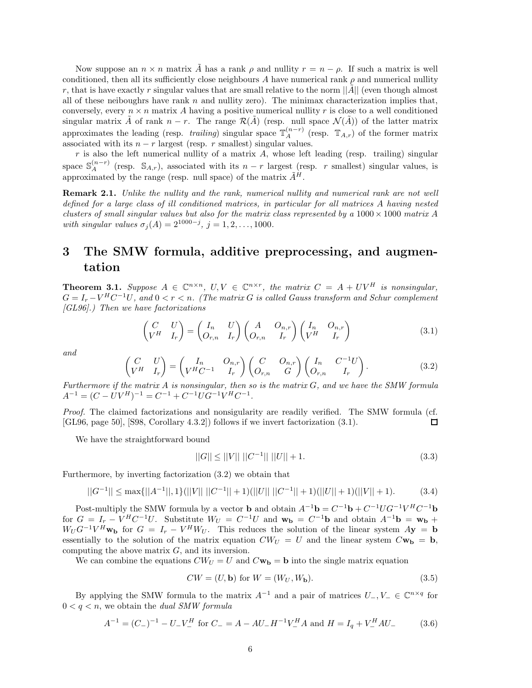Now suppose an  $n \times n$  matrix  $\tilde{A}$  has a rank  $\rho$  and nullity  $r = n - \rho$ . If such a matrix is well conditioned, then all its sufficiently close neighbours A have numerical rank  $\rho$  and numerical nullity *r*, that is have exactly *r* singular values that are small relative to the norm  $||\vec{A}||$  (even though almost all of these neiboughrs have rank *n* and nullity zero). The minimax characterization implies that, conversely, every  $n \times n$  matrix A having a positive numerical nullity r is close to a well conditioned singular matrix  $\tilde{A}$  of rank  $n-r$ . The range  $\mathcal{R}(\tilde{A})$  (resp. null space  $\mathcal{N}(\tilde{A})$ ) of the latter matrix approximates the leading (resp. *trailing*) singular space  $\mathbb{T}_A^{(n-r)}$  (resp.  $\mathbb{T}_{A,r}$ ) of the former matrix associated with its  $n - r$  largest (resp. *r* smallest) singular values.

*r* is also the left numerical nullity of a matrix *A*, whose left leading (resp. trailing) singular space  $\mathbb{S}_{A}^{(n-r)}$  (resp.  $\mathbb{S}_{A,r}$ ), associated with its *n* − *r* largest (resp. *r* smallest) singular values, is approximated by the range (resp. null space) of the matrix  $\tilde{A}^H$ .

**Remark 2.1.** *Unlike the nullity and the rank, numerical nullity and numerical rank are not well defined for a large class of ill conditioned matrices, in particular for all matrices A having nested clusters of small singular values but also for the matrix class represented by a*  $1000 \times 1000$  *matrix A with singular values*  $\sigma_j(A) = 2^{1000-j}$ ,  $j = 1, 2, ..., 1000$ .

# **3 The SMW formula, additive preprocessing, and augmentation**

**Theorem 3.1.** *Suppose*  $A \in \mathbb{C}^{n \times n}$ ,  $U, V \in \mathbb{C}^{n \times r}$ , the matrix  $C = A + UV^H$  is nonsingular,  $G = I_r - V^H C^{-1} U$ , and  $0 \le r \le n$ . (The matrix G is called Gauss transform and Schur complement *[GL96].) Then we have factorizations*

$$
\begin{pmatrix}\nC & U \\
V^H & I_r\n\end{pmatrix} = \begin{pmatrix}\nI_n & U \\
O_{r,n} & I_r\n\end{pmatrix} \begin{pmatrix}\nA & O_{n,r} \\
O_{r,n} & I_r\n\end{pmatrix} \begin{pmatrix}\nI_n & O_{n,r} \\
V^H & I_r\n\end{pmatrix}
$$
\n(3.1)

*and*

$$
\begin{pmatrix} C & U \\ V^H & I_r \end{pmatrix} = \begin{pmatrix} I_n & O_{n,r} \\ V^H C^{-1} & I_r \end{pmatrix} \begin{pmatrix} C & O_{n,r} \\ O_{r,n} & G \end{pmatrix} \begin{pmatrix} I_n & C^{-1}U \\ O_{r,n} & I_r \end{pmatrix}.
$$
 (3.2)

*Furthermore if the matrix A is nonsingular, then so is the matrix G, and we have the SMW formula*  $A^{-1} = (C - UV^H)^{-1} = C^{-1} + C^{-1}UG^{-1}V^H C^{-1}.$ 

*Proof.* The claimed factorizations and nonsigularity are readily verified. The SMW formula (cf. [GL96, page 50], [S98, Corollary 4.3.2]) follows if we invert factorization (3.1). 口

We have the straightforward bound

$$
||G|| \le ||V|| \, ||C^{-1}|| \, ||U|| + 1. \tag{3.3}
$$

Furthermore, by inverting factorization (3.2) we obtain that

$$
||G^{-1}|| \le \max\{||A^{-1}||, 1\} (||V|| \, ||C^{-1}|| + 1) (||U|| \, ||C^{-1}|| + 1) (||U|| + 1) (||V|| + 1). \tag{3.4}
$$

Post-multiply the SMW formula by a vector **b** and obtain  $A^{-1}$ **b** =  $C^{-1}$ **b** +  $C^{-1}UG^{-1}V^HC^{-1}$ **b** for  $G = I_r - V^H C^{-1} U$ . Substitute  $W_U = C^{-1} U$  and  $\mathbf{w_b} = C^{-1} \mathbf{b}$  and obtain  $A^{-1} \mathbf{b} = \mathbf{w_b} +$  $W_U G^{-1} V^H \mathbf{w_b}$  for  $G = I_r - V^H W_U$ . This reduces the solution of the linear system  $A\mathbf{y} = \mathbf{b}$ essentially to the solution of the matrix equation  $CWU = U$  and the linear system  $C\mathbf{w}_b = \mathbf{b}$ , computing the above matrix *G*, and its inversion.

We can combine the equations  $CW_U = U$  and  $C\mathbf{w_b} = \mathbf{b}$  into the single matrix equation

$$
CW = (U, \mathbf{b}) \text{ for } W = (W_U, W_{\mathbf{b}}). \tag{3.5}
$$

By applying the SMW formula to the matrix  $A^{-1}$  and a pair of matrices  $U_-, V_- \in \mathbb{C}^{n \times q}$  for  $0 \leq q \leq n$ , we obtain the *dual SMW formula* 

$$
A^{-1} = (C_{-})^{-1} - U_{-}V_{-}^{H} \text{ for } C_{-} = A - AU_{-}H^{-1}V_{-}^{H}A \text{ and } H = I_{q} + V_{-}^{H}AU_{-}
$$
(3.6)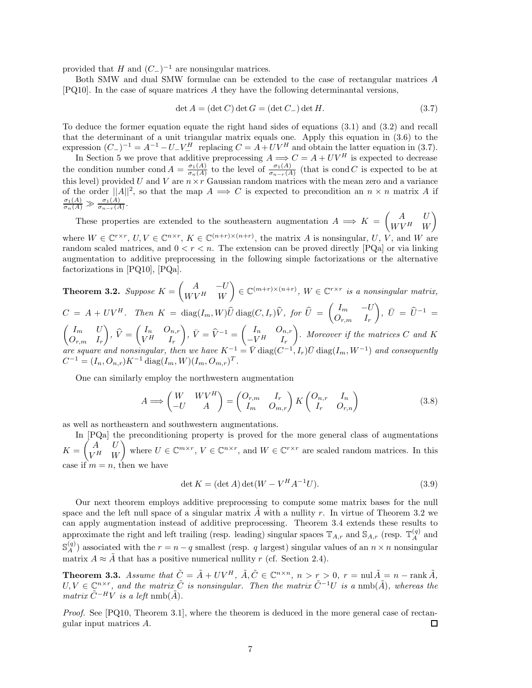provided that *H* and  $(C_$ <sup>−1</sup> are nonsingular matrices.

Both SMW and dual SMW formulae can be extended to the case of rectangular matrices *A* [PQ10]. In the case of square matrices *A* they have the following determinantal versions,

$$
\det A = (\det C) \det G = (\det C_{-}) \det H. \tag{3.7}
$$

To deduce the former equation equate the right hand sides of equations (3.1) and (3.2) and recall that the determinant of a unit triangular matrix equals one. Apply this equation in (3.6) to the expression  $(C_-)^{-1} = A^{-1} - U_- V_-^H$  replacing  $C = A + UV^H$  and obtain the latter equation in (3.7).<br>In Section 5 we prove that additive preprocessing  $A \Longrightarrow C = A + UV^H$  is expected to decrease

the condition number cond  $A = \frac{\sigma_1(A)}{\sigma_n(A)}$  to the level of  $\frac{\sigma_1(A)}{\sigma_{n-r}(A)}$  (that is cond *C* is expected to be at this level) provided  $U$  and  $V$  are  $n \times r$  Gaussian random matrices with the mean zero and a variance of the order  $||A||^2$ , so that the map  $A \implies C$  is expected to precondition an  $n \times n$  matrix A if  $\frac{\sigma_1(A)}{\sigma_n(A)} \gg \frac{\sigma_1(A)}{\sigma_{n-r}(A)}$ .

These properties are extended to the southeastern augmentation  $A \implies K = \begin{pmatrix} A & U \\ W V A & W \end{pmatrix}$  $W V^H$  *W*  $\overline{ }$ where  $W \in \mathbb{C}^{r \times r}$ ,  $U, V \in \mathbb{C}^{n \times r}$ ,  $K \in \mathbb{C}^{(n+r) \times (n+r)}$ , the matrix *A* is nonsingular, *U*, *V*, and *W* are random scaled matrices, and  $0 < r < n$ . The extension can be proved directly [PQa] or via linking augmentation to additive preprocessing in the following simple factorizations or the alternative factorizations in [PQ10], [PQa].

**Theorem 3.2.** *Suppose*  $K = \begin{pmatrix} A & -U \ WVH & W \end{pmatrix}$  $W V^H$  *W*  $\left\{ \in \mathbb{C}^{(m+r)\times(n+r)}, W \in \mathbb{C}^{r\times r} \text{ is a nonsingular matrix,} \right\}$  $C = A + UV^H$ . Then  $K = \text{diag}(I_m, W)\hat{U} \text{diag}(C, I_r)\hat{V}$ , for  $\hat{U} = \begin{pmatrix} I_m & -U_m \\ O_{mm} & I_m \end{pmatrix}$  $O_{r,m}$  *I<sub>r</sub>*  $\left( \begin{array}{c} 0 \end{array} \right), \ \bar{U} \ = \ \hat{U}^{-1} \ =$  $\int I_m U$ *Or,m I<sup>r</sup>*  $\hat{V} = \begin{pmatrix} I_n & O_{n,r} \\ V^H & I_r \end{pmatrix}$  $V^H$  *I<sub>r</sub>*  $\left( \begin{array}{cc} \n\cdot & \n\overline{V} = \widehat{V}^{-1} = \begin{pmatrix} I_n & O_{n,r} \\ -V^H & I_n \end{pmatrix} \right)$  $-V^H$  *I<sub>r</sub> . Moreover if the matrices C and K*  $\alpha$  *are square and nonsingular, then we have*  $K^{-1} = \overline{V}$  diag( $C^{-1}, I_r$ ) $\overline{U}$  diag( $I_m, W^{-1}$ ) and consequently  $C^{-1} = (I_n, O_{n,r})K^{-1}$  diag $(I_m, W)(I_m, O_{m,r})^T$ .

One can similarly employ the northwestern augmentation

$$
A \Longrightarrow \begin{pmatrix} W & WV^H \\ -U & A \end{pmatrix} = \begin{pmatrix} O_{r,m} & I_r \\ I_m & O_{m,r} \end{pmatrix} K \begin{pmatrix} O_{n,r} & I_n \\ I_r & O_{r,n} \end{pmatrix}
$$
(3.8)

as well as northeastern and southwestern augmentations.

In [PQa] the preconditioning property is proved for the more general class of augmentations  $K = \begin{pmatrix} A & U \\ VH & W \end{pmatrix}$  $V^H$  *W* where  $U \in \mathbb{C}^{m \times r}$ ,  $V \in \mathbb{C}^{n \times r}$ , and  $W \in \mathbb{C}^{r \times r}$  are scaled random matrices. In this case if  $m = n$ , then we have

$$
\det K = (\det A) \det (W - V^H A^{-1} U). \tag{3.9}
$$

Our next theorem employs additive preprocessing to compute some matrix bases for the null space and the left null space of a singular matrix  $\tilde{A}$  with a nullity  $r$ . In virtue of Theorem 3.2 we can apply augmentation instead of additive preprocessing. Theorem 3.4 extends these results to approximate the right and left trailing (resp. leading) singular spaces  $\mathbb{T}_{A,r}$  and  $\mathbb{S}_{A,r}$  (resp.  $\mathbb{T}_{A}^{(q)}$  and  $\mathbb{S}_{A}^{(q)}$  associated with the  $r = n - q$  smallest (resp. *q* largest) singular values of an  $n \times n$  nonsingular matrix  $A \approx \tilde{A}$  that has a positive numerical nullity *r* (cf. Section 2.4).

**Theorem 3.3.** Assume that  $\tilde{C} = \tilde{A} + UV^H$ ,  $\tilde{A}, \tilde{C} \in \mathbb{C}^{n \times n}$ ,  $n > r > 0$ ,  $r = \text{null } \tilde{A} = n - \text{rank } \tilde{A}$ ,  $U, V \in \mathbb{C}^{n \times r}$ , and the matrix  $\tilde{C}$  is nonsingular. Then the matrix  $\tilde{C}^{-1}U$  is a nmb( $\tilde{A}$ ), whereas the  $matrix \tilde{C}^{-H}V$  *is a left* nmb( $\tilde{A}$ )*.* 

*Proof.* See [PQ10, Theorem 3.1], where the theorem is deduced in the more general case of rectangular input matrices *A*. □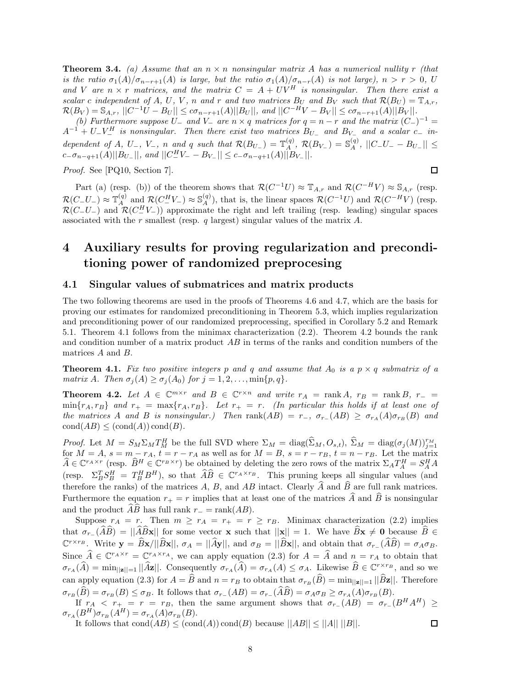**Theorem 3.4.** *(a) Assume that an*  $n \times n$  *nonsingular matrix A has a numerical nullity r (that*) *is the ratio*  $\sigma_1(A)/\sigma_{n-r+1}(A)$  *is large, but the ratio*  $\sigma_1(A)/\sigma_{n-r}(A)$  *is not large),*  $n > r > 0$ , *U* and *V* are  $n \times r$  matrices, and the matrix  $C = A + UV^H$  is nonsingular. Then there exist a scalar c independent of A, U, V, n and r and two matrices  $B_U$  and  $B_V$  such that  $\mathcal{R}(B_U) = \mathbb{T}_{A,r}$ ,  $\mathcal{R}(B_V) = \mathbb{S}_{A,r}$ ,  $||C^{-1}U - B_U|| \le c\sigma_{n-r+1}(A)||B_U||$ , and  $||C^{-H}V - B_V|| \le c\sigma_{n-r+1}(A)||B_V||$ . *(b)* Furthermore suppose  $U_-\$  and  $V_-\$  are  $n \times q$  matrices for  $q = n - r$  and the matrix  $(C_-)^{-1} =$  $A^{-1} + U - V^H$  is nonsingular. Then there exist two matrices  $B_{U-}$  and  $B_{V-}$  and a scalar  $c-$  in-

dependent of A, U<sub>-1</sub>, V<sub>-1</sub>, n and q such that  $\mathcal{R}(B_{U_{-}}) = \mathbb{T}_{A}^{(q)}$ ,  $\mathcal{R}(B_{V_{-}}) = \mathbb{S}_{A}^{(q)}$ ,  $||C_{-}U_{-} - B_{U_{-}}|| \leq$  $c = \sigma_{n-q+1}(A)||B_{U-}||$ , and  $||C_{-}^H V_- - B_{V-}|| \leq c = \sigma_{n-q+1}(A)||B_{V-}||$ .

*Proof.* See [PQ10, Section 7].

$$
\qquad \qquad \Box
$$

Part (a) (resp. (b)) of the theorem shows that  $\mathcal{R}(C^{-1}U) \approx \mathbb{T}_{A,r}$  and  $\mathcal{R}(C^{-H}V) \approx \mathbb{S}_{A,r}$  (resp.  $\mathcal{R}(C-U_{-}) \approx \mathbb{T}_{A}^{(q)}$  and  $\mathcal{R}(C_{-}^{H}V_{-}) \approx \mathbb{S}_{A}^{(q)}$ , that is, the linear spaces  $\mathcal{R}(C^{-1}U)$  and  $\mathcal{R}(C^{-H}V)$  (resp.  $\mathcal{R}(C-U-)$  and  $\mathcal{R}(C_{-}^{H}V-)$ ) approximate the right and left trailing (resp. leading) singular spaces associated with the *r* smallest (resp. *q* largest) singular values of the matrix *A*.

# **4 Auxiliary results for proving regularization and preconditioning power of randomized preprocesing**

## **4.1 Singular values of submatrices and matrix products**

The two following theorems are used in the proofs of Theorems 4.6 and 4.7, which are the basis for proving our estimates for randomized preconditioning in Theorem 5.3, which implies regularization and preconditioning power of our randomized preprocessing, specified in Corollary 5.2 and Remark 5.1. Theorem 4.1 follows from the minimax characterization (2.2). Theorem 4.2 bounds the rank and condition number of a matrix product *AB* in terms of the ranks and condition numbers of the matrices *A* and *B*.

**Theorem 4.1.** Fix two positive integers p and q and assume that  $A_0$  is a  $p \times q$  submatrix of a *matrix A. Then*  $\sigma_j(A) \geq \sigma_j(A_0)$  *for*  $j = 1, 2, \ldots, \min\{p, q\}.$ 

**Theorem 4.2.** *Let*  $A \in \mathbb{C}^{m \times r}$  *and*  $B \in \mathbb{C}^{r \times n}$  *and write*  $r_A = \text{rank } A$ *,*  $r_B = \text{rank } B$ *,*  $r_- =$  $\min\{r_A, r_B\}$  and  $r_+ = \max\{r_A, r_B\}$ . Let  $r_+ = r$ . (In particular this holds if at least one of the matrices A and B is nonsingular.) Then rank  $(AB) = r_-, \sigma_{r_-}(AB) \geq \sigma_{r_A}(A)\sigma_{r_B}(B)$  and  $\text{cond}(AB) \leq (\text{cond}(A)) \text{cond}(B)$ .

*Proof.* Let  $M = S_M \Sigma_M T_M^H$  be the full SVD where  $\Sigma_M = \text{diag}(\widehat{\Sigma}_M, O_{s,t}), \widehat{\Sigma}_M = \text{diag}(\sigma_j(M))_{j=1}^{r_M}$  for  $M = A$ ,  $s = m - r_A$ ,  $t = r - r_A$  as well as for  $M = B$ ,  $s = r - r_B$ ,  $t = n - r_B$ . Let the matrix  $\widehat{A} \in \mathbb{C}^{r_A \times r}$  (resp.  $\widehat{B}^H \in \mathbb{C}^{r_B \times r}$ ) be obtained by deleting the zero rows of the matrix  $\Sigma_A T_A^H = S_A^H A$ (resp.  $\Sigma_B^T S_B^H = T_B^H B^H$ ), so that  $\widehat{A}\widehat{B} \in \mathbb{C}^{r_A \times r_B}$ . This pruning keeps all singular values (and therefore the ranks) of the matrices  $A$ ,  $B$ , and  $AB$  intact. Clearly  $\widehat{A}$  and  $\widehat{B}$  are full rank matrices. Furthermore the equation  $r_{+} = r$  implies that at least one of the matrices  $\hat{A}$  and  $\hat{B}$  is nonsingular and the product *AB* has full rank  $r_$  = rank(*AB*).

Suppose  $r_A = r$ . Then  $m \ge r_A = r_+ = r \ge r_B$ . Minimax characterization (2.2) implies that  $\sigma_{r}(\widehat{A}\widehat{B}) = ||\widehat{A}\widehat{B}x||$  for some vector **x** such that  $||x|| = 1$ . We have  $\widehat{B}x \neq 0$  because  $\widehat{B} \in$  $\mathbb{C}^{r \times r_B}$ . Write  $\mathbf{y} = \hat{B}\mathbf{x}/\|\hat{B}\mathbf{x}\|$ ,  $\sigma_A = \|\hat{A}\mathbf{y}\|$ , and  $\sigma_B = \|\hat{B}\mathbf{x}\|$ , and obtain that  $\sigma_{r}(\hat{A}\hat{B}) = \sigma_A \sigma_B$ . Since  $\hat{A} \in \mathbb{C}^{r_A \times r} = \mathbb{C}^{r_A \times r_A}$ , we can apply equation (2.3) for  $A = \hat{A}$  and  $n = r_A$  to obtain that  $\sigma_{r_A}(\widehat{A}) = \min_{\|\mathbf{z}\| = 1} ||\widehat{A}\mathbf{z}||$ . Consequently  $\sigma_{r_A}(\widehat{A}) = \sigma_{r_A}(A) \leq \sigma_A$ . Likewise  $\widehat{B} \in \mathbb{C}^{r \times r_B}$ , and so we can apply equation (2.3) for  $A = \widehat{B}$  and  $n = r_B$  to obtain that  $\sigma_{r_B}(\widehat{B}) = \min_{\vert |\mathbf{z}||=1} \vert \vert \widehat{B} \mathbf{z} \vert \vert$ . Therefore  $\sigma_{r_B}(\widehat{B}) = \sigma_{r_B}(B) \leq \sigma_B$ . It follows that  $\sigma_{r_A}(AB) = \sigma_{r_A}(AB) = \sigma_{A}\sigma_B \geq \sigma_{r_A}(A)\sigma_{r_B}(B)$ .

If  $r_A < r_+ = r = r_B$ , then the same argument shows that  $\sigma_{r_-}(AB) = \sigma_{r_-}(B^H A^H) \ge$  $\sigma_{r_A}(B^H)\sigma_{r_B}(A^H) = \sigma_{r_A}(A)\sigma_{r_B}(B).$ 口

It follows that  $cond(AB) \leq (cond(A)) cond(B)$  because  $||AB|| \leq ||A|| ||B||$ .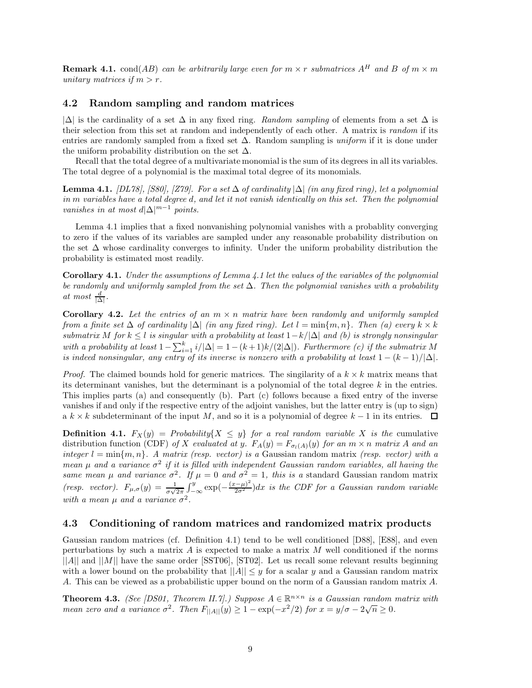**Remark 4.1.** cond(*AB*) *can be arbitrarily large even for*  $m \times r$  *submatrices*  $A^H$  *and*  $B$  *of*  $m \times m$ *unitary matrices if*  $m > r$ .

# **4.2 Random sampling and random matrices**

|∆| is the cardinality of a set ∆ in any fixed ring. *Random sampling* of elements from a set ∆ is their selection from this set at random and independently of each other. A matrix is *random* if its entries are randomly sampled from a fixed set ∆. Random sampling is *uniform* if it is done under the uniform probability distribution on the set  $\Delta$ .

Recall that the total degree of a multivariate monomial is the sum of its degrees in all its variables. The total degree of a polynomial is the maximal total degree of its monomials.

**Lemma 4.1.** *[DL78], [S80], [Z79]. For a set*  $\Delta$  *of cardinality*  $|\Delta|$  *(in any fixed ring), let a polynomial in m variables have a total degree d, and let it not vanish identically on this set. Then the polynomial vanishes in at most*  $d|\Delta|^{m-1}$  *points.* 

Lemma 4.1 implies that a fixed nonvanishing polynomial vanishes with a probablity converging to zero if the values of its variables are sampled under any reasonable probability distribution on the set  $\Delta$  whose cardinality converges to infinity. Under the uniform probability distribution the probability is estimated most readily.

**Corollary 4.1.** *Under the assumptions of Lemma 4.1 let the values of the variables of the polynomial be randomly and uniformly sampled from the set* ∆*. Then the polynomial vanishes with a probability at most*  $\frac{d}{|\Delta|}$ *.* 

**Corollary 4.2.** Let the entries of an  $m \times n$  matrix have been randomly and uniformly sampled *from a finite set*  $\Delta$  *of cardinality*  $|\Delta|$  *(in any fixed ring). Let*  $l = \min\{m, n\}$ *. Then (a) every*  $k \times k$ *submatrix M for*  $k \leq l$  *is singular with a probability at least*  $1 - k/|\Delta|$  *and (b) is strongly nonsingular with a probability at least*  $1 - \sum_{i=1}^{k} i/|\Delta| = 1 - (k+1)k/(2|\Delta|)$ *. Furthermore (c) if the submatrix M is indeed nonsingular, any entry of its inverse is nonzero with a probability at least*  $1 - (k - 1)/|\Delta|$ *.* 

*Proof.* The claimed bounds hold for generic matrices. The singularity of a  $k \times k$  matrix means that its determinant vanishes, but the determinant is a polynomial of the total degree *k* in the entries. This implies parts (a) and consequently (b). Part (c) follows because a fixed entry of the inverse vanishes if and only if the respective entry of the adjoint vanishes, but the latter entry is (up to sign)  $a \, k \times k$  subdeterminant of the input *M*, and so it is a polynomial of degree  $k-1$  in its entries.  $\Box$ 

**Definition 4.1.**  $F_X(y) =$  *Probability*{ $X \leq y$ } *for a real random variable X is the* cumulative distribution function (CDF) of X evaluated at y.  $F_A(y) = F_{\sigma_l(A)}(y)$  for an  $m \times n$  matrix A and an *integer*  $l = \min\{m, n\}$ . A matrix (resp. vector) is a Gaussian random matrix (resp. vector) with a *mean*  $\mu$  and a variance  $\sigma^2$  if it is filled with independent Gaussian random variables, all having the *same mean*  $\mu$  *and variance*  $\sigma^2$ *. If*  $\mu = 0$  *and*  $\sigma^2 = 1$ *, this is a* standard Gaussian random matrix *(resp. vector).*  $F_{\mu,\sigma}(y) = \frac{1}{\sigma\sqrt{2\pi}} \int_{-\infty}^{y} \exp(-\frac{(x-\mu)^2}{2\sigma^2}) dx$  is the CDF for a Gaussian random variable *with a mean*  $\mu$  *and a variance*  $\sigma^2$ *.* 

### **4.3 Conditioning of random matrices and randomized matrix products**

Gaussian random matrices (cf. Definition 4.1) tend to be well conditioned [D88], [E88], and even perturbations by such a matrix *A* is expected to make a matrix *M* well conditioned if the norms ||*A*|| and ||*M*|| have the same order [SST06], [ST02]. Let us recall some relevant results beginning with a lower bound on the probability that  $||A|| \leq y$  for a scalar *y* and a Gaussian random matrix *A*. This can be viewed as a probabilistic upper bound on the norm of a Gaussian random matrix *A*.

**Theorem 4.3.** *(See [DS01, Theorem II.7].) Suppose*  $A \in \mathbb{R}^{n \times n}$  *is a Gaussian random matrix with mean zero and a variance*  $\sigma^2$ . Then  $F_{\vert A \vert \vert}(y) \geq 1 - \exp(-x^2/2)$  for  $x = y/\sigma - 2\sqrt{n} \geq 0$ .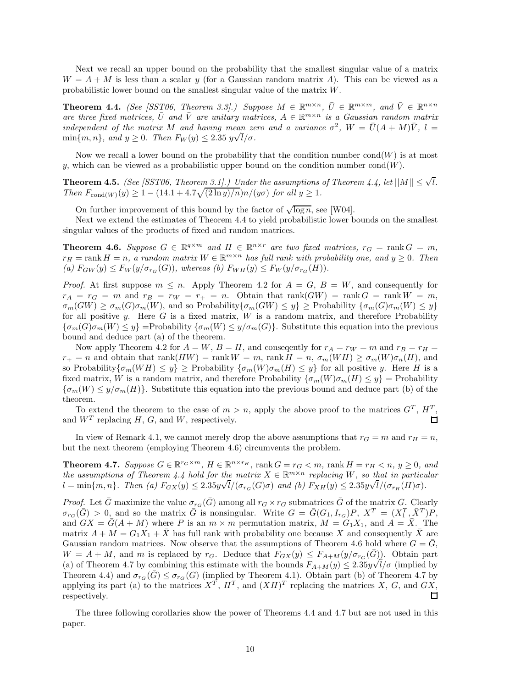Next we recall an upper bound on the probability that the smallest singular value of a matrix  $W = A + M$  is less than a scalar *y* (for a Gaussian random matrix *A*). This can be viewed as a probabilistic lower bound on the smallest singular value of the matrix *W*.

**Theorem 4.4.** *(See [SST06, Theorem 3.3].) Suppose*  $M \in \mathbb{R}^{m \times n}$ ,  $\overline{U} \in \mathbb{R}^{m \times m}$ , and  $\overline{V} \in \mathbb{R}^{n \times n}$ *are three fixed matrices,*  $\overline{U}$  *and*  $\overline{V}$  *are unitary matrices,*  $A \in \mathbb{R}^{m \times n}$  *is a Gaussian random matrix independent of the matrix M* and having mean zero and a variance  $\sigma^2$ ,  $W = \overline{U}(A + M)\overline{V}$ ,  $l =$  $m$ aepenaent of the matrix  $M$  and having mean  $z \in \min\{m, n\}$ , and  $y \geq 0$ . Then  $F_W(y) \leq 2.35 \ y \sqrt{l/\sigma}$ .

Now we recall a lower bound on the probability that the condition number  $\text{cond}(W)$  is at most *y*, which can be viewed as a probabilistic upper bound on the condition number cond( $W$ ).

**Theorem 4.5.** *(See [SST06, Theorem 3.1].) Under the assumptions of Theorem 4.4, let*  $||M|| \leq \sqrt{l}$ *. Then*  $F_{\text{cond}(W)}(y) \geq 1 - (14.1 + 4.7\sqrt{(2 \ln y)/n})n/(y\sigma)$  *for all*  $y \geq 1$ *.* 

On further improvement of this bound by the factor of  $\sqrt{\log n}$ , see [W04].

Next we extend the estimates of Theorem 4.4 to yield probabilistic lower bounds on the smallest singular values of the products of fixed and random matrices.

**Theorem 4.6.** *Suppose*  $G \in \mathbb{R}^{q \times m}$  *and*  $H \in \mathbb{R}^{n \times r}$  *are two fixed matrices,*  $r_G = \text{rank } G = m$ *,*  $r_H = \text{rank } H = n$ , a random matrix  $W \in \mathbb{R}^{m \times n}$  has full rank with probability one, and  $y \geq 0$ . Then  $f(x)$   $F_{GW}(y) \leq F_W(y/\sigma_{r_G}(G))$ , whereas (b)  $F_{WH}(y) \leq F_W(y/\sigma_{r_G}(H))$ .

*Proof.* At first suppose  $m \leq n$ . Apply Theorem 4.2 for  $A = G$ ,  $B = W$ , and consequently for  $r_A = r_G = m$  and  $r_B = r_W = r_+ = n$ . Obtain that rank(*GW*) = rank  $G = \text{rank } W = m$ ,  $\sigma_m(GW) \geq \sigma_m(G)\sigma_m(W)$ , and so Probability { $\sigma_m(GW) \leq y$ } ≥ Probability { $\sigma_m(G)\sigma_m(W) \leq y$ } for all positive *y*. Here *G* is a fixed matrix, *W* is a random matrix, and therefore Probability  ${\sigma_m(G) \sigma_m(W) \leq y}$  =Probability  ${\sigma_m(W) \leq y/\sigma_m(G)}$ . Substitute this equation into the previous bound and deduce part (a) of the theorem.

Now apply Theorem 4.2 for  $A = W$ ,  $B = H$ , and conseqently for  $r_A = r_W = m$  and  $r_B = r_H =$  $r_{+} = n$  and obtain that rank $(HW) = \text{rank } W = m$ , rank  $H = n$ ,  $\sigma_{m}(WH) \geq \sigma_{m}(W)\sigma_{n}(H)$ , and so Probability  $\{\sigma_m(WH) \leq y\} \geq$  Probability  $\{\sigma_m(W)\sigma_m(H) \leq y\}$  for all positive *y*. Here *H* is a fixed matrix, *W* is a random matrix, and therefore Probability  ${\sigma_m(W)\sigma_m(H) \leq y}$  = Probability  ${\sigma_m(W) \leq y/\sigma_m(H)}$ . Substitute this equation into the previous bound and deduce part (b) of the theorem.

To extend the theorem to the case of  $m > n$ , apply the above proof to the matrices  $G<sup>T</sup>$ ,  $H<sup>T</sup>$ , and  $W<sup>T</sup>$  replacing *H*, *G*, and *W*, respectively.  $\Box$ 

In view of Remark 4.1, we cannot merely drop the above assumptions that  $r_G = m$  and  $r_H = n$ , but the next theorem (employing Theorem 4.6) circumvents the problem.

**Theorem 4.7.** Suppose  $G \in \mathbb{R}^{r_G \times m}$ ,  $H \in \mathbb{R}^{n \times r_H}$ , rank  $G = r_G < m$ , rank  $H = r_H < n$ ,  $y \ge 0$ , and *the assumptions of Theorem 4.4 hold for the matrix*  $X \in \mathbb{R}^{m \times n}$  *replacing*  $W$ *, so that in particular*  $l = \min\{m, n\}$ . Then (a)  $F_{GX}(y) \leq 2.35y\sqrt{l}/(\sigma_{rG}(G)\sigma)$  and (b)  $F_{XH}(y) \leq 2.35y\sqrt{l}/(\sigma_{rH}(H)\sigma)$ .

*Proof.* Let  $\bar{G}$  maximize the value  $\sigma_{rG}(\bar{G})$  among all  $r_G \times r_G$  submatrices  $\bar{G}$  of the matrix *G*. Clearly  $\sigma_{r_G}(\bar{G}) > 0$ , and so the matrix  $\bar{G}$  is nonsingular. Write  $G = \bar{G}(G_1, I_{r_G})P$ ,  $X^T = (X_1^T, \bar{X}^T)P$ , and  $GX = \overline{G}(A + M)$  where P is an  $m \times m$  permutation matrix,  $M = G_1X_1$ , and  $A = \overline{X}$ . The matrix  $A + M = G_1 X_1 + \overline{X}$  has full rank with probability one because X and consequently  $\overline{X}$  are Gaussian random matrices. Now observe that the assumptions of Theorem 4.6 hold where  $G = \overline{G}$ ,  $W = A + M$ , and *m* is replaced by *r<sub>G</sub>*. Deduce that  $F_{GX}(y) \leq F_{A+M}(y/\sigma_{rG}(\bar{G}))$ . Obtain part (a) of Theorem 4.7 by combining this estimate with the bounds  $F_{A+M}(y) \leq 2.35y\sqrt{l}/\sigma$  (implied by Theorem 4.4) and  $\sigma_{r_G}(G) \leq \sigma_{r_G}(G)$  (implied by Theorem 4.1). Obtain part (b) of Theorem 4.7 by applying its part (a) to the matrices  $X^T$ ,  $H^T$ , and  $(XH)^T$  replacing the matrices *X*, *G*, and *GX*, respectively. П

The three following corollaries show the power of Theorems 4.4 and 4.7 but are not used in this paper.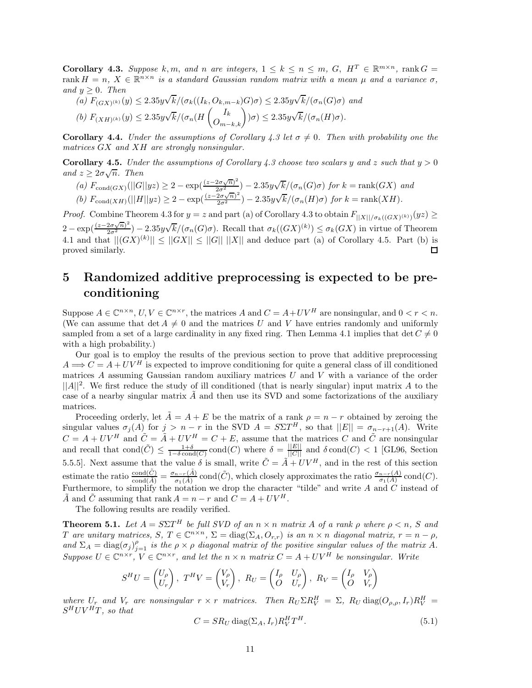**Corollary 4.3.** Suppose  $k, m$ , and  $n$  are integers,  $1 \leq k \leq n \leq m$ ,  $G$ ,  $H^T \in \mathbb{R}^{m \times n}$ , rank  $G =$ rank  $H = n$ ,  $X \in \mathbb{R}^{n \times n}$  *is a standard Gaussian random matrix with a mean*  $\mu$  *and a variance*  $\sigma$ *, and*  $y \geq 0$ *. Then* √ √

(a) 
$$
F_{(GX)^{(k)}}(y) \le 2.35y\sqrt{k}/(\sigma_k((I_k, O_{k,m-k})G)\sigma) \le 2.35y\sqrt{k}/(\sigma_n(G)\sigma)
$$
 and  
(b)  $F_{(XH)^{(k)}}(y) \le 2.35y\sqrt{k}/(\sigma_n(H\begin{pmatrix}I_k\\O_{m-k,k}\end{pmatrix})\sigma) \le 2.35y\sqrt{k}/(\sigma_n(H)\sigma)$ .

**Corollary 4.4.** *Under the assumptions of Corollary 4.3 let*  $\sigma \neq 0$ . Then with probability one the *matrices GX and XH are strongly nonsingular.*

**Corollary 4.5.** *Under the assumptions of Corollary 4.3 choose two scalars y* and *z* such that  $y > 0$  $\cot \theta$  and  $z \geq 2\sigma \sqrt{n}$ . Then

(a)  $F_{\text{cond}(GX)}(||G||yz) \geq 2 - \exp(\frac{(z-2\sigma\sqrt{n})^2}{2\sigma^2}) - 2.35y\sqrt{k}/(\sigma_n(G)\sigma)$  for  $k = \text{rank}(GX)$  and

(b) 
$$
F_{\text{cond}(XH)}(||H||yz) \ge 2 - \exp(\frac{(z-2\sigma\sqrt{n})^2}{2\sigma^2}) - 2.35y\sqrt{k}/(\sigma_n(H)\sigma)
$$
 for  $k = \text{rank}(XH)$ .

*Proof.* Combine Theorem 4.3 for  $y = z$  and part (a) of Corollary 4.3 to obtain  $F_{\vert\vert X\vert/\sigma_k((GX)^{(k)})}(yz) \ge$  $2 - \exp\left(\frac{(z-2\sigma\sqrt{n})^2}{2\sigma^2}\right) - 2.35y\sqrt{k}/(\sigma_n(G)\sigma)$ . Recall that  $\sigma_k((GX)^{(k)}) \leq \sigma_k(GX)$  in virtue of Theorem 4.1 and that  $||(GX)^{(k)}|| \le ||GX|| \le ||G|| ||X||$  and deduce part (a) of Corollary 4.5. Part (b) is proved similarly.

# **5 Randomized additive preprocessing is expected to be preconditioning**

Suppose  $A \in \mathbb{C}^{n \times n}$ ,  $U, V \in \mathbb{C}^{n \times r}$ , the matrices *A* and  $C = A + UV^H$  are nonsingular, and  $0 < r < n$ . (We can assume that  $\det A \neq 0$  and the matrices *U* and *V* have entries randomly and uniformly sampled from a set of a large cardinality in any fixed ring. Then Lemma 4.1 implies that  $\det C \neq 0$ with a high probability.)

Our goal is to employ the results of the previous section to prove that additive preprocessing  $A \Longrightarrow C = A + UV^H$  is expected to improve conditioning for quite a general class of ill conditioned matrices *A* assuming Gaussian random auxiliary matrices *U* and *V* with a variance of the order  $||A||^2$ . We first reduce the study of ill conditioned (that is nearly singular) input matrix A to the case of a nearby singular matrix  $\tilde{A}$  and then use its SVD and some factorizations of the auxiliary matrices.

Proceeding orderly, let  $A = A + E$  be the matrix of a rank  $\rho = n - r$  obtained by zeroing the singular values  $\sigma_j(A)$  for  $j > n - r$  in the SVD  $A = S\Sigma T^H$ , so that  $||E|| = \sigma_{n-r+1}(A)$ . Write  $C = A + UV^H$  and  $\tilde{C} = \tilde{A} + UV^H = C + E$ , assume that the matrices *C* and  $\tilde{C}$  are nonsingular and recall that  $\text{cond}(\tilde{C}) \leq \frac{1+\delta}{1-\delta \text{cond}(C)} \text{cond}(C)$  where  $\delta = \frac{||E||}{||C||}$  and  $\delta \text{cond}(C) < 1$  [GL96, Section 5.5.5]. Next assume that the value  $\delta$  is small, write  $\tilde{C} = \tilde{A} + UV^H$ , and in the rest of this section estimate the ratio  $\frac{\text{cond}(\tilde{C})}{\text{cond}(\tilde{A})} = \frac{\sigma_{n-r}(\tilde{A})}{\sigma_1(\tilde{A})}$  cond $(\tilde{C})$ , which closely approximates the ratio  $\frac{\sigma_{n-r}(A)}{\sigma_1(A)}$  cond $(C)$ . Furthermore, to simplify the notation we drop the character "tilde" and write  $A$  and  $C$  instead of  $\tilde{A}$  and  $\tilde{C}$  assuming that rank  $A = n - r$  and  $C = A + UV^H$ 

The following results are readily verified.

**Theorem 5.1.** *Let*  $A = S\Sigma T^H$  *be full SVD of an*  $n \times n$  *matrix*  $A$  *of a rank*  $\rho$  *where*  $\rho \leq n$ ,  $S$  *and* T are unitary matrices, S,  $T \in \mathbb{C}^{n \times n}$ ,  $\Sigma = \text{diag}(\Sigma_A, O_{r,r})$  is an  $n \times n$  diagonal matrix,  $r = n - \rho$ , and  $\Sigma_A = \text{diag}(\sigma_j)_{j=1}^{\rho}$  *is the*  $\rho \times \rho$  *diagonal matrix of the positive singular values of the matrix* A. *Suppose*  $U \in \mathbb{C}^{n \times r}$ ,  $V \in \mathbb{C}^{n \times r}$ , and let the  $n \times n$  matrix  $C = A + UV^H$  be nonsingular. Write

$$
S^{H}U = \begin{pmatrix} U_{\rho} \\ U_{r} \end{pmatrix}, T^{H}V = \begin{pmatrix} V_{\rho} \\ V_{r} \end{pmatrix}, R_{U} = \begin{pmatrix} I_{\rho} & U_{\rho} \\ O & U_{r} \end{pmatrix}, R_{V} = \begin{pmatrix} I_{\rho} & V_{\rho} \\ O & V_{r} \end{pmatrix}
$$

where  $U_r$  and  $V_r$  are nonsingular  $r \times r$  matrices. Then  $R_U \Sigma R_V^H = \Sigma$ ,  $R_U \text{diag}(O_{\rho,\rho},I_r)R_V^H =$  $S^HUV^HT$ *, so that* 

$$
C = SR_U \operatorname{diag}(\Sigma_A, I_r) R_V^H T^H. \tag{5.1}
$$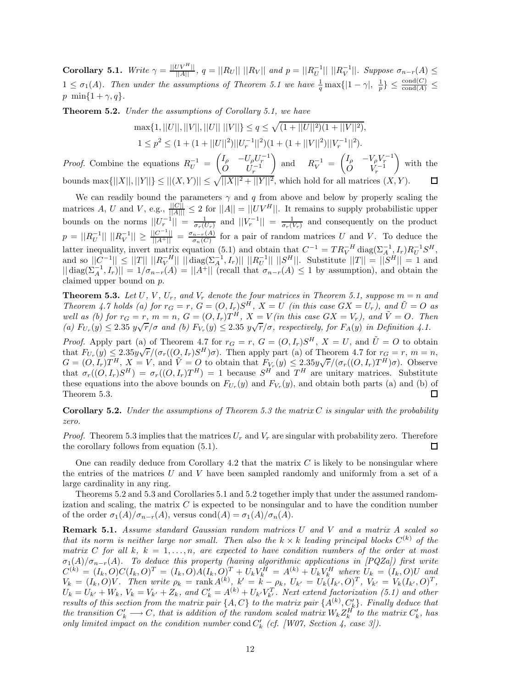**Corollary 5.1.** Write  $\gamma = \frac{||UV^H||}{||A||}$ ,  $q = ||R_U|| ||R_V||$  and  $p = ||R_U^{-1}|| ||R_V^{-1}||$ . Suppose  $\sigma_{n-r}(A) \leq$  $1 \leq \sigma_1(A)$ . Then under the assumptions of Theorem 5.1 we have  $\frac{1}{q} \max\{|1-\gamma|, \frac{1}{p}\} \leq \frac{\text{cond}(C)}{\text{cond}(A)} \leq$ *p* min{ $1 + \gamma, q$ *}*.

**Theorem 5.2.** *Under the assumptions of Corollary 5.1, we have*

$$
\max\{1, ||U||, ||V||, ||U|| \, ||V||\} \le q \le \sqrt{(1 + ||U||^2)(1 + ||V||^2)},
$$
  

$$
1 \le p^2 \le (1 + (1 + ||U||^2) ||U_r^{-1}||^2)(1 + (1 + ||V||^2) ||V_r^{-1}||^2).
$$

*Proof.* Combine the equations  $R_U^{-1}$  =  $(I_{\rho} - U_{\rho} U_{r}^{-1})$  $\dot{O}$  *U<sub>r</sub>*<sup>-1</sup>  $\Big)$  and  $R_V^{-1}$  =  $(I_{\rho} - V_{\rho}V_{r}^{-1})$  $\dot{O}$  *V*<sub>r</sub><sup>-1</sup>  $\overline{ }$ with the bounds  $\max\{||X||, ||Y||\} \le ||(X, Y)|| \le \sqrt{||X||^2 + ||Y||^2}$ , which hold for all matrices  $(X, Y)$ .

We can readily bound the parameters  $\gamma$  and  $q$  from above and below by properly scaling the matrices *A*, *U* and *V*, e.g.,  $\frac{||C||}{||A||} \leq 2$  for  $||A|| = ||UV^H||$ . It remains to supply probabilistic upper bounds on the norms  $||U_r^{-1}|| = \frac{1}{\sigma_r(U_r)}$  and  $||V_r^{-1}|| = \frac{1}{\sigma_r(V_r)}$  and consequently on the product  $p = ||R_U^{-1}|| \t ||R_V^{-1}|| \ge \frac{||C^{-1}||}{||A^+||} = \frac{\sigma_{n-r}(A)}{\sigma_n(C)}$  for a pair of random matrices U and V. To deduce the latter inequality, invert matrix equation (5.1) and obtain that  $C^{-1} = TR_V^{-H} \text{diag}(\Sigma_A^{-1}, I_r)R_U^{-1}S^H$ ,  $\int \text{d}x \, dx \, dx \, dx \, dx \, dx$   $\int |C^{-1}|| \, d\mathbf{x} \, dx \, dx \, dx$   $\int |C^{-1}|| \, d\mathbf{x} \, dx \, dx$   $\int |C^{-1}|| \, d\mathbf{x} \, dx \, dx$   $\int |C^{-1}|| \, d\mathbf{x} \, dx \, dx$   $\int |C^{-1}|| \, d\mathbf{x} \, dx$  $|| \text{diag}(\Sigma_A^{-1}, I_r)|| = 1/\sigma_{n-r}(A) = ||A^+||$  (recall that  $\sigma_{n-r}(A) \leq 1$  by assumption), and obtain the claimed upper bound on *p*.

**Theorem 5.3.** Let  $U$ ,  $V$ ,  $U_r$ , and  $V_r$  denote the four matrices in Theorem 5.1, suppose  $m = n$  and Theorem 4.7 holds (a) for  $r_G = r$ ,  $G = (O, I_r)S^H$ ,  $X = U$  (in this case  $GX = U_r$ ), and  $\tilde{U} = O$  as well as (b) for  $r_G = r$ ,  $m = n$ ,  $G = (O, I_r)T^H$ ,  $X = V$  (in this case  $GX = V_r$ ), and  $\tilde{V} = O$ . Then details (b) for  $G = 1$ ,  $m = n$ ,  $G = (O, I_r)I$ ,  $A = V$  (the this case  $G A = V_r$ ), and  $V = O$ . The <br>(a)  $F_{U_r}(y) \le 2.35 \ y\sqrt{r}/\sigma$  and (b)  $F_{V_r}(y) \le 2.35 \ y\sqrt{r}/\sigma$ , respectively, for  $F_A(y)$  in Definition 4.1.

*Proof.* Apply part (a) of Theorem 4.7 for  $r_G = r$ ,  $G = (O, I_r)S^H$ ,  $X = U$ , and  $\tilde{U} = O$  to obtain *Froot.* Apply part (a) of Theorem 4.7 for  $r_G = r$ ,  $G = (O, I_r)S$ ,  $A = O$ , and  $O = O$  to obtain<br>that  $F_{U_r}(y) \leq 2.35y\sqrt{r}/(\sigma_r((O, I_r)S^H)\sigma)$ . Then apply part (a) of Theorem 4.7 for  $r_G = r$ ,  $m = n$ , chat  $FU_r(y) \le 2.35y\sqrt{r/(v_r(v, t_r))}$  (b). Then apply part (a) or Theorem 4.1 for  $tG = t$ ,  $m = n$ ,<br>  $G = (O, I_r)T^H$ ,  $X = V$ , and  $\tilde{V} = O$  to obtain that  $F_{V_r}(y) \le 2.35y\sqrt{r}/(\sigma_r((O, I_r)T^H)\sigma)$ . Observe that  $\sigma_r((O, I_r)S^H) = \sigma_r((O, I_r)T^H) = 1$  because  $S^H$  and  $T^H$  are unitary matrices. Substitute these equations into the above bounds on  $F_{U_r}(y)$  and  $F_{V_r}(y)$ , and obtain both parts (a) and (b) of Theorem 5.3. П

**Corollary 5.2.** *Under the assumptions of Theorem 5.3 the matrix C is singular with the probability zero.*

*Proof.* Theorem 5.3 implies that the matrices  $U_r$  and  $V_r$  are singular with probability zero. Therefore the corollary follows from equation (5.1). ◻

One can readily deduce from Corollary 4.2 that the matrix *C* is likely to be nonsingular where the entries of the matrices *U* and *V* have been sampled randomly and uniformly from a set of a large cardinality in any ring.

Theorems 5.2 and 5.3 and Corollaries 5.1 and 5.2 together imply that under the assumed randomization and scaling, the matrix *C* is expected to be nonsingular and to have the condition number of the order  $\sigma_1(A)/\sigma_{n-r}(A)$ , versus cond $(A) = \sigma_1(A)/\sigma_n(A)$ .

**Remark 5.1.** *Assume standard Gaussian random matrices U and V and a matrix A scaled so that its norm is neither large nor small. Then also the*  $k \times k$  *leading principal blocks*  $C^{(k)}$  *of the matrix*  $C$  *for all*  $k$ *,*  $k = 1, \ldots, n$ *, are expected to have condition numbers of the order at most*  $\sigma_1(A)/\sigma_{n-r}(A)$ . To deduce this property (having algorithmic applications in [PQZa]) first write  $C^{(k)} = (I_k, O)C(I_k, O)^T = (I_k, O)A(I_k, O)^T + U_kV_k^H = A^{(k)} + U_kV_k^H$  where  $U_k = (I_k, O)U$  and  $V_k = (I_k, O)V$ . Then write  $\rho_k = \text{rank } A^{(k)}$ ,  $k' = k - \rho_k$ ,  $U_{k'} = U_k (I_{k'}, O)^T$ ,  $V_{k'} = V_k (I_{k'}, O)^T$ ,  $U_k = U_{k'} + W_k$ ,  $V_k = V_{k'} + Z_k$ , and  $C'_k = A^{(k)} + U_{k'}V_{k'}^T$ . Next extend factorization (5.1) and other *results of this section from the matrix pair*  $\{A, C\}$  *to the matrix pair*  $\{A^{(k)}, C'_{k}\}$ *. Finally deduce that the transition*  $C'_k \longrightarrow C$ *, that is addition of the random scaled matrix*  $W_k Z_k^H$  *to the matrix*  $C'_k$ *, has only limited impact on the condition number* cond  $C'_{k}$  (*cf.* [W07, Section 4, case 3]).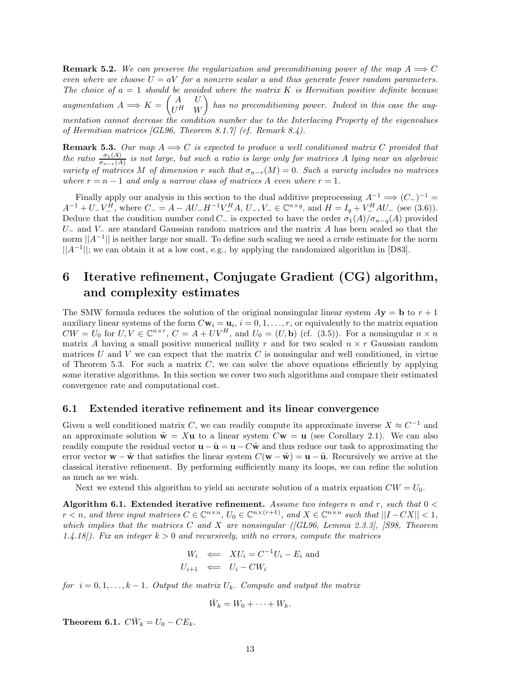**Remark 5.2.** We can preserve the regularization and preconditioning power of the map  $A \implies C$ *even where we choose*  $U = aV$  *for a nonzero scalar a and thus generate fewer random parameters. The choice of a* = 1 *should be avoided where the matrix K is Hermitian positive definite because augmentation*  $A \Longrightarrow K = \begin{pmatrix} A & U \\ II & \mathbf{H} \end{pmatrix}$  $U^H$  *W*  $\overline{ }$ *has no preconditioning power. Indeed in this case the augmentation cannot decrease the condition number due to the Interlacing Property of the eigenvalues of Hermitian matrices [GL96, Theorem 8.1.7] (cf. Remark 8.4).*

**Remark 5.3.** Our map  $A \implies C$  is expected to produce a well conditioned matrix  $C$  provided that *the ratio*  $\frac{\sigma_1(A)}{\sigma_{n-r}(A)}$  *is not large, but such a ratio is large only for matrices A lying near an algebraic variety of matrices M of dimension r such that*  $\sigma_{n-r}(M) = 0$ *. Such a variety includes no matrices where*  $r = n - 1$  *and only a narrow class of matrices A even where*  $r = 1$ *.* 

Finally apply our analysis in this section to the dual additive preprocessing  $A^{-1} \implies (C_{-})^{-1} =$  $A^{-1} + U_{-}V_{-}^{\hat{H}}$ , where  $C_{-} = A - AU_{-}H^{-1}V_{-}^{\hat{H}}A$ ,  $U_{-}$ ,  $V_{-} \in \mathbb{C}^{n \times q}$ , and  $H = I_{q} + V_{-}^{\hat{H}}AU_{-}$  (see (3.6)). Deduce that the condition number cond *C*<sub>−</sub> is expected to have the order  $\sigma_1(A)/\sigma_{n-q}(A)$  provided *U*<sup>−</sup> and *V*<sup>−</sup> are standard Gaussian random matrices and the matrix *A* has been scaled so that the norm  $||A^{-1}||$  is neither large nor small. To define such scaling we need a crude estimate for the norm ||*A*−<sup>1</sup>||; we can obtain it at a low cost, e.g., by applying the randomized algorithm in [D83].

# **6 Iterative refinement, Conjugate Gradient (CG) algorithm, and complexity estimates**

The SMW formula reduces the solution of the original nonsingular linear system  $Ay = b$  to  $r + 1$ auxiliary linear systems of the form  $C**w**<sub>i</sub> = **u**<sub>i</sub>$ ,  $i = 0, 1, ..., r$ , or equivalently to the matrix equation  $CW = U_0$  for  $U, V \in \mathbb{C}^{n \times r}$ ,  $C = A + UV^H$ , and  $U_0 = (U, \mathbf{b})$  (cf. (3.5)). For a nonsingular  $n \times n$ matrix *A* having a small positive numerical nullity *r* and for two scaled  $n \times r$  Gaussian random matrices  $U$  and  $V$  we can expect that the matrix  $C$  is nonsingular and well conditioned, in virtue of Theorem 5.3. For such a matrix *C*, we can solve the above equations efficiently by applying some iterative algorithms. In this section we cover two such algorithms and compare their estimated convergence rate and computational cost.

### **6.1 Extended iterative refinement and its linear convergence**

Given a well conditioned matrix *C*, we can readily compute its approximate inverse  $X \approx C^{-1}$  and an approximate solution  $\tilde{\mathbf{w}} = X\mathbf{u}$  to a linear system  $C\mathbf{w} = \mathbf{u}$  (see Corollary 2.1). We can also readily compute the residual vector  $\mathbf{u} - \tilde{\mathbf{u}} = \mathbf{u} - C\tilde{\mathbf{w}}$  and thus reduce our task to approximating the error vector  $\mathbf{w} - \tilde{\mathbf{w}}$  that satisfies the linear system  $C(\mathbf{w} - \tilde{\mathbf{w}}) = \mathbf{u} - \tilde{\mathbf{u}}$ . Recursively we arrive at the classical iterative refinement. By performing sufficiently many its loops, we can refine the solution as much as we wish.

Next we extend this algorithm to yield an accurate solution of a matrix equation  $CW = U_0$ .

**Algorithm 6.1. Extended iterative refinement.** *Assume two integers n and r, such that* 0 *< r*  $\lt$  *n, and three input matrices*  $C \in \mathbb{C}^{n \times n}$ *,*  $U_0 \in \mathbb{C}^{n \times (r+1)}$ *, and*  $X \in \mathbb{C}^{n \times n}$  *such that*  $||I - CX|| \lt 1$ *, which implies that the matrices C and X are nonsingular ([GL96, Lemma 2.3.3], [S98, Theorem 1.4.18]). Fix an integer k >* 0 *and recursively, with no errors, compute the matrices*

$$
W_i \iff XU_i = C^{-1}U_i - E_i \text{ and}
$$
  

$$
U_{i+1} \iff U_i - CW_i
$$

*for*  $i = 0, 1, \ldots, k - 1$ *. Output the matrix*  $U_k$ *. Compute and output the matrix* 

$$
\bar{W}_k = W_0 + \cdots + W_k.
$$

**Theorem 6.1.**  $C\overline{W}_k = U_0 - CE_k$ .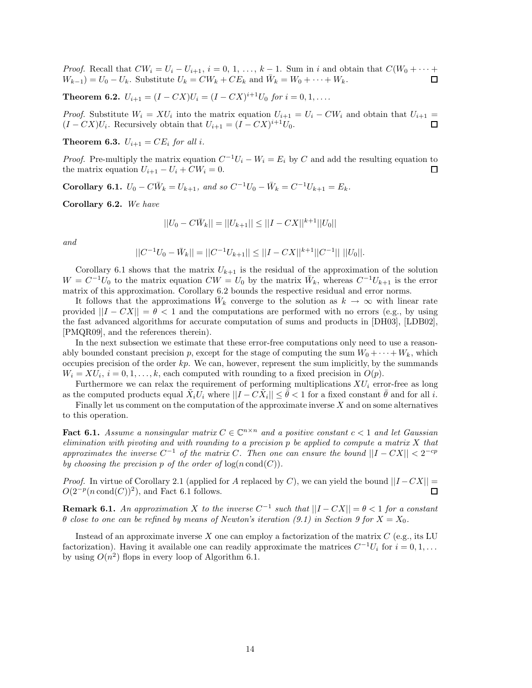*Proof.* Recall that  $CW_i = U_i - U_{i+1}$ ,  $i = 0, 1, \ldots, k-1$ . Sum in *i* and obtain that  $C(W_0 + \cdots +$  $W_{k-1}$ ) =  $U_0 - U_k$ . Substitute  $U_k = CW_k + CE_k$  and  $\bar{W}_k = W_0 + \cdots + W_k$ . ◻

**Theorem 6.2.**  $U_{i+1} = (I - CX)U_i = (I - CX)^{i+1}U_0$  *for*  $i = 0, 1, \ldots$ 

*Proof.* Substitute  $W_i = XU_i$  into the matrix equation  $U_{i+1} = U_i - CW_i$  and obtain that  $U_{i+1} =$  $(I - CX)U_i$ . Recursively obtain that  $U_{i+1} = (I - CX)^{i+1}U_0$ . 口

**Theorem 6.3.**  $U_{i+1} = CE_i$  *for all i.* 

*Proof.* Pre-multiply the matrix equation  $C^{-1}U_i - W_i = E_i$  by *C* and add the resulting equation to the matrix equation  $U_{i+1} - U_i + CW_i = 0$ . □

**Corollary 6.1.**  $U_0 - C\overline{W}_k = U_{k+1}$ , and so  $C^{-1}U_0 - \overline{W}_k = C^{-1}U_{k+1} = E_k$ .

**Corollary 6.2.** *We have*

$$
||U_0 - C\bar{W}_k|| = ||U_{k+1}|| \le ||I - CX||^{k+1}||U_0||
$$

*and*

$$
||C^{-1}U_0 - \bar{W}_k|| = ||C^{-1}U_{k+1}|| \le ||I - CX||^{k+1}||C^{-1}|| \ ||U_0||.
$$

Corollary 6.1 shows that the matrix  $U_{k+1}$  is the residual of the approximation of the solution  $W = C^{-1}U_0$  to the matrix equation  $CW = U_0$  by the matrix  $\bar{W}_k$ , whereas  $C^{-1}U_{k+1}$  is the error matrix of this approximation. Corollary 6.2 bounds the respective residual and error norms.

It follows that the approximations  $\bar{W}_k$  converge to the solution as  $k \to \infty$  with linear rate provided  $||I - CX|| = \theta < 1$  and the computations are performed with no errors (e.g., by using the fast advanced algorithms for accurate computation of sums and products in [DH03], [LDB02], [PMQR09], and the references therein).

In the next subsection we estimate that these error-free computations only need to use a reasonably bounded constant precision *p*, except for the stage of computing the sum  $W_0 + \cdots + W_k$ , which occupies precision of the order *kp*. We can, however, represent the sum implicitly, by the summands  $W_i = XU_i$ ,  $i = 0, 1, \ldots, k$ , each computed with rounding to a fixed precision in  $O(p)$ .

Furthermore we can relax the requirement of performing multiplications  $XU_i$  error-free as long as the computed products equal  $X_i U_i$  where  $||I - CX_i|| \leq \theta < 1$  for a fixed constant  $\theta$  and for all *i*.

Finally let us comment on the computation of the approximate inverse *X* and on some alternatives to this operation.

**Fact 6.1.** *Assume a nonsingular matrix*  $C \in \mathbb{C}^{n \times n}$  *and a positive constant*  $c < 1$  *and let Gaussian elimination with pivoting and with rounding to a precision p be applied to compute a matrix X that approximates the inverse*  $C^{-1}$  *of the matrix*  $C$ *. Then one can ensure the bound*  $||I - CX|| < 2^{-cp}$ *by choosing the precision*  $p$  *of the order of*  $\log(n \text{ cond}(C))$ *.* 

*Proof.* In virtue of Corollary 2.1 (applied for *A* replaced by *C*), we can yield the bound  $||I - CX|| =$  $O(2^{-p}(n \text{ cond}(C))^2)$ , and Fact 6.1 follows. ◻

**Remark 6.1.** *An approximation X to the inverse*  $C^{-1}$  *such that*  $||I - CX|| = \theta < 1$  *for a constant θ close to one can be refined by means of Newton's iteration (9.1) in Section 9 for X* = *X*0*.*

Instead of an approximate inverse *X* one can employ a factorization of the matrix *C* (e.g., its LU factorization). Having it available one can readily approximate the matrices  $C^{-1}U_i$  for  $i = 0, 1, \ldots$ by using  $O(n^2)$  flops in every loop of Algorithm 6.1.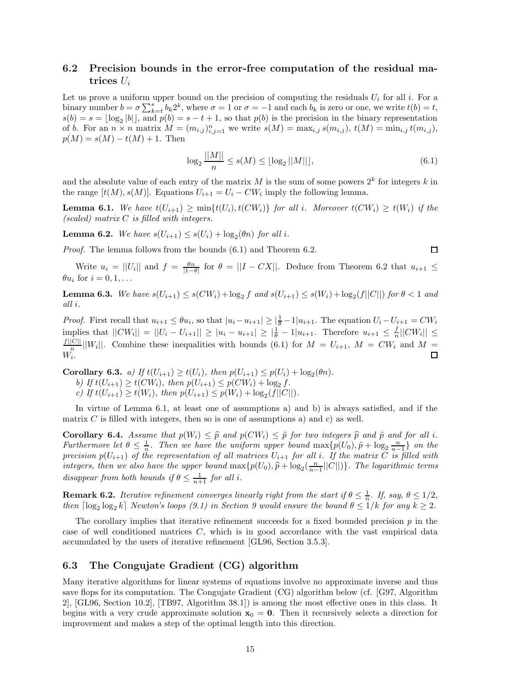# **6.2 Precision bounds in the error-free computation of the residual matrices** *U<sup>i</sup>*

Let us prove a uniform upper bound on the precision of computing the residuals  $U_i$  for all *i*. For a binary number  $b = \sigma \sum_{k=t}^{s} b_k 2^k$ , where  $\sigma = 1$  or  $\sigma = -1$  and each  $b_k$  is zero or one, we write  $t(b) = t$ ,  $s(b) = s = \lfloor \log_2 |b| \rfloor$ , and  $p(b) = s - t + 1$ , so that  $p(b)$  is the precision in the binary representation of b. For an  $n \times n$  matrix  $M = (m_{i,j})_{i,j=1}^n$  we write  $s(M) = \max_{i,j} s(m_{i,j}), t(M) = \min_{i,j} t(m_{i,j}),$  $p(M) = s(M) - t(M) + 1$ . Then

$$
\log_2 \frac{||M||}{n} \le s(M) \le \lfloor \log_2 ||M|| \rfloor, \tag{6.1}
$$

and the absolute value of each entry of the matrix  $M$  is the sum of some powers  $2^k$  for integers  $k$  in the range  $[t(M), s(M)]$ . Equations  $U_{i+1} = U_i - CW_i$  imply the following lemma.

**Lemma 6.1.** We have  $t(U_{i+1}) \ge \min\{t(U_i), t(CW_i)\}$  for all i. Moreover  $t(CW_i) \ge t(W_i)$  if the *(scaled) matrix C is filled with integers.*

**Lemma 6.2.** *We have*  $s(U_{i+1}) \leq s(U_i) + \log_2(\theta n)$  *for all i.* 

*Proof.* The lemma follows from the bounds (6.1) and Theorem 6.2.

$$
\Box
$$

Write  $u_i = ||U_i||$  and  $f = \frac{\theta n}{|1-\theta|}$  for  $\theta = ||I - CX||$ . Deduce from Theorem 6.2 that  $u_{i+1} \leq$  $\theta u_i$  for  $i = 0, 1, \ldots$ 

**Lemma 6.3.** We have  $s(U_{i+1}) \le s(CW_i) + \log_2 f$  and  $s(U_{i+1}) \le s(W_i) + \log_2(f||C||)$  for  $\theta < 1$  and *all i.*

*Proof.* First recall that  $u_{i+1} \leq \theta u_i$ , so that  $|u_i - u_{i+1}| \geq |\frac{1}{\theta} - 1|u_{i+1}$ . The equation  $U_i - U_{i+1} = CW_i$ implies that  $||CW_i|| = ||U_i - U_{i+1}|| \ge |u_i - u_{i+1}| \ge |\frac{1}{\theta} - 1|u_{i+1}$ . Therefore  $u_{i+1} \le \frac{f}{n}||CW_i|| \le$  $\frac{f||C||}{n}$  ||*W*<sub>*i*</sub>||. Combine these inequalities with bounds (6.1) for  $M = U_{i+1}$ ,  $M = CW_i$  and  $M =$ *Wi*.

**Corollary 6.3.** *a) If*  $t(U_{i+1}) \ge t(U_i)$ *, then*  $p(U_{i+1}) \le p(U_i) + \log_2(\theta n)$ *.* 

*b)* If  $t(U_{i+1}) \ge t(CW_i)$ , then  $p(U_{i+1}) \le p(CW_i) + \log_2 f$ .  $c)$  *If*  $t(U_{i+1}) \geq t(W_i)$ *, then*  $p(U_{i+1}) \leq p(W_i) + \log_2(f||C||)$ *.* 

In virtue of Lemma 6.1, at least one of assumptions a) and b) is always satisfied, and if the matrix  $C$  is filled with integers, then so is one of assumptions a) and c) as well.

**Corollary 6.4.** Assume that  $p(W_i) \leq \hat{p}$  and  $p(CW_i) \leq \tilde{p}$  for two integers  $\hat{p}$  and  $\tilde{p}$  and for all *i*. *Furthermore let*  $\theta \leq \frac{1}{n}$ *. Then we have the uniform upper bound*  $\max\{p(U_0), p + \log_2 \frac{n}{n-1}\}$  *on the precision*  $p(U_{i+1})$  *of the representation of all matrices*  $U_{i+1}$  *for all i. If the matrix*  $C$  *is filled with integers, then we also have the upper bound*  $\max\{p(U_0), \hat{p} + \log_2(\frac{n}{n-1} ||C||)\}$ *. The logarithmic terms disappear from both bounds if*  $\theta \leq \frac{1}{n+1}$  *for all i.* 

**Remark 6.2.** *Iterative refinement converges linearly right from the start if*  $\theta \leq \frac{1}{n}$ *. If, say,*  $\theta \leq 1/2$ *, then*  $\left[\log_2 \log_2 k\right]$  *Newton's loops* (9.1) in Section 9 would ensure the bound  $\theta \leq 1/k$  *for any*  $k \geq 2$ *.* 

The corollary implies that iterative refinement succeeds for a fixed bounded precision *p* in the case of well conditioned matrices *C*, which is in good accordance with the vast empirical data accumulated by the users of iterative refinement [GL96, Section 3.5.3].

## **6.3 The Congujate Gradient (CG) algorithm**

Many iterative algorithms for linear systems of equations involve no approximate inverse and thus save flops for its computation. The Congujate Gradient (CG) algorithm below (cf. [G97, Algorithm 2], [GL96, Section 10.2], [TB97, Algorithm 38.1]) is among the most effective ones in this class. It begins with a very crude approximate solution  $x_0 = 0$ . Then it recursively selects a direction for improvement and makes a step of the optimal length into this direction.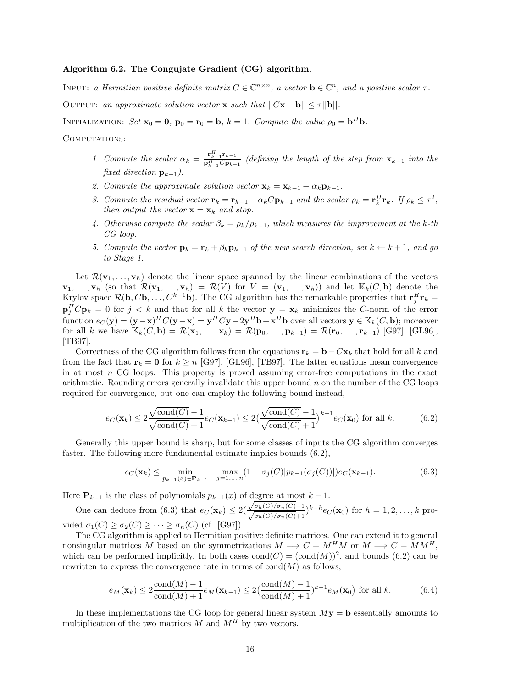#### **Algorithm 6.2. The Congujate Gradient (CG) algorithm***.*

INPUT: *a Hermitian positive definite matrix*  $C \in \mathbb{C}^{n \times n}$ , *a vector*  $\mathbf{b} \in \mathbb{C}^n$ , *and a positive scalar*  $\tau$ . OUTPUT: an approximate solution vector **x** such that  $||C\mathbf{x} - \mathbf{b}|| \leq \tau ||\mathbf{b}||$ .

INITIALIZATION: *Set*  $\mathbf{x}_0 = \mathbf{0}$ ,  $\mathbf{p}_0 = \mathbf{r}_0 = \mathbf{b}$ ,  $k = 1$ . Compute the value  $\rho_0 = \mathbf{b}^H \mathbf{b}$ .

COMPUTATIONS:

- 1. Compute the scalar  $\alpha_k = \frac{\mathbf{r}_{k-1}^H \mathbf{r}_{k-1}}{\mathbf{p}_{k-1}^H C \mathbf{p}_{k-1}}$  (defining the length of the step from  $\mathbf{x}_{k-1}$  into the *fixed direction*  $\mathbf{p}_{k-1}$ *).*
- 2. Compute the approximate solution vector  $\mathbf{x}_k = \mathbf{x}_{k-1} + \alpha_k \mathbf{p}_{k-1}$ .
- 3. Compute the residual vector  $\mathbf{r}_k = \mathbf{r}_{k-1} \alpha_k C \mathbf{p}_{k-1}$  and the scalar  $\rho_k = \mathbf{r}_k^H \mathbf{r}_k$ . If  $\rho_k \leq \tau^2$ , *then output the vector*  $\mathbf{x} = \mathbf{x}_k$  *and stop.*
- *4. Otherwise compute the scalar*  $\beta_k = \rho_k / \rho_{k-1}$ , which measures the improvement at the *k*-th *CG loop.*
- *5. Compute the vector*  $\mathbf{p}_k = \mathbf{r}_k + \beta_k \mathbf{p}_{k-1}$  *of the new search direction, set*  $k \leftarrow k+1$ *, and go to Stage 1.*

Let  $\mathcal{R}(\mathbf{v}_1,\ldots,\mathbf{v}_h)$  denote the linear space spanned by the linear combinations of the vectors  $\mathbf{v}_1, \ldots, \mathbf{v}_h$  (so that  $\mathcal{R}(\mathbf{v}_1, \ldots, \mathbf{v}_h) = \mathcal{R}(V)$  for  $V = (\mathbf{v}_1, \ldots, \mathbf{v}_h)$ ) and let  $\mathbb{K}_k(C, \mathbf{b})$  denote the Krylov space  $\mathcal{R}(\mathbf{b}, C\mathbf{b}, \ldots, C^{k-1}\mathbf{b})$ . The CG algorithm has the remarkable properties that  $\mathbf{r}_i^H \mathbf{r}_k =$  $\mathbf{p}_i^H C \mathbf{p}_k = 0$  for  $j < k$  and that for all k the vector  $\mathbf{y} = \mathbf{x}_k$  minimizes the *C*-norm of the error function  $e_C(\mathbf{y}) = (\mathbf{y} - \mathbf{x})^H C(\mathbf{y} - \mathbf{x}) = \mathbf{y}^H C \mathbf{y} - 2 \mathbf{y}^H \mathbf{b} + \mathbf{x}^H \mathbf{b}$  over all vectors  $\mathbf{y} \in \mathbb{K}_k(C, \mathbf{b})$ ; moreover  $f(x) = \mathcal{R}(x_1, \ldots, x_k) = \mathcal{R}(x_0, \ldots, x_{k-1}) = \mathcal{R}(x_0, \ldots, x_{k-1})$  [G97], [GL96], [TB97].

Correctness of the CG algorithm follows from the equations  $\mathbf{r}_k = \mathbf{b} - C\mathbf{x}_k$  that hold for all *k* and from the fact that  $\mathbf{r}_k = \mathbf{0}$  for  $k \geq n$  [G97], [GL96], [TB97]. The latter equations mean convergence in at most *n* CG loops. This property is proved assuming error-free computations in the exact arithmetic. Rounding errors generally invalidate this upper bound *n* on the number of the CG loops required for convergence, but one can employ the following bound instead,

$$
e_C(\mathbf{x}_k) \le 2\frac{\sqrt{\text{cond}(C)} - 1}{\sqrt{\text{cond}(C)} + 1} e_C(\mathbf{x}_{k-1}) \le 2\left(\frac{\sqrt{\text{cond}(C)} - 1}{\sqrt{\text{cond}(C)} + 1}\right)^{k-1} e_C(\mathbf{x}_0) \text{ for all } k. \tag{6.2}
$$

Generally this upper bound is sharp, but for some classes of inputs the CG algorithm converges faster. The following more fundamental estimate implies bounds (6.2),

$$
e_C(\mathbf{x}_k) \le \min_{p_{k-1}(x) \in \mathbf{P}_{k-1}} \max_{j=1,\dots,n} (1 + \sigma_j(C)|p_{k-1}(\sigma_j(C))|) e_C(\mathbf{x}_{k-1}).
$$
\n(6.3)

Here  $\mathbf{P}_{k-1}$  is the class of polynomials  $p_{k-1}(x)$  of degree at most  $k-1$ .

 $\Theta$  **F**<sub>*k*</sub>-1</sub> is the class of polynomials  $p_k$ -1(*x*) of degree at most one can deduce from (6.3) that  $e_C(\mathbf{x}_k) \leq 2(\frac{\sqrt{\sigma_h(C)/\sigma_n(C)}}{\sqrt{C(\sigma_h(C)/\sigma_n(C)}})$ .  $\frac{\sqrt{\sigma_h(C)/\sigma_n(C)-1}}{\sqrt{\sigma_h(C)/\sigma_n(C)+1}}$ <sup>*k*−*h*</sup>*e*<sub>*C*</sub>(**x**<sub>0</sub>) for *h* = 1*,* 2*,...,k* provided  $\sigma_1(C) \geq \sigma_2(C) \geq \cdots \geq \sigma_n(C)$  (cf. [G97]).

The CG algorithm is applied to Hermitian positive definite matrices. One can extend it to general nonsingular matrices *M* based on the symmetrizations  $M \implies C = M^H M$  or  $M \implies C = M M^H$ , which can be performed implicitly. In both cases  $\text{cond}(C) = (\text{cond}(M))^2$ , and bounds (6.2) can be rewritten to express the convergence rate in terms of  $\text{cond}(M)$  as follows,

$$
e_M(\mathbf{x}_k) \le 2 \frac{\text{cond}(M) - 1}{\text{cond}(M) + 1} e_M(\mathbf{x}_{k-1}) \le 2 \left(\frac{\text{cond}(M) - 1}{\text{cond}(M) + 1}\right)^{k-1} e_M(\mathbf{x}_0) \text{ for all } k. \tag{6.4}
$$

In these implementations the CG loop for general linear system  $M_{\mathbf{V}} = \mathbf{b}$  essentially amounts to multiplication of the two matrices  $M$  and  $M^H$  by two vectors.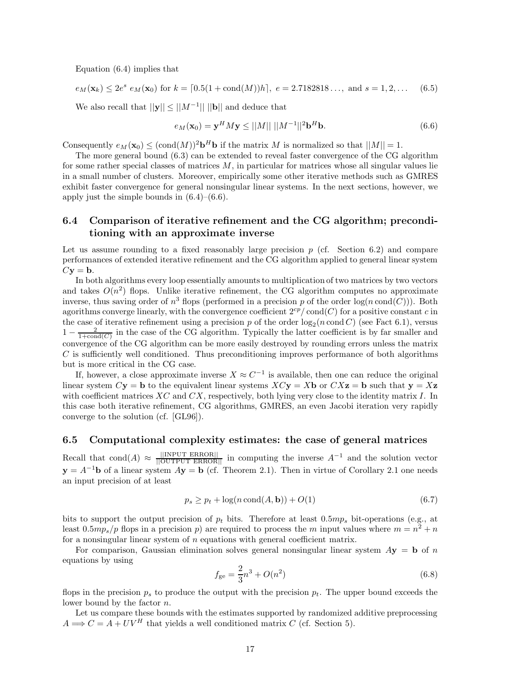Equation (6.4) implies that

$$
e_M(\mathbf{x}_k) \le 2e^s \cdot e_M(\mathbf{x}_0) \text{ for } k = [0.5(1 + \text{cond}(M))h], \ e = 2.7182818\dots, \text{ and } s = 1, 2, \dots \quad (6.5)
$$

We also recall that  $||\mathbf{y}|| \le ||M^{-1}||$   $||\mathbf{b}||$  and deduce that

$$
e_M(\mathbf{x}_0) = \mathbf{y}^H M \mathbf{y} \le ||M|| \, ||M^{-1}||^2 \mathbf{b}^H \mathbf{b}.
$$
 (6.6)

Consequently  $e_M(\mathbf{x}_0) \leq (\text{cond}(M))^2 \mathbf{b}^H \mathbf{b}$  if the matrix *M* is normalized so that  $||M|| = 1$ .

The more general bound (6.3) can be extended to reveal faster convergence of the CG algorithm for some rather special classes of matrices *M*, in particular for matrices whose all singular values lie in a small number of clusters. Moreover, empirically some other iterative methods such as GMRES exhibit faster convergence for general nonsingular linear systems. In the next sections, however, we apply just the simple bounds in  $(6.4)$ – $(6.6)$ .

# **6.4 Comparison of iterative refinement and the CG algorithm; preconditioning with an approximate inverse**

Let us assume rounding to a fixed reasonably large precision  $p$  (cf. Section 6.2) and compare performances of extended iterative refinement and the CG algorithm applied to general linear system  $C$ **y** = **b**.

In both algorithms every loop essentially amounts to multiplication of two matrices by two vectors and takes  $O(n^2)$  flops. Unlike iterative refinement, the CG algorithm computes no approximate inverse, thus saving order of  $n^3$  flops (performed in a precision p of the order  $log(n \text{ cond}(C))$ ). Both agorithms converge linearly, with the convergence coefficient  $2^{cp}/\text{cond}(C)$  for a positive constant *c* in the case of iterative refinement using a precision p of the order  $log_2(n \text{ cond } C)$  (see Fact 6.1), versus  $1-\frac{2}{1+\text{cond}(C)}$  in the case of the CG algorithm. Typically the latter coefficient is by far smaller and convergence of the CG algorithm can be more easily destroyed by rounding errors unless the matrix *C* is sufficiently well conditioned. Thus preconditioning improves performance of both algorithms but is more critical in the CG case.

If, however, a close approximate inverse  $X \approx C^{-1}$  is available, then one can reduce the original linear system  $C$ **y** = **b** to the equivalent linear systems  $X C$ **y** =  $X$ **b** or  $C X$ **z** = **b** such that **y** =  $X$ **z** with coefficient matrices *XC* and *CX*, respectively, both lying very close to the identity matrix *I*. In this case both iterative refinement, CG algorithms, GMRES, an even Jacobi iteration very rapidly converge to the solution (cf. [GL96]).

#### **6.5 Computational complexity estimates: the case of general matrices**

Recall that cond(*A*)  $\approx \frac{||INPUTEROR||}{||OUTPUTERROR||}$  in computing the inverse  $A^{-1}$  and the solution vector  $y = A^{-1}b$  of a linear system  $Ay = b$  (cf. Theorem 2.1). Then in virtue of Corollary 2.1 one needs an input precision of at least

$$
p_s \ge p_t + \log(n \operatorname{cond}(A, \mathbf{b})) + O(1) \tag{6.7}
$$

bits to support the output precision of  $p_t$  bits. Therefore at least 0*.5mp<sub>s</sub>* bit-operations (e.g., at least  $0.5mp<sub>s</sub>/p$  flops in a precision p) are required to process the m input values where  $m = n<sup>2</sup> + n$ for a nonsingular linear system of *n* equations with general coefficient matrix.

For comparison, Gaussian elimination solves general nonsingular linear system *A***y** = **b** of *n* equations by using

$$
f_{\rm ge} = \frac{2}{3}n^3 + O(n^2) \tag{6.8}
$$

flops in the precision  $p_s$  to produce the output with the precision  $p_t$ . The upper bound exceeds the lower bound by the factor *n*.

Let us compare these bounds with the estimates supported by randomized additive preprocessing  $A \Longrightarrow C = A + UV^H$  that yields a well conditioned matrix *C* (cf. Section 5).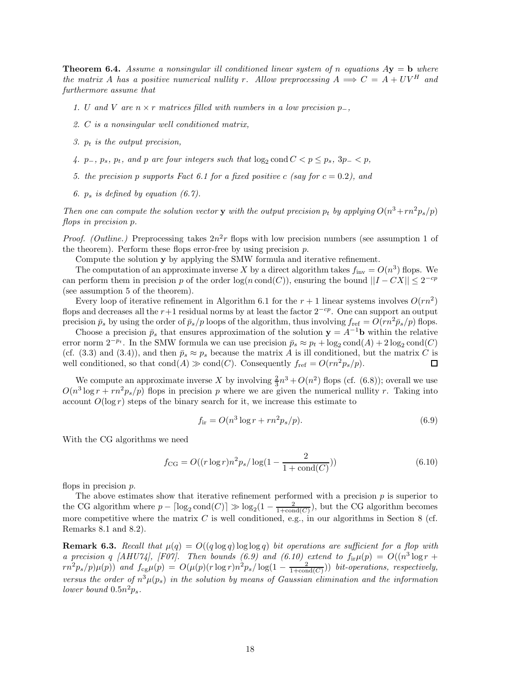**Theorem 6.4.** *Assume a nonsingular ill conditioned linear system of n equations*  $A$ **y** = **b** *where the matrix A has a positive numerical nullity r.* Allow preprocessing  $A \implies C = A + UV^H$  and *furthermore assume that*

- *1. U* and *V* are  $n \times r$  matrices filled with numbers in a low precision  $p_$ ,
- *2. C is a nonsingular well conditioned matrix,*
- *3. p<sup>t</sup> is the output precision,*
- *4.*  $p_-, p_s, p_t, and p are four integers such that  $\log_2 \text{cond } C < p \leq p_s, 3p_- < p$ ,$
- *5. the precision p supports Fact 6.1 for a fixed positive c (say for*  $c = 0.2$ ), and
- *6. p<sup>s</sup> is defined by equation (6.7).*

*Then one can compute the solution vector* **y** *with the output precision*  $p_t$  *by applying*  $O(n^3 + rn^2p_s/p)$ *flops in precision p.*

*Proof. (Outline.)* Preprocessing takes  $2n^2r$  flops with low precision numbers (see assumption 1 of the theorem). Perform these flops error-free by using precision *p*.

Compute the solution **y** by applying the SMW formula and iterative refinement.

The computation of an approximate inverse X by a direct algorithm takes  $f_{\text{inv}} = O(n^3)$  flops. We can perform them in precision *p* of the order  $log(n \text{ cond}(C))$ , ensuring the bound  $||I - CX|| \leq 2^{-cp}$ (see assumption 5 of the theorem).

Every loop of iterative refinement in Algorithm 6.1 for the  $r + 1$  linear systems involves  $O(rn^2)$ flops and decreases all the *r*+1 residual norms by at least the factor 2−*cp*. One can support an output precision  $\bar{p}_s$  by using the order of  $\bar{p}_s/p$  loops of the algorithm, thus involving  $f_{\text{ref}} = O(rn^2\bar{p}_s/p)$  flops.

Choose a precision  $\bar{p}_s$  that ensures approximation of the solution  $\mathbf{y} = A^{-1}\mathbf{b}$  within the relative error norm  $2^{-pt}$ . In the SMW formula we can use precision  $\bar{p}_s \approx p_t + \log_2 \text{cond}(A) + 2 \log_2 \text{cond}(C)$ (cf. (3.3) and (3.4)), and then  $\bar{p}_s \approx p_s$  because the matrix *A* is ill conditioned, but the matrix *C* is well conditioned, so that  $cond(A) \gg cond(C)$ . Consequently  $f_{ref} = O(rn^2p_s/p)$ .  $\Box$ 

We compute an approximate inverse X by involving  $\frac{2}{3}n^3 + O(n^2)$  flops (cf. (6.8)); overall we use  $O(n^3 \log r + r n^2 p_s / p)$  flops in precision *p* where we are given the numerical nullity *r*. Taking into account  $O(\log r)$  steps of the binary search for it, we increase this estimate to

$$
f_{\rm ir} = O(n^3 \log r + r n^2 p_s / p). \tag{6.9}
$$

With the CG algorithms we need

$$
f_{\text{CG}} = O((r \log r)n^2 p_s / \log(1 - \frac{2}{1 + \text{cond}(C)}))
$$
\n(6.10)

flops in precision *p*.

The above estimates show that iterative refinement performed with a precision *p* is superior to the CG algorithm where  $p - \lceil \log_2 \text{cond}(C) \rceil \gg \log_2(1 - \frac{2}{1 + \text{cond}(C)})$ , but the CG algorithm becomes more competitive where the matrix  $C$  is well conditioned, e.g., in our algorithms in Section 8 (cf. Remarks 8.1 and 8.2).

**Remark 6.3.** *Recall that*  $\mu(q) = O((q \log q) \log \log q)$  *bit operations are sufficient for a flop with a* precision *q* [AHU74], [F07]. Then bounds (6.9) and (6.10) extend to  $f_{ir}\mu(p) = O((n^3 \log r +$  $r n^2 p_s(p) \mu(p)$  and  $f_{cg} \mu(p) = O(\mu(p) (r \log r) n^2 p_s / \log(1 - \frac{2}{1 + \text{cond}(C)}))$  bit-operations, respectively, *versus the order of*  $n^3\mu(p_s)$  *in the solution by means of Gaussian elimination and the information lower bound*  $0.5n^2p_s$ .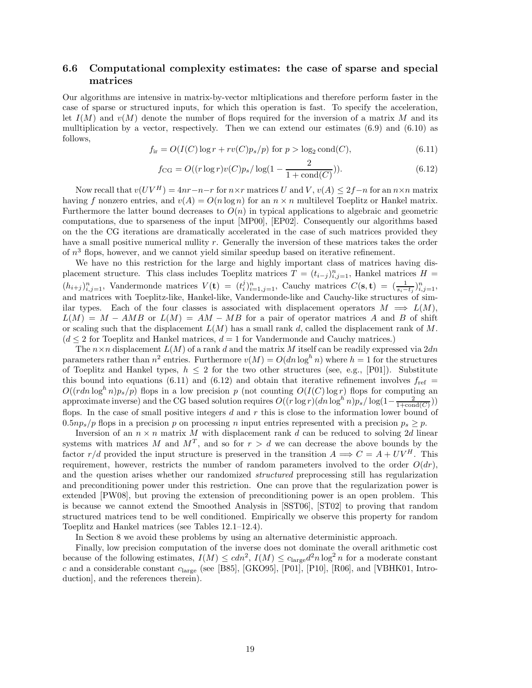# **6.6 Computational complexity estimates: the case of sparse and special matrices**

Our algorithms are intensive in matrix-by-vector mltiplications and therefore perform faster in the case of sparse or structured inputs, for which this operation is fast. To specify the acceleration, let  $I(M)$  and  $v(M)$  denote the number of flops required for the inversion of a matrix M and its mulltiplication by a vector, respectively. Then we can extend our estimates  $(6.9)$  and  $(6.10)$  as follows,

$$
f_{ir} = O(I(C)\log r + rv(C)p_s/p) \text{ for } p > \log_2 \text{cond}(C),\tag{6.11}
$$

$$
f_{\text{CG}} = O((r \log r)v(C)p_s/\log(1 - \frac{2}{1 + \text{cond}(C)})).
$$
\n(6.12)

Now recall that  $v(UV^H) = 4nr - n - r$  for  $n \times r$  matrices *U* and *V*,  $v(A) \leq 2f - n$  for an  $n \times n$  matrix having *f* nonzero entries, and  $v(A) = O(n \log n)$  for an  $n \times n$  multilevel Toeplitz or Hankel matrix. Furthermore the latter bound decreases to  $O(n)$  in typical applications to algebraic and geometric computations, due to sparseness of the input [MP00], [EP02]. Consequently our algorithms based on the the CG iterations are dramatically accelerated in the case of such matrices provided they have a small positive numerical nullity *r*. Generally the inversion of these matrices takes the order of  $n<sup>3</sup>$  flops, however, and we cannot yield similar speedup based on iterative refinement.

We have no this restriction for the large and highly important class of matrices having displacement structure. This class includes Toeplitz matrices  $\hat{T} = (t_{i-j})_{i,j=1}^n$ , Hankel matrices  $H =$  $(h_{i+j})_{i,j=1}^n$ , Vandermonde matrices  $V(\mathbf{t}) = (t_i^j)_{i=1,j=1}^n$ , Cauchy matrices  $C(\mathbf{s}, \mathbf{t}) = (\frac{1}{s_i - t_j})_{i,j=1}^n$ and matrices with Toeplitz-like, Hankel-like, Vandermonde-like and Cauchy-like structures of similar types. Each of the four classes is associated with displacement operators  $M \implies L(M)$ ,  $L(M) = M - AMB$  or  $L(M) = AM - MB$  for a pair of operator matrices *A* and *B* of shift or scaling such that the displacement *L*(*M*) has a small rank *d*, called the displacement rank of *M*.  $(d \leq 2$  for Toeplitz and Hankel matrices,  $d = 1$  for Vandermonde and Cauchy matrices.)

The *n*×*n* displacement *L*(*M*) of a rank *d* and the matrix *M* itself can be readily expressed via 2*dn* parameters rather than  $n^2$  entries. Furthermore  $v(M) = O(dn \log^h n)$  where  $h = 1$  for the structures of Toeplitz and Hankel types,  $h \leq 2$  for the two other structures (see, e.g., [P01]). Substitute this bound into equations (6.11) and (6.12) and obtain that iterative refinement involves  $f_{ref}$  =  $O((rdn \log^h n)p_s/p)$  flops in a low precision *p* (not counting  $O(I(C) \log r)$  flops for computing an approximate inverse) and the CG based solution requires  $O((r \log r)(dn \log^h n)p_s/\log(1-\frac{2}{1+\text{cond}(C)}))$ flops. In the case of small positive integers *d* and *r* this is close to the information lower bound of  $0.5np_s/p$  flops in a precision p on processing n input entries represented with a precision  $p_s \geq p$ .

Inversion of an  $n \times n$  matrix M with displacement rank d can be reduced to solving 2d linear systems with matrices M and  $M<sup>T</sup>$ , and so for  $r > d$  we can decrease the above bounds by the factor  $r/d$  provided the input structure is preserved in the transition  $A \implies C = A + UV^H$ . This requirement, however, restricts the number of random parameters involved to the order  $O(dr)$ , and the question arises whether our randomized *structured* preprocessing still has regularization and preconditioning power under this restriction. One can prove that the regularization power is extended [PW08], but proving the extension of preconditioning power is an open problem. This is because we cannot extend the Smoothed Analysis in [SST06], [ST02] to proving that random structured matrices tend to be well conditioned. Empirically we observe this property for random Toeplitz and Hankel matrices (see Tables 12.1–12.4).

In Section 8 we avoid these problems by using an alternative deterministic approach.

Finally, low precision computation of the inverse does not dominate the overall arithmetic cost because of the following estimates,  $I(M) \leq cdn^2$ ,  $I(M) \leq c_{\text{large}}d^2n \log^2 n$  for a moderate constant *c* and a considerable constant *c*large (see [B85], [GKO95], [P01], [P10], [R06], and [VBHK01, Introduction], and the references therein).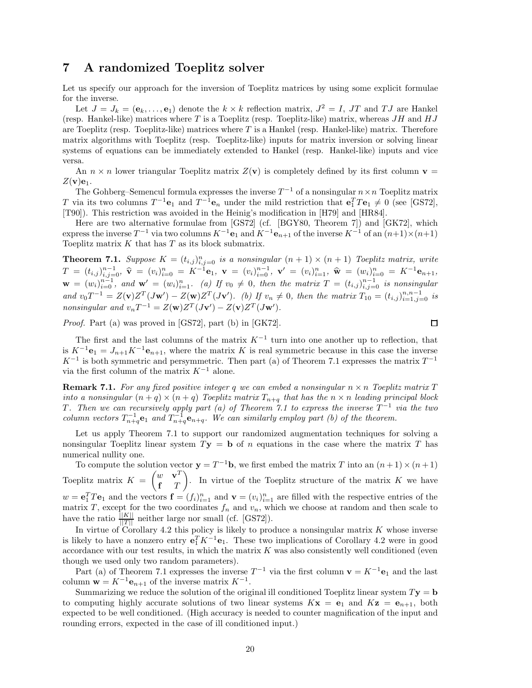# **7 A randomized Toeplitz solver**

Let us specify our approach for the inversion of Toeplitz matrices by using some explicit formulae for the inverse.

Let  $J = J_k = (e_k, \ldots, e_1)$  denote the  $k \times k$  reflection matrix,  $J^2 = I$ , JT and TJ are Hankel (resp. Hankel-like) matrices where *T* is a Toeplitz (resp. Toeplitz-like) matrix, whereas *JH* and *HJ* are Toeplitz (resp. Toeplitz-like) matrices where *T* is a Hankel (resp. Hankel-like) matrix. Therefore matrix algorithms with Toeplitz (resp. Toeplitz-like) inputs for matrix inversion or solving linear systems of equations can be immediately extended to Hankel (resp. Hankel-like) inputs and vice versa.

An  $n \times n$  lower triangular Toeplitz matrix  $Z(\mathbf{v})$  is completely defined by its first column  $\mathbf{v} =$  $Z(\mathbf{v})\mathbf{e}_1$ .

The Gohberg–Semencul formula expresses the inverse  $T^{-1}$  of a nonsingular  $n \times n$  Toeplitz matrix *T* via its two columns  $T^{-1}\mathbf{e}_1$  and  $T^{-1}\mathbf{e}_n$  under the mild restriction that  $\mathbf{e}_1^T T \mathbf{e}_1 \neq 0$  (see [GS72], [T90]). This restriction was avoided in the Heinig's modification in [H79] and [HR84].

Here are two alternative formulae from [GS72] (cf. [BGY80, Theorem 7]) and [GK72], which express the inverse  $T^{-1}$  via two columns  $K^{-1}$ **e**<sub>1</sub> and  $K^{-1}$ **e**<sub>*n*+1</sub> of the inverse  $K^{-1}$  of an  $(n+1) \times (n+1)$ Toeplitz matrix *K* that has *T* as its block submatrix.

**Theorem 7.1.** Suppose  $K = (t_{i,j})_{i,j=0}^n$  is a nonsingular  $(n + 1) \times (n + 1)$  Toeplitz matrix, write  $T\,=\,(t_{i,j})_{i,j=0}^{n-1},\ \widehat{\bf v}\,=\,(v_{i})_{i=0}^{n}\,=\,K^{-1}{\bf e}_{1},\ \mathbf{v}\,=\,(v_{i})_{i=0}^{n-1},\ \mathbf{v}'\,=\,(v_{i})_{i=1}^{n},\ \widehat{\bf w}\,=\,(w_{i})_{i=0}^{n}\,=\,K^{-1}{\bf e}_{n+1},$  $\mathbf{w} = (w_i)_{i=0}^{n-1}$ , and  $\mathbf{w}' = (w_i)_{i=1}^n$ . (a) If  $v_0 \neq 0$ , then the matrix  $T = (t_{i,j})_{i,j=0}^{n-1}$  is nonsingular and  $v_0 T^{-1} = Z(\mathbf{v}) Z^T (J\mathbf{w}') - Z(\mathbf{w}) Z^T (J\mathbf{v}')$ . (b) If  $v_n \neq 0$ , then the matrix  $T_{10} = (t_{i,j})_{i=1,j=0}^{n,n-1}$  is *nonsingular and*  $v_n T^{-1} = Z(\mathbf{w})Z^T(J\mathbf{v}') - Z(\mathbf{v})Z^T(J\mathbf{w}')$ .

*Proof.* Part (a) was proved in [GS72], part (b) in [GK72].

口

The first and the last columns of the matrix  $K^{-1}$  turn into one another up to reflection, that is  $K^{-1}$ **e**<sub>1</sub> =  $J_{n+1}K^{-1}$ **e**<sub>*n*+1</sub>, where the matrix *K* is real symmetric because in this case the inverse  $K^{-1}$  is both symmetric and persymmetric. Then part (a) of Theorem 7.1 expresses the matrix  $T^{-1}$ via the first column of the matrix *K*−<sup>1</sup> alone.

**Remark 7.1.** For any fixed positive integer q we can embed a nonsingular  $n \times n$  Toeplitz matrix T *into a nonsingular*  $(n+q) \times (n+q)$  *Toeplitz matrix*  $T_{n+q}$  *that has the*  $n \times n$  *leading principal block T.* Then we can recursively apply part (a) of Theorem 7.1 to express the inverse  $T^{-1}$  via the two *column vectors*  $T_{n+q}^{-1}e_1$  *and*  $T_{n+q}^{-1}e_{n+q}$ *. We can similarly employ part (b) of the theorem.* 

Let us apply Theorem 7.1 to support our randomized augmentation techniques for solving a nonsingular Toeplitz linear system  $T$ **y** = **b** of *n* equations in the case where the matrix *T* has numerical nullity one.

To compute the solution vector  $\mathbf{y} = T^{-1}\mathbf{b}$ , we first embed the matrix *T* into an  $(n+1) \times (n+1)$ Toeplitz matrix  $K = \begin{pmatrix} w & \mathbf{v}^T \\ \mathbf{r} & T \end{pmatrix}$ **f** *T* . In virtue of the Toeplitz structure of the matrix  $K$  we have  $w = e_1^T T e_1$  and the vectors  $f = (f_i)_{i=1}^n$  and  $v = (v_i)_{i=1}^n$  are filled with the respective entries of the matrix *T*, except for the two coordinates  $f_n$  and  $v_n$ , which we choose at random and then scale to have the ratio  $\frac{\tilde{||K||}}{||\tilde{Z}||}$  neither large nor small (cf. [GS72]).

In virtue of Corollary 4.2 this policy is likely to produce a nonsingular matrix  $K$  whose inverse is likely to have a nonzero entry  $\mathbf{e}_1^T K^{-1} \mathbf{e}_1$ . These two implications of Corollary 4.2 were in good accordance with our test results, in which the matrix *K* was also consistently well conditioned (even though we used only two random parameters).

Part (a) of Theorem 7.1 expresses the inverse  $T^{-1}$  via the first column  $\mathbf{v} = K^{-1} \mathbf{e}_1$  and the last column  $\mathbf{w} = K^{-1} \mathbf{e}_{n+1}$  of the inverse matrix  $K^{-1}$ .

Summarizing we reduce the solution of the original ill conditioned Toeplitz linear system  $T$ **y** = **b** to computing highly accurate solutions of two linear systems  $Kx = e_1$  and  $Kz = e_{n+1}$ , both expected to be well conditioned. (High accuracy is needed to counter magnification of the input and rounding errors, expected in the case of ill conditioned input.)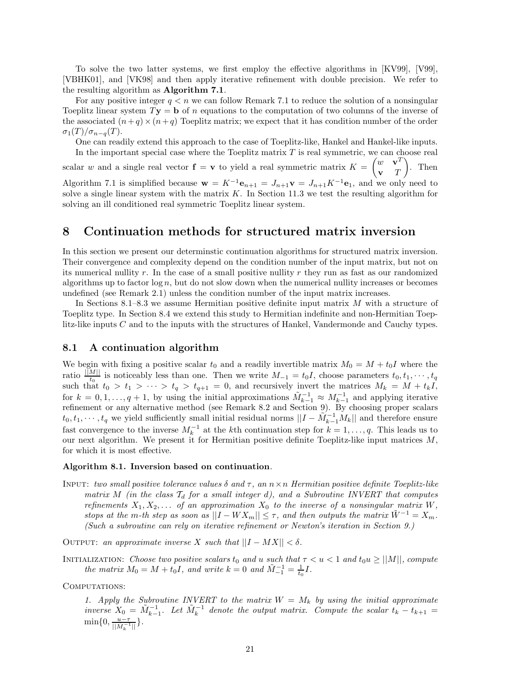To solve the two latter systems, we first employ the effective algorithms in [KV99], [V99], [VBHK01], and [VK98] and then apply iterative refinement with double precision. We refer to the resulting algorithm as **Algorithm 7.1**.

For any positive integer  $q < n$  we can follow Remark 7.1 to reduce the solution of a nonsingular Toeplitz linear system  $Ty = \mathbf{b}$  of *n* equations to the computation of two columns of the inverse of the associated  $(n+q) \times (n+q)$  Toeplitz matrix; we expect that it has condition number of the order  $\sigma_1(T)/\sigma_{n-q}(T)$ .

One can readily extend this approach to the case of Toeplitz-like, Hankel and Hankel-like inputs. In the important special case where the Toeplitz matrix *T* is real symmetric, we can choose real scalar *w* and a single real vector  $\mathbf{f} = \mathbf{v}$  to yield a real symmetric matrix  $K = \begin{pmatrix} w & \mathbf{v}^T \\ w & w \end{pmatrix}$ **v** *T*  $\overline{ }$ . Then

Algorithm 7.1 is simplified because  $\mathbf{w} = K^{-1}\mathbf{e}_{n+1} = J_{n+1}\mathbf{v} = J_{n+1}K^{-1}\mathbf{e}_1$ , and we only need to solve a single linear system with the matrix  $K$ . In Section 11.3 we test the resulting algorithm for solving an ill conditioned real symmetric Toeplitz linear system.

# **8 Continuation methods for structured matrix inversion**

In this section we present our determinstic continuation algorithms for structured matrix inversion. Their convergence and complexity depend on the condition number of the input matrix, but not on its numerical nullity *r*. In the case of a small positive nullity *r* they run as fast as our randomized algorithms up to factor  $\log n$ , but do not slow down when the numerical nullity increases or becomes undefined (see Remark 2.1) unless the condition number of the input matrix increases.

In Sections 8.1–8.3 we assume Hermitian positive definite input matrix *M* with a structure of Toeplitz type. In Section 8.4 we extend this study to Hermitian indefinite and non-Hermitian Toeplitz-like inputs *C* and to the inputs with the structures of Hankel, Vandermonde and Cauchy types.

## **8.1 A continuation algorithm**

We begin with fixing a positive scalar  $t_0$  and a readily invertible matrix  $M_0 = M + t_0 I$  where the ratio  $\frac{||M||}{t_0}$  is noticeably less than one. Then we write  $M_{-1} = t_0 I$ , choose parameters  $t_0, t_1, \cdots, t_q$ such that  $t_0 > t_1 > \cdots > t_q > t_{q+1} = 0$ , and recursively invert the matrices  $M_k = M + t_k I$ , for  $k = 0, 1, \ldots, q + 1$ , by using the initial approximations  $\tilde{M}_{k-1}^{-1} \approx M_{k-1}^{-1}$  and applying iterative refinement or any alternative method (see Remark 8.2 and Section 9). By choosing proper scalars  $t_0, t_1, \dots, t_q$  we yield sufficiently small initial residual norms  $||I - \tilde{M}_{k-1}^{-1}M_k||$  and therefore ensure fast convergence to the inverse  $M_k^{-1}$  at the *k*th continuation step for  $k = 1, \ldots, q$ . This leads us to our next algorithm. We present it for Hermitian positive definite Toeplitz-like input matrices *M*, for which it is most effective.

#### **Algorithm 8.1. Inversion based on continuation***.*

Input: *two small positive tolerance values δ and τ , an n*×*n Hermitian positive definite Toeplitz-like matrix M* (in the class  $T_d$  for a small integer d), and a Subroutine INVERT that computes *refinements*  $X_1, X_2, \ldots$  *of an approximation*  $X_0$  *to the inverse of a nonsingular matrix*  $W$ *, stops at the m*-th step as soon as  $||I - W X_m|| \leq \tau$ , and then outputs the matrix  $\tilde{W}^{-1} = X_m$ . *(Such a subroutine can rely on iterative refinement or Newton's iteration in Section 9.)*

OUTPUT: *an approximate inverse X such that*  $||I - MX|| < \delta$ .

INITIALIZATION: *Choose two positive scalars*  $t_0$  *and*  $u$  *such that*  $\tau < u < 1$  *and*  $t_0 u \ge ||M||$ *, compute the matrix*  $M_0 = M + t_0 I$ *, and write*  $k = 0$  *and*  $\tilde{M}_{-1}^{-1} = \frac{1}{t_0} I$ *.* 

COMPUTATIONS:

1. Apply the Subroutine INVERT to the matrix  $W = M_k$  by using the initial approximate *inverse*  $X_0 = \tilde{M}_{k-1}^{-1}$ . Let  $\tilde{M}_k^{-1}$  denote the output matrix. Compute the scalar  $t_k - t_{k+1} =$  $\min\{0, \frac{u-\tau}{||\tilde{M}_k^{-1}||}\}.$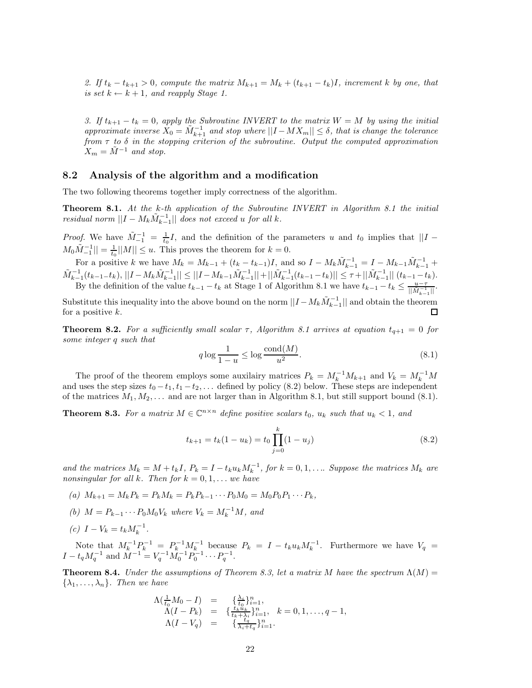*2.* If  $t_k - t_{k+1} > 0$ , compute the matrix  $M_{k+1} = M_k + (t_{k+1} - t_k)I$ , increment k by one, that *is set*  $k \leftarrow k + 1$ *, and reapply Stage 1.* 

*3.* If  $t_{k+1} - t_k = 0$ , apply the Subroutine INVERT to the matrix  $W = M$  by using the initial  $a$ *approximate inverse*  $\tilde{X}_0 = \tilde{M}_{k+1}^{-1}$  *and stop where*  $||I - MX_m|| \leq \delta$ *, that is change the tolerance from τ to δ in the stopping criterion of the subroutine. Output the computed approximation*  $X_m = \tilde{M}^{-1}$  *and stop.* 

#### **8.2 Analysis of the algorithm and a modification**

The two following theorems together imply correctness of the algorithm.

**Theorem 8.1.** *At the k-th application of the Subroutine INVERT in Algorithm 8.1 the initial residual norm*  $||I - M_k \tilde{M}_{k-1}^{-1}||$  *does not exceed u for all k.* 

*Proof.* We have  $\tilde{M}_{-1}^{-1} = \frac{1}{t_0}I$ , and the definition of the parameters *u* and  $t_0$  implies that  $||I M_0 \tilde{M}_{-1}^{-1} \leq \frac{1}{t_0} ||M|| \leq u$ . This proves the theorem for  $k = 0$ .

For a positive k we have  $M_k = M_{k-1} + (t_k - t_{k-1})I$ , and so  $I - M_k\tilde{M}_{k-1}^{-1} = I - M_{k-1}\tilde{M}_{k-1}^{-1} +$  $\tilde{M}_{k-1}^{-1}(t_{k-1}-t_k),||I-M_k\tilde{M}_{k-1}^{-1}||\leq ||I-M_{k-1}\tilde{M}_{k-1}^{-1}||+||\tilde{M}_{k-1}^{-1}(t_{k-1}-t_k)||\leq \tau+||\tilde{M}_{k-1}^{-1}||\ (t_{k-1}-t_k).$ By the definition of the value  $t_{k-1} - t_k$  at Stage 1 of Algorithm 8.1 we have  $t_{k-1} - t_k \leq \frac{u-\tau}{||M_{k-1}^{-1}||}$ .

Substitute this inequality into the above bound on the norm  $||I - M_k \tilde{M}_{k-1}^{-1}||$  and obtain the theorem for a positive *k*.

**Theorem 8.2.** *For a sufficiently small scalar*  $\tau$ , *Algorithm 8.1 arrives at equation*  $t_{q+1} = 0$  *for some integer q such that*

$$
q \log \frac{1}{1-u} \le \log \frac{\text{cond}(M)}{u^2}.
$$
\n(8.1)

The proof of the theorem employs some auxilairy matrices  $P_k = M_k^{-1} M_{k+1}$  and  $V_k = M_k^{-1} M_k$ and uses the step sizes  $t_0 - t_1, t_1 - t_2, \ldots$  defined by policy (8.2) below. These steps are independent of the matrices  $M_1, M_2, \ldots$  and are not larger than in Algorithm 8.1, but still support bound (8.1).

**Theorem 8.3.** For a matrix  $M \in \mathbb{C}^{n \times n}$  define positive scalars  $t_0$ ,  $u_k$  such that  $u_k < 1$ , and

$$
t_{k+1} = t_k(1 - u_k) = t_0 \prod_{j=0}^k (1 - u_j)
$$
\n(8.2)

and the matrices  $M_k = M + t_k I$ ,  $P_k = I - t_k u_k M_k^{-1}$ , for  $k = 0, 1, \ldots$  Suppose the matrices  $M_k$  are *nonsingular for all k. Then for*  $k = 0, 1, \ldots$  *we have* 

- $(n)$   $M_{k+1} = M_k P_k = P_k M_k = P_k P_{k-1} \cdots P_0 M_0 = M_0 P_0 P_1 \cdots P_k$
- *(b)*  $M = P_{k-1} \cdots P_0 M_0 V_k$  where  $V_k = M_k^{-1} M$ , and
- $(c)$   $I V_k = t_k M_k^{-1}$ .

Note that  $M_k^{-1}P_k^{-1} = P_k^{-1}M_k^{-1}$  because  $P_k = I - t_k u_k M_k^{-1}$ . Furthermore we have  $V_q =$  $I - t_q M_q^{-1}$  and  $\tilde{M}^{-1} = V_q^{-1} \tilde{M}_0^{-1} P_0^{-1} \cdots P_q^{-1}$ .

**Theorem 8.4.** *Under the assumptions of Theorem 8.3, let a matrix M* have the spectrum  $\Lambda(M)$  =  ${\lambda_1, \ldots, \lambda_n}$ *. Then we have* 

$$
\begin{array}{rcl}\n\Lambda(\frac{1}{t_0}M_0 - I) & = & \{\frac{\lambda_i}{t_0}\}_{i=1}^n, \\
\Lambda(I - P_k) & = & \{\frac{t_k u_k}{t_k + \lambda}\}_{i=1}^n, \quad k = 0, 1, \dots, q - 1, \\
\Lambda(I - V_q) & = & \{\frac{t_q}{\lambda_i + t_q}\}_{i=1}^n.\n\end{array}
$$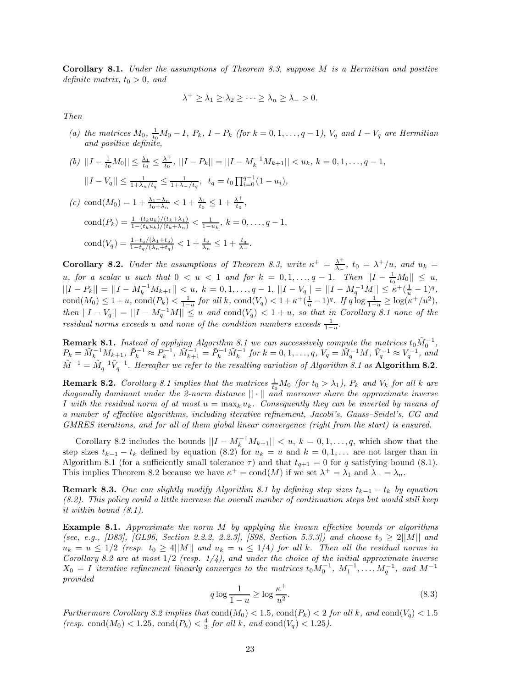**Corollary 8.1.** *Under the assumptions of Theorem 8.3, suppose M is a Hermitian and positive definite matrix,*  $t_0 > 0$ *, and* 

$$
\lambda^+ \geq \lambda_1 \geq \lambda_2 \geq \cdots \geq \lambda_n \geq \lambda_- > 0.
$$

*Then*

- (a) the matrices  $M_0$ ,  $\frac{1}{t_0}M_0 I$ ,  $P_k$ ,  $I P_k$  (for  $k = 0, 1, ..., q 1$ ),  $V_q$  and  $I V_q$  are Hermitian *and positive definite,*
- (b)  $||I \frac{1}{t_0}M_0|| \leq \frac{\lambda_1}{t_0} \leq \frac{\lambda^+}{t_0}$ ,  $||I P_k|| = ||I M_k^{-1}M_{k+1}|| < u_k$ ,  $k = 0, 1, ..., q 1$ ,  $||I - V_q|| \leq \frac{1}{1 + \lambda_n / t_q} \leq \frac{1}{1 + \lambda_n / t_q}, \quad t_q = t_0 \prod_{i=0}^{q-1} (1 - u_i),$
- $f(c)$  cond $(M_0) = 1 + \frac{\lambda_1 \lambda_n}{t_0 + \lambda_n} < 1 + \frac{\lambda_1}{t_0} \leq 1 + \frac{\lambda^+}{t_0},$ cond $(P_k) = \frac{1-(t_ku_k)/(t_k+\lambda_1)}{1-(t_ku_k)/(t_k+\lambda_n)} < \frac{1}{1-u_k}, k = 0, \ldots, q-1,$ cond $(V_q) = \frac{1-t_q/(\lambda_1+t_q)}{1-t_q/(\lambda_n+t_q)} < 1+\frac{t_q}{\lambda_n} \leq 1+\frac{t_q}{\lambda_-}.$

**Corollary 8.2.** *Under the assumptions of Theorem 8.3, write*  $\kappa^+ = \frac{\lambda^+}{\lambda_-}$ ,  $t_0 = \lambda^+ / u$ , and  $u_k =$  $u, \text{ for a scalar } u \text{ such that } 0 < u < 1 \text{ and for } k = 0, 1, \ldots, q - 1. \text{ Then } ||I - \frac{1}{t_0}M_0|| \leq u,$  $||I - P_k|| = ||I - M_k^{-1}M_{k+1}|| < u, k = 0, 1, ..., q-1, ||I - V_q|| = ||I - M_q^{-1}M|| \le \kappa^+(\frac{1}{u} - 1)^q,$  $\text{cond}(M_0) \le 1+u$ ,  $\text{cond}(P_k) < \frac{1}{1-u}$  for all k,  $\text{cond}(V_q) < 1+\kappa^+(\frac{1}{u}-1)^q$ . If  $q \log \frac{1}{1-u} \ge \log(\kappa^+/u^2)$ , *then*  $||I - V_q|| = ||I - M_q^{-1}M|| ≤ u$  *and* cond( $V_q$ ) < 1 + *u, so that in Corollary 8.1 none of the residual norms exceeds u* and none of the condition numbers exceeds  $\frac{1}{1-u}$ .

**Remark 8.1.** *Instead of applying Algorithm 8.1 we can successively compute the matrices*  $t_0\tilde{M}_0^{-1}$ ,  $P_k = \tilde{M}_k^{-1} M_{k+1}, \tilde{P}_k^{-1} \approx P_k^{-1}, \tilde{M}_{k+1}^{-1} = \tilde{P}_k^{-1} \tilde{M}_k^{-1}$  for  $k = 0, 1, ..., q, V_q = \tilde{M}_q^{-1} M, \tilde{V}_q^{-1} \approx V_q^{-1},$  and  $\tilde{M}^{-1} = \tilde{M}_a^{-1} \tilde{V}_a^{-1}$ . Hereafter we refer to the resulting variation of Algorithm 8.1 as **Algorithm 8.2***.* 

**Remark 8.2.** Corollary 8.1 implies that the matrices  $\frac{1}{t_0}M_0$  (for  $t_0 > \lambda_1$ ),  $P_k$  and  $V_k$  for all  $k$  are *diagonally dominant under the 2-norm distance* || · || *and moreover share the approximate inverse I* with the residual norm of at most  $u = \max_k u_k$ . Consequently they can be inverted by means of *a number of effective algorithms, including iterative refinement, Jacobi's, Gauss–Seidel's, CG and GMRES iterations, and for all of them global linear convergence (right from the start) is ensured.*

Corollary 8.2 includes the bounds  $||I - M_k^{-1}M_{k+1}|| < u, k = 0, 1, ..., q$ , which show that the step sizes  $t_{k-1} - t_k$  defined by equation (8.2) for  $u_k = u$  and  $k = 0, 1, \ldots$  are not larger than in Algorithm 8.1 (for a sufficiently small tolerance  $\tau$ ) and that  $t_{q+1} = 0$  for *q* satisfying bound (8.1). This implies Theorem 8.2 because we have  $\kappa^+ = \text{cond}(M)$  if we set  $\lambda^+ = \lambda_1$  and  $\lambda_- = \lambda_n$ .

**Remark 8.3.** One can slightly modify Algorithm 8.1 by defining step sizes  $t_{k-1} - t_k$  by equation *(8.2). This policy could a little increase the overall number of continuation steps but would still keep it within bound (8.1).*

**Example 8.1.** *Approximate the norm M by applying the known effective bounds or algorithms (see, e.g., [D83], [GL96, Section 2.2.2, 2.2.3], [S98, Section 5.3.3]) and choose*  $t_0 \geq 2||M||$  *and*  $u_k = u \leq 1/2$  (resp.  $t_0 \geq 4||M||$  and  $u_k = u \leq 1/4$ ) for all k. Then all the residual norms in *Corollary 8.2 are at most* 1*/*2 *(resp. 1/4), and under the choice of the initial approximate inverse*  $X_0 = I$  *iterative refinement linearly converges to the matrices*  $t_0M_0^{-1}$ ,  $M_1^{-1}$ ,  $\ldots$ ,  $M_q^{-1}$ , and  $M^{-1}$ *provided*

$$
q \log \frac{1}{1-u} \ge \log \frac{\kappa^+}{u^2}.\tag{8.3}
$$

*Furthermore Corollary 8.2 implies that*  $\text{cond}(M_0) < 1.5$ ,  $\text{cond}(P_k) < 2$  *for all k, and*  $\text{cond}(V_q) < 1.5$ *(resp.* cond( $M_0$ ) < 1.25*,* cond( $P_k$ ) <  $\frac{4}{3}$  *for all*  $k$ *, and* cond( $V_q$ ) < 1.25*)*.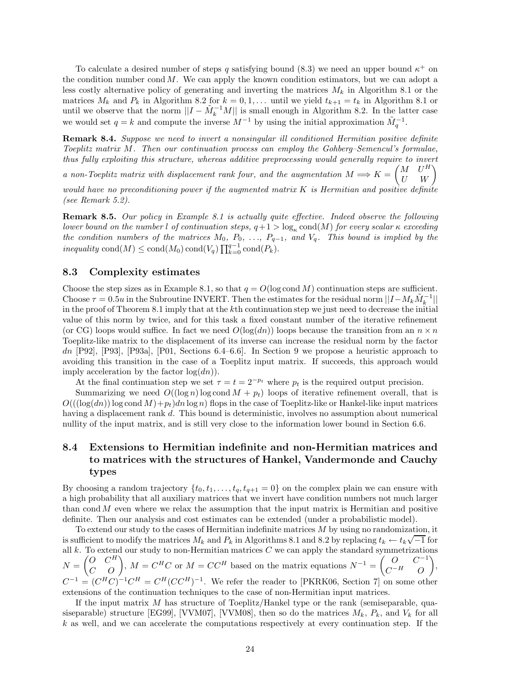To calculate a desired number of steps *q* satisfying bound (8.3) we need an upper bound  $\kappa^+$  on the condition number cond *M*. We can apply the known condition estimators, but we can adopt a less costly alternative policy of generating and inverting the matrices *M<sup>k</sup>* in Algorithm 8.1 or the matrices  $M_k$  and  $P_k$  in Algorithm 8.2 for  $k = 0, 1, \ldots$  until we yield  $t_{k+1} = t_k$  in Algorithm 8.1 or until we observe that the norm  $||I - \tilde{M}_k^{-1}M||$  is small enough in Algorithm 8.2. In the latter case we would set  $q = k$  and compute the inverse  $M^{-1}$  by using the initial approximation  $\tilde{M}_q^{-1}$ .

**Remark 8.4.** *Suppose we need to invert a nonsingular ill conditioned Hermitian positive definite Toeplitz matrix M. Then our continuation process can employ the Gohberg–Semencul's formulae, thus fully exploiting this structure, whereas additive preprocessing would generally require to invert*

*a* non-Toeplitz matrix with displacement rank four, and the augmentation  $M \Longrightarrow K = \begin{pmatrix} M & U^H \\ U & W \end{pmatrix}$ 

*would have no preconditioning power if the augmented matrix K is Hermitian and positive definite (see Remark 5.2).*

**Remark 8.5.** *Our policy in Example 8.1 is actually quite effective. Indeed observe the following lower bound on the number l of continuation steps,*  $q+1 > \log_{\kappa} \text{cond}(M)$  *for every scalar*  $\kappa$  *exceeding the condition numbers of the matrices*  $M_0$ ,  $P_0$ ,  $\ldots$ ,  $P_{q-1}$ , and  $V_q$ . This bound is implied by the  $inequality \text{ cond}(M) \leq \text{cond}(M_0) \text{ cond}(V_q) \prod_{k=0}^{q-1} \text{cond}(P_k)$ .

### **8.3 Complexity estimates**

Choose the step sizes as in Example 8.1, so that  $q = O(\log \text{cond } M)$  continuation steps are sufficient. Choose  $\tau = 0.5u$  in the Subroutine INVERT. Then the estimates for the residual norm  $||I - M_k \tilde{M}_k^{-1}||$ in the proof of Theorem 8.1 imply that at the *k*th continuation step we just need to decrease the initial value of this norm by twice, and for this task a fixed constant number of the iterative refinement (or CG) loops would suffice. In fact we need  $O(log(dn))$  loops because the transition from an  $n \times n$ Toeplitz-like matrix to the displacement of its inverse can increase the residual norm by the factor *dn* [P92], [P93], [P93a], [P01, Sections 6.4–6.6]. In Section 9 we propose a heuristic approach to avoiding this transition in the case of a Toeplitz input matrix. If succeeds, this approach would imply acceleration by the factor log(*dn*)).

At the final continuation step we set  $\tau = t = 2^{-p_t}$  where  $p_t$  is the required output precision.

Summarizing we need  $O((\log n) \log \text{cond } M + p_t)$  loops of iterative refinement overall, that is  $O((\log(dn))$  log cond  $M$ )+ $p_t$  $dn$  log *n*) flops in the case of Toeplitz-like or Hankel-like input matrices having a displacement rank d. This bound is deterministic, involves no assumption about numerical nullity of the input matrix, and is still very close to the information lower bound in Section 6.6.

# **8.4 Extensions to Hermitian indefinite and non-Hermitian matrices and to matrices with the structures of Hankel, Vandermonde and Cauchy types**

By choosing a random trajectory  $\{t_0, t_1, \ldots, t_q, t_{q+1} = 0\}$  on the complex plain we can ensure with a high probability that all auxiliary matrices that we invert have condition numbers not much larger than cond *M* even where we relax the assumption that the input matrix is Hermitian and positive definite. Then our analysis and cost estimates can be extended (under a probabilistic model).

To extend our study to the cases of Hermitian indefinite matrices *M* by using no randomization, it is sufficient to modify the matrices  $M_k$  and  $P_k$  in Algorithms 8.1 and 8.2 by replacing  $t_k \leftarrow t_k \sqrt{-1}$  for all *k*. To extend our study to non-Hermitian matrices *C* we can apply the standard symmetrizations  $N = \begin{pmatrix} O & C^H \\ C & O \end{pmatrix}$ ,  $M = C^H C$  or  $M = C C^H$  based on the matrix equations  $N^{-1} = \begin{pmatrix} O & C^{-1} \\ C^{-H} & O \end{pmatrix}$ *C*−*<sup>H</sup> O*  $\overline{ }$ ,  $C^{-1} = (C^H C)^{-1} C^H = C^H (CC^H)^{-1}$ . We refer the reader to [PKRK06, Section 7] on some other extensions of the continuation techniques to the case of non-Hermitian input matrices.

If the input matrix *M* has structure of Toeplitz/Hankel type or the rank (semiseparable, quasiseparable) structure [EG99], [VVM07], [VVM08], then so do the matrices  $M_k$ ,  $P_k$ , and  $V_k$  for all *k* as well, and we can accelerate the computations respectively at every continuation step. If the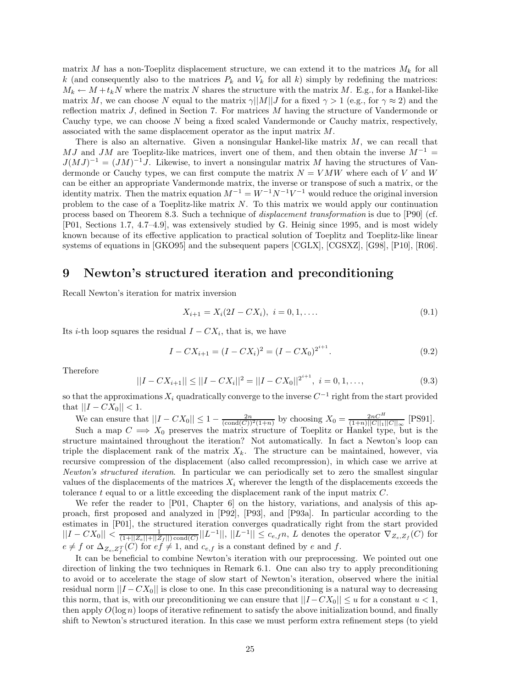matrix *M* has a non-Toeplitz displacement structure, we can extend it to the matrices  $M_k$  for all *k* (and consequently also to the matrices  $P_k$  and  $V_k$  for all *k*) simply by redefining the matrices:  $M_k \leftarrow M + t_k N$  where the matrix *N* shares the structure with the matrix *M*. E.g., for a Hankel-like matrix *M*, we can choose *N* equal to the matrix  $\gamma||M||J$  for a fixed  $\gamma > 1$  (e.g., for  $\gamma \approx 2$ ) and the reflection matrix *J*, defined in Section 7. For matrices *M* having the structure of Vandermonde or Cauchy type, we can choose *N* being a fixed scaled Vandermonde or Cauchy matrix, respectively, associated with the same displacement operator as the input matrix *M*.

There is also an alternative. Given a nonsingular Hankel-like matrix *M*, we can recall that *MJ* and *JM* are Toeplitz-like matrices, invert one of them, and then obtain the inverse  $M^{-1}$  =  $J(MJ)^{-1} = (JM)^{-1}J$ . Likewise, to invert a nonsingular matrix *M* having the structures of Vandermonde or Cauchy types, we can first compute the matrix  $N = VMW$  where each of *V* and *W* can be either an appropriate Vandermonde matrix, the inverse or transpose of such a matrix, or the identity matrix. Then the matrix equation  $M^{-1} = W^{-1}N^{-1}V^{-1}$  would reduce the original inversion problem to the case of a Toeplitz-like matrix *N*. To this matrix we would apply our continuation process based on Theorem 8.3. Such a technique of *displacement transformation* is due to [P90] (cf. [P01, Sections 1.7, 4.7–4.9], was extensively studied by G. Heinig since 1995, and is most widely known because of its effective application to practical solution of Toeplitz and Toeplitz-like linear systems of equations in [GKO95] and the subsequent papers [CGLX], [CGSXZ], [G98], [P10], [R06].

# **9 Newton's structured iteration and preconditioning**

Recall Newton's iteration for matrix inversion

$$
X_{i+1} = X_i(2I - CX_i), \quad i = 0, 1, \dots
$$
\n(9.1)

Its *i*-th loop squares the residual  $I - CX_i$ , that is, we have

$$
I - CX_{i+1} = (I - CX_i)^2 = (I - CX_0)^{2^{i+1}}.
$$
\n(9.2)

Therefore

$$
||I - CX_{i+1}|| \le ||I - CX_i||^2 = ||I - CX_0||^{2^{i+1}}, \quad i = 0, 1, ..., \tag{9.3}
$$

so that the approximations  $X_i$  quadratically converge to the inverse  $C^{-1}$  right from the start provided that  $||I - CX_0|| < 1$ .

We can ensure that  $||I - CX_0|| \le 1 - \frac{2n}{(\text{cond}(C))^2(1+n)}$  by choosing  $X_0 = \frac{2nC^H}{(1+n)||C||_1||C||_{\infty}}$  [PS91]. Such a map  $C \implies X_0$  preserves the matrix structure of Toeplitz or Hankel type, but is the

structure maintained throughout the iteration? Not automatically. In fact a Newton's loop can triple the displacement rank of the matrix  $X_k$ . The structure can be maintained, however, via recursive compression of the displacement (also called recompression), in which case we arrive at *Newton's structured iteration*. In particular we can periodically set to zero the smallest singular values of the displacements of the matrices  $X_i$  wherever the length of the displacements exceeds the tolerance *t* equal to or a little exceeding the displacement rank of the input matrix *C*.

We refer the reader to [P01, Chapter 6] on the history, variations, and analysis of this approach, first proposed and analyzed in [P92], [P93], and [P93a]. In particular according to the estimates in [P01], the structured iteration converges quadratically right from the start provided  $||I - CX_0|| < \frac{1}{(1+||Z_e||+||Z_f||)\operatorname{cond}(C)}||L^{-1}||, ||L^{-1}|| \leq c_{e,f}n, L$  denotes the operator  $\nabla_{Z_e, Z_f}(C)$  for  $e \neq f$  or  $\Delta_{Z_e, Z_f^T}(C)$  for  $e f \neq 1$ , and  $c_{e,f}$  is a constant defined by *e* and *f*.

It can be beneficial to combine Newton's iteration with our preprocessing. We pointed out one direction of linking the two techniques in Remark 6.1. One can also try to apply preconditioning to avoid or to accelerate the stage of slow start of Newton's iteration, observed where the initial residual norm  $||I - CX_0||$  is close to one. In this case preconditioning is a natural way to decreasing this norm, that is, with our preconditioning we can ensure that  $||I - CX_0|| \le u$  for a constant  $u < 1$ , then apply  $O(\log n)$  loops of iterative refinement to satisfy the above initialization bound, and finally shift to Newton's structured iteration. In this case we must perform extra refinement steps (to yield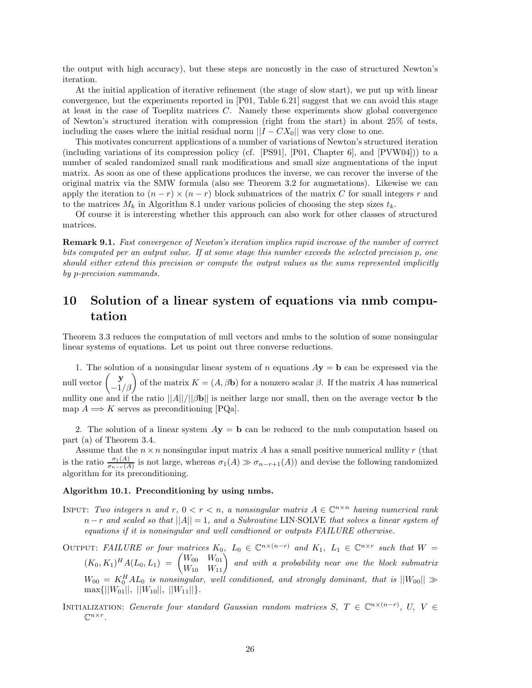the output with high accuracy), but these steps are noncostly in the case of structured Newton's iteration.

At the initial application of iterative refinement (the stage of slow start), we put up with linear convergence, but the experiments reported in [P01, Table 6.21] suggest that we can avoid this stage at least in the case of Toeplitz matrices *C*. Namely these experiments show global convergence of Newton's structured iteration with compression (right from the start) in about 25% of tests, including the cases where the initial residual norm  $||I - CX_0||$  was very close to one.

This motivates concurrent applications of a number of variations of Newton's structured iteration (including variations of its compression policy (cf. [PS91], [P01, Chapter 6], and [PVW04])) to a number of scaled randomized small rank modifications and small size augmentations of the input matrix. As soon as one of these applications produces the inverse, we can recover the inverse of the original matrix via the SMW formula (also see Theorem 3.2 for augmetations). Likewise we can apply the iteration to  $(n - r) \times (n - r)$  block submatrices of the matrix *C* for small integers *r* and to the matrices  $M_k$  in Algorithm 8.1 under various policies of choosing the step sizes  $t_k$ .

Of course it is interersting whether this approach can also work for other classes of structured matrices.

**Remark 9.1.** *Fast convergence of Newton's iteration implies rapid increase of the number of correct bits computed per an output value. If at some stage this number exceeds the selected precision p, one should either extend this precision or compute the output values as the sums represented implicitly by p-precision summands.*

# **10 Solution of a linear system of equations via nmb computation**

Theorem 3.3 reduces the computation of null vectors and nmbs to the solution of some nonsingular linear systems of equations. Let us point out three converse reductions.

1. The solution of a nonsingular linear system of *n* equations *A***y** = **b** can be expressed via the null vector  $\begin{pmatrix} \mathbf{y} \\ -1/\beta \end{pmatrix}$  of the matrix  $K = (A, \beta \mathbf{b})$  for a nonzero scalar  $\beta$ . If the matrix *A* has numerical nullity one and if the ratio ||*A*||*/*||*β***b**|| is neither large nor small, then on the average vector **b** the map  $A \Longrightarrow K$  serves as preconditioning  $|PQa|$ .

2. The solution of a linear system  $A$ **y** = **b** can be reduced to the nmb computation based on part (a) of Theorem 3.4.

Assume that the  $n \times n$  nonsingular input matrix A has a small positive numerical nullity r (that is the ratio  $\frac{\sigma_1(A)}{\sigma_{n-r}(A)}$  is not large, whereas  $\sigma_1(A) \gg \sigma_{n-r+1}(A)$  and devise the following randomized algorithm for its preconditioning.

## **Algorithm 10.1. Preconditioning by using nmbs.**

- INPUT: Two integers *n* and *r*,  $0 < r < n$ , a nonsingular matrix  $A \in \mathbb{C}^{n \times n}$  having numerical rank *n* − *r and scaled so that* ||*A*|| = 1*, and a Subroutine* LIN·SOLVE *that solves a linear system of equations if it is nonsingular and well condtioned or outputs FAILURE otherwise.*
- OUTPUT: FAILURE or four matrices  $K_0$ ,  $L_0 \in \mathbb{C}^{n \times (n-r)}$  and  $K_1$ ,  $L_1 \in \mathbb{C}^{n \times r}$  such that  $W =$  $(K_0, K_1)^H A (L_0, L_1) = \begin{pmatrix} W_{00} & W_{01} \ W_{10} & W_{11} \end{pmatrix}$  and with a probability near one the block submatrix  $W_{00} = K_0^H A L_0$  *is nonsingular, well conditioned, and strongly dominant, that is*  $||W_{00}|| \gg$  $\max\{||W_{01}||, ||W_{10}||, ||W_{11}||\}.$
- INITIALIZATION: *Generate four standard Gaussian random matrices*  $S, T \in \mathbb{C}^{n \times (n-r)}$ ,  $U, V \in$  $\mathbb{C}^{n \times r}$ .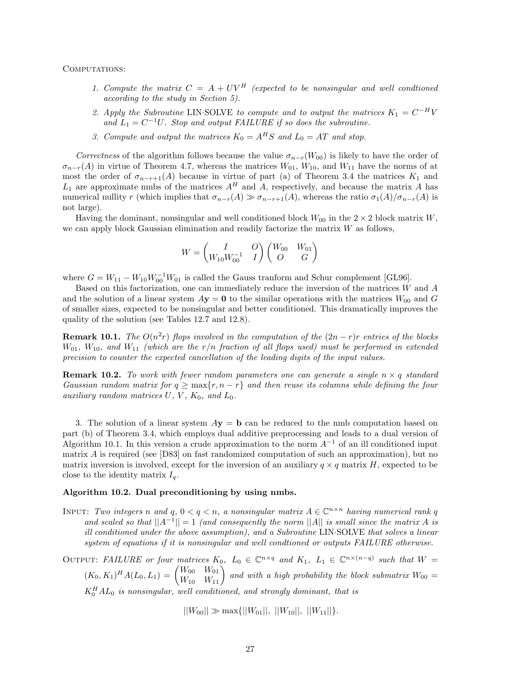COMPUTATIONS:

- 1. Compute the matrix  $C = A + UV^H$  (expected to be nonsingular and well condtioned *according to the study in Section 5).*
- 2. Apply the Subroutine LIN·SOLVE to compute and to output the matrices  $K_1 = C^{-H}V$ and  $L_1 = C^{-1}U$ *. Stop and output FAILURE if so does the subroutine.*
- *3. Compute and output the matrices*  $K_0 = A^H S$  *and*  $L_0 = AT$  *and stop.*

*Correctness* of the algorithm follows because the value  $\sigma_{n-r}(W_{00})$  is likely to have the order of  $\sigma_{n-r}(A)$  in virtue of Theorem 4.7, whereas the matrices  $W_{01}$ ,  $W_{10}$ , and  $W_{11}$  have the norms of at most the order of  $\sigma_{n-r+1}(A)$  because in virtue of part (a) of Theorem 3.4 the matrices  $K_1$  and  $L_1$  are approximate nmbs of the matrices  $A^H$  and  $A$ , respectively, and because the matrix  $A$  has numerical nullity *r* (which implies that  $\sigma_{n-r}(A) \gg \sigma_{n-r+1}(A)$ , whereas the ratio  $\sigma_1(A)/\sigma_{n-r}(A)$  is not large).

Having the dominant, nonsingular and well conditioned block  $W_{00}$  in the  $2 \times 2$  block matrix *W*, we can apply block Gaussian elimination and readily factorize the matrix *W* as follows,

$$
W=\begin{pmatrix} I & O \\ W_{10}W_{00}^{-1} & I \end{pmatrix} \begin{pmatrix} W_{00} & W_{01} \\ O & G \end{pmatrix}
$$

where  $G = W_{11} - W_{10}W_{00}^{-1}W_{01}$  is called the Gauss tranform and Schur complement [GL96].

Based on this factorization, one can immediately reduce the inversion of the matrices *W* and *A* and the solution of a linear system  $A$ **y** = **0** to the similar operations with the matrices  $W_{00}$  and *G* of smaller sizes, expected to be nonsingular and better conditioned. This dramatically improves the quality of the solution (see Tables 12.7 and 12.8).

**Remark 10.1.** *The*  $O(n^2r)$  *flops involved in the computation of the*  $(2n - r)r$  *entries of the blocks*  $W_{01}$ ,  $W_{10}$ , and  $W_{11}$  *(which are the r/n fraction of all flops used) must be performed in extended precision to counter the expected cancellation of the leading digits of the input values.*

**Remark 10.2.** To work with fewer random parameters one can generate a single  $n \times q$  standard *Gaussian random matrix for*  $q \geq \max\{r, n - r\}$  *and then reuse its columns while defining the four auxiliary random matrices*  $U, V, K_0, and L_0$ .

3. The solution of a linear system *A***y** = **b** can be reduced to the nmb computation based on part (b) of Theorem 3.4, which employs dual additive preprocessing and leads to a dual version of Algorithm 10.1. In this version a crude approximation to the norm *A*−<sup>1</sup> of an ill conditioned input matrix *A* is required (see [D83] on fast randomized computation of such an approximation), but no matrix inversion is involved, except for the inversion of an auxiliary  $q \times q$  matrix *H*, expected to be close to the identity matrix  $I_q$ .

#### **Algorithm 10.2. Dual preconditioning by using nmbs.**

- INPUT: *Two integers n* and *q*,  $0 < q < n$ , a nonsingular matrix  $A \in \mathbb{C}^{n \times n}$  *having numerical rank q and scaled so that*  $||A^{-1}|| = 1$  *(and consequently the norm*  $||A||$  *is small since the matrix A is ill conditioned under the above assumption), and a Subroutine* LIN·SOLVE *that solves a linear system of equations if it is nonsingular and well condtioned or outputs FAILURE otherwise.*
- OUTPUT: FAILURE or four matrices  $K_0$ ,  $L_0 \in \mathbb{C}^{n \times q}$  and  $K_1$ ,  $L_1 \in \mathbb{C}^{n \times (n-q)}$  such that  $W =$  $(K_0, K_1)^H A (L_0, L_1) = \begin{pmatrix} W_{00} & W_{01} \\ W_{10} & W_{11} \end{pmatrix}$  and with a high probability the block submatrix  $W_{00} =$  $K_0^H A L_0$  *is nonsingular, well conditioned, and strongly dominant, that is*

 $||W_{00}|| \gg \max\{||W_{01}||, ||W_{10}||, ||W_{11}||\}.$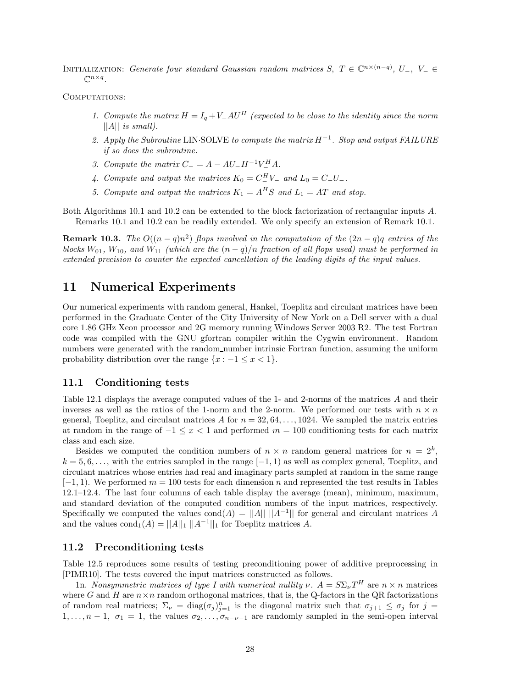INITIALIZATION: *Generate four standard Gaussian random matrices*  $S, T \in \mathbb{C}^{n \times (n-q)}$ ,  $U_-, V_- \in$  $\mathbb{C}^{n \times q}$ 

COMPUTATIONS:

- *1. Compute the matrix*  $H = I_q + V_-AU_-^H$  (expected to be close to the identity since the norm ||*A*|| *is small).*
- *2. Apply the Subroutine* LIN·SOLVE *to compute the matrix H*−1*. Stop and output FAILURE if so does the subroutine.*
- *3. Compute the matrix*  $C_{-} = A AU_{-}H^{-1}V_{-}^{H}A$ .
- *4. Compute and output the matrices*  $K_0 = C_{-}^H V_-\$  *and*  $L_0 = C_{-} U_-\$ .
- 5. Compute and output the matrices  $K_1 = A^H S$  and  $L_1 = AT$  and stop.

Both Algorithms 10.1 and 10.2 can be extended to the block factorization of rectangular inputs *A*. Remarks 10.1 and 10.2 can be readily extended. We only specify an extension of Remark 10.1.

**Remark 10.3.** *The*  $O((n-q)n^2)$  *flops involved in the computation of the*  $(2n-q)q$  *entries of the blocks*  $W_{01}$ ,  $W_{10}$ , and  $W_{11}$  (which are the  $(n-q)/n$  *fraction of all flops used) must be performed in extended precision to counter the expected cancellation of the leading digits of the input values.*

# **11 Numerical Experiments**

Our numerical experiments with random general, Hankel, Toeplitz and circulant matrices have been performed in the Graduate Center of the City University of New York on a Dell server with a dual core 1.86 GHz Xeon processor and 2G memory running Windows Server 2003 R2. The test Fortran code was compiled with the GNU gfortran compiler within the Cygwin environment. Random numbers were generated with the random number intrinsic Fortran function, assuming the uniform probability distribution over the range  $\{x : -1 \le x < 1\}.$ 

## **11.1 Conditioning tests**

Table 12.1 displays the average computed values of the 1- and 2-norms of the matrices *A* and their inverses as well as the ratios of the 1-norm and the 2-norm. We performed our tests with  $n \times n$ general, Toeplitz, and circulant matrices A for  $n = 32, 64, \ldots, 1024$ . We sampled the matrix entries at random in the range of −1 ≤ *x <* 1 and performed *m* = 100 conditioning tests for each matrix class and each size.

Besides we computed the condition numbers of  $n \times n$  random general matrices for  $n = 2^k$ ,  $k = 5, 6, \ldots$ , with the entries sampled in the range  $[-1, 1)$  as well as complex general, Toeplitz, and circulant matrices whose entries had real and imaginary parts sampled at random in the same range [−1*,* 1). We performed *m* = 100 tests for each dimension *n* and represented the test results in Tables 12.1–12.4. The last four columns of each table display the average (mean), minimum, maximum, and standard deviation of the computed condition numbers of the input matrices, respectively. Specifically we computed the values  $\text{cond}(A) = ||A|| ||A^{-1}||$  for general and circulant matrices A and the values  $\text{cond}_1(A) = ||A||_1 ||A^{-1}||_1$  for Toeplitz matrices A.

#### **11.2 Preconditioning tests**

Table 12.5 reproduces some results of testing preconditioning power of additive preprocessing in [PIMR10]. The tests covered the input matrices constructed as follows.

1n. *Nonsymmetric matrices of type I with numerical nullity*  $\nu$ *.*  $A = S \Sigma_{\nu} T^H$  are  $n \times n$  matrices where  $G$  and  $H$  are  $n \times n$  random orthogonal matrices, that is, the Q-factors in the QR factorizations of random real matrices;  $\Sigma_{\nu} = \text{diag}(\sigma_j)_{j=1}^n$  is the diagonal matrix such that  $\sigma_{j+1} \leq \sigma_j$  for  $j =$ 1,..., $n-1$ ,  $\sigma_1 = 1$ , the values  $\sigma_2, \ldots, \sigma_{n-\nu-1}$  are randomly sampled in the semi-open interval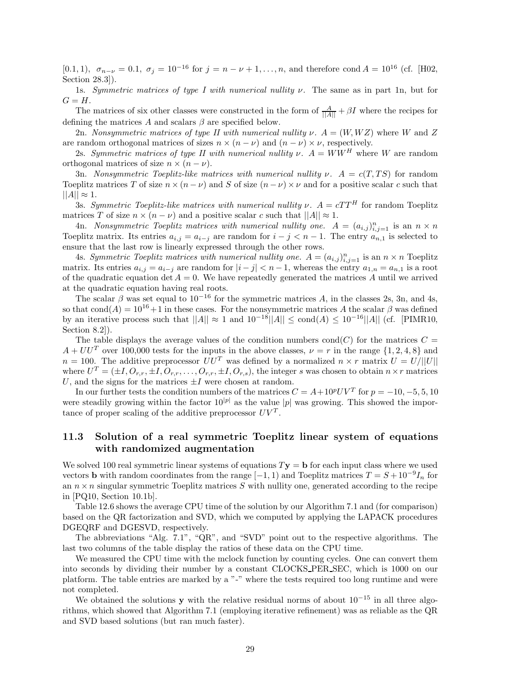[0.1, 1),  $\sigma_{n-\nu} = 0.1$ ,  $\sigma_j = 10^{-16}$  for  $j = n - \nu + 1, \ldots, n$ , and therefore cond  $A = 10^{16}$  (cf. [H02, Section 28.3]).

1s. *Symmetric matrices of type I with numerical nullity ν.* The same as in part 1n, but for  $G = H$ .

The matrices of six other classes were constructed in the form of  $\frac{A}{\|A\|} + \beta I$  where the recipes for defining the matrices *A* and scalars *β* are specified below.

2n. *Nonsymmetric matrices of type II with numerical nullity*  $\nu$ .  $A = (W, WZ)$  where W and Z are random orthogonal matrices of sizes  $n \times (n - \nu)$  and  $(n - \nu) \times \nu$ , respectively.

2s. *Symmetric matrices of type II with numerical nullity*  $\nu$ *.*  $A = WW^H$  where *W* are random orthogonal matrices of size  $n \times (n - \nu)$ .

3n. *Nonsymmetric Toeplitz-like matrices with numerical nullity*  $\nu$ *.*  $A = c(T, TS)$  for random Toeplitz matrices *T* of size  $n \times (n - \nu)$  and *S* of size  $(n - \nu) \times \nu$  and for a positive scalar *c* such that  $||A|| \approx 1.$ 

3s. *Symmetric Toeplitz-like matrices with numerical nullity*  $\nu$ *.*  $A = cTT^H$  for random Toeplitz matrices *T* of size  $n \times (n - \nu)$  and a positive scalar *c* such that  $||A|| \approx 1$ .

4n. *Nonsymmetric Toeplitz matrices with numerical nullity one.*  $A = (a_{i,j})_{i,j=1}^n$  is an  $n \times n$ Toeplitz matrix. Its entries  $a_{i,j} = a_{i-j}$  are random for  $i - j < n - 1$ . The entry  $a_{n,1}$  is selected to ensure that the last row is linearly expressed through the other rows.

4s. *Symmetric Toeplitz matrices with numerical nullity one.*  $A = (a_{i,j})_{i,j=1}^n$  is an  $n \times n$  Toeplitz matrix. Its entries  $a_{i,j} = a_{i-j}$  are random for  $|i - j| < n - 1$ , whereas the entry  $a_{1,n} = a_{n,1}$  is a root of the quadratic equation det  $A = 0$ . We have repeatedly generated the matrices A until we arrived at the quadratic equation having real roots.

The scalar  $\beta$  was set equal to 10<sup>-16</sup> for the symmetric matrices A, in the classes 2s, 3n, and 4s, so that cond( $A$ ) =  $10^{16}+1$  in these cases. For the nonsymmetric matrices A the scalar  $\beta$  was defined by an iterative process such that  $||A|| \approx 1$  and  $10^{-18}||A|| \leq \text{cond}(A) \leq 10^{-16}||A||$  (cf. [PIMR10, Section 8.2]).

The table displays the average values of the condition numbers cond(*C*) for the matrices  $C =$  $A + U U^T$  over 100,000 tests for the inputs in the above classes,  $\nu = r$  in the range {1, 2, 4, 8} and  $n = 100$ . The additive preprocessor  $UU^T$  was defined by a normalized  $n \times r$  matrix  $U = U/||U||$ where  $U^T = (\pm I, O_{r,r}, \pm I, O_{r,r}, \ldots, O_{r,r}, \pm I, O_{r,s})$ , the integer *s* was chosen to obtain  $n \times r$  matrices *U*, and the signs for the matrices  $\pm I$  were chosen at random.

In our further tests the condition numbers of the matrices  $C = A + 10^p UV^T$  for  $p = -10, -5, 5, 10$ were steadily growing within the factor  $10^{|p|}$  as the value |p| was growing. This showed the importance of proper scaling of the additive preprocessor  $UV<sup>T</sup>$ .

# **11.3 Solution of a real symmetric Toeplitz linear system of equations with randomized augmentation**

We solved 100 real symmetric linear systems of equations  $T$ **y** = **b** for each input class where we used vectors **b** with random coordinates from the range  $[-1, 1)$  and Toeplitz matrices  $T = S + 10^{-9}I_n$  for an  $n \times n$  singular symmetric Toeplitz matrices  $S$  with nullity one, generated according to the recipe in [PQ10, Section 10.1b].

Table 12.6 shows the average CPU time of the solution by our Algorithm 7.1 and (for comparison) based on the QR factorization and SVD, which we computed by applying the LAPACK procedures DGEQRF and DGESVD, respectively.

The abbreviations "Alg. 7.1", "QR", and "SVD" point out to the respective algorithms. The last two columns of the table display the ratios of these data on the CPU time.

We measured the CPU time with the mclock function by counting cycles. One can convert them into seconds by dividing their number by a constant CLOCKS PER SEC, which is 1000 on our platform. The table entries are marked by a "-" where the tests required too long runtime and were not completed.

We obtained the solutions **y** with the relative residual norms of about  $10^{-15}$  in all three algorithms, which showed that Algorithm 7.1 (employing iterative refinement) was as reliable as the QR and SVD based solutions (but ran much faster).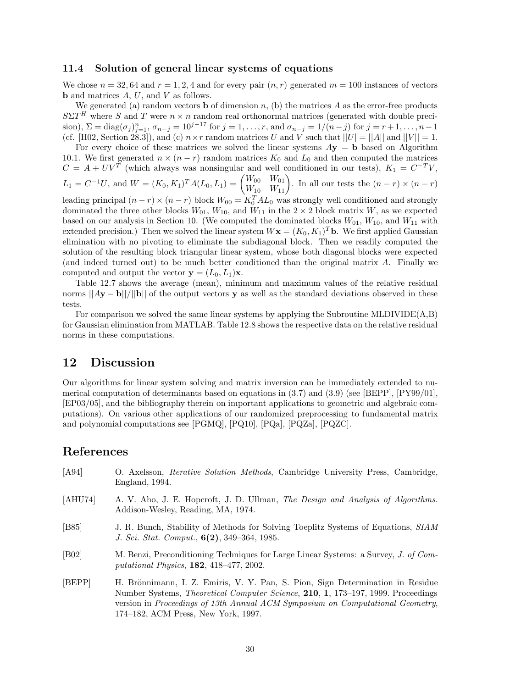### **11.4 Solution of general linear systems of equations**

We chose  $n = 32, 64$  and  $r = 1, 2, 4$  and for every pair  $(n, r)$  generated  $m = 100$  instances of vectors **b** and matrices *A*, *U*, and *V* as follows.

We generated (a) random vectors **b** of dimension  $n$ , (b) the matrices  $A$  as the error-free products  $S\Sigma T$ <sup>*H*</sup> where *S* and *T* were  $n \times n$  random real orthonormal matrices (generated with double precision),  $\Sigma = \text{diag}(\sigma_j)_{j=1}^n$ ,  $\sigma_{n-j} = 10^{j-17}$  for  $j = 1, ..., r$ , and  $\sigma_{n-j} = 1/(n-j)$  for  $j = r+1, ..., n-1$ (cf. [H02, Section 28.3]), and (c)  $n \times r$  random matrices *U* and *V* such that  $||U| = ||A||$  and  $||V|| = 1$ .

For every choice of these matrices we solved the linear systems  $Ay = b$  based on Algorithm 10.1. We first generated  $n \times (n - r)$  random matrices  $K_0$  and  $L_0$  and then computed the matrices  $C = A + UV^T$  (which always was nonsingular and well conditioned in our tests),  $K_1 = C^{-T}V$ ,

$$
L_1 = C^{-1}U, \text{ and } W = (K_0, K_1)^T A (L_0, L_1) = \begin{pmatrix} W_{00} & W_{01} \\ W_{10} & W_{11} \end{pmatrix}. \text{ In all our tests the } (n-r) \times (n-r)
$$

leading principal  $(n - r) \times (n - r)$  block  $W_{00} = K_0^T A L_0$  was strongly well conditioned and strongly dominated the three other blocks  $W_{01}$ ,  $W_{10}$ , and  $W_{11}$  in the 2 × 2 block matrix *W*, as we expected based on our analysis in Section 10. (We computed the dominated blocks  $W_{01}$ ,  $W_{10}$ , and  $W_{11}$  with extended precision.) Then we solved the linear system  $W$ **x** =  $(K_0, K_1)^T$ **b**. We first applied Gaussian elimination with no pivoting to eliminate the subdiagonal block. Then we readily computed the solution of the resulting block triangular linear system, whose both diagonal blocks were expected (and indeed turned out) to be much better conditioned than the original matrix *A*. Finally we computed and output the vector  $\mathbf{y} = (L_0, L_1)\mathbf{x}$ .

Table 12.7 shows the average (mean), minimum and maximum values of the relative residual norms  $||Ay - b||/||b||$  of the output vectors **y** as well as the standard deviations observed in these tests.

For comparison we solved the same linear systems by applying the Subroutine MLDIVIDE(A,B) for Gaussian elimination from MATLAB. Table 12.8 shows the respective data on the relative residual norms in these computations.

# **12 Discussion**

Our algorithms for linear system solving and matrix inversion can be immediately extended to numerical computation of determinants based on equations in (3.7) and (3.9) (see [BEPP], [PY99/01], [EP03/05], and the bibliography therein on important applications to geometric and algebraic computations). On various other applications of our randomized preprocessing to fundamental matrix and polynomial computations see [PGMQ], [PQ10], [PQa], [PQZa], [PQZC].

# **References**

| [A94]          | O. Axelsson, <i>Iterative Solution Methods</i> , Cambridge University Press, Cambridge,<br>England, 1994.                                                                                                                                                                                                           |
|----------------|---------------------------------------------------------------------------------------------------------------------------------------------------------------------------------------------------------------------------------------------------------------------------------------------------------------------|
| [AHU74]        | A. V. Aho, J. E. Hopcroft, J. D. Ullman, The Design and Analysis of Algorithms.<br>Addison-Wesley, Reading, MA, 1974.                                                                                                                                                                                               |
| [ <b>B85</b> ] | J. R. Bunch, Stability of Methods for Solving Toeplitz Systems of Equations, SIAM<br>J. Sci. Stat. Comput., 6(2), 349-364, 1985.                                                                                                                                                                                    |
| [ <b>B02</b> ] | M. Benzi, Preconditioning Techniques for Large Linear Systems: a Survey, J. of Com-<br><i>putational Physics</i> , <b>182</b> , 418-477, 2002.                                                                                                                                                                      |
| [BEPP]         | H. Brönnimann, I. Z. Emiris, V. Y. Pan, S. Pion, Sign Determination in Residue<br>Number Systems, <i>Theoretical Computer Science</i> , <b>210</b> , <b>1</b> , 173–197, 1999. Proceedings<br>version in Proceedings of 13th Annual ACM Symposium on Computational Geometry,<br>174–182. ACM Press. New York. 1997. |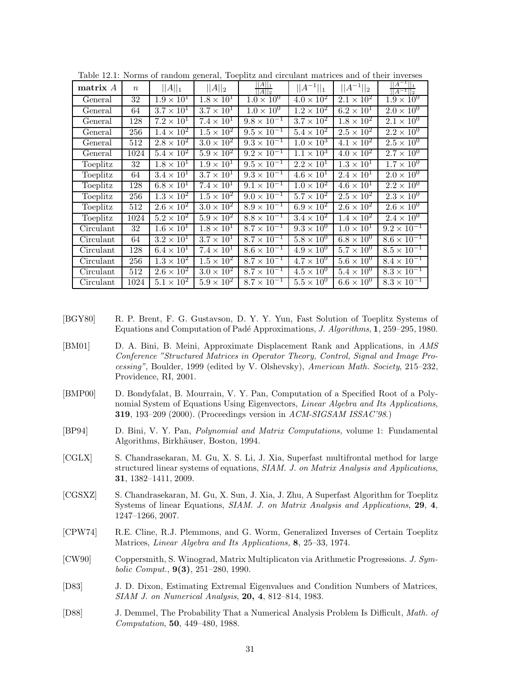| matrix A  | $\boldsymbol{n}$ | $  A  _1$           | $  A  _2$           | $\frac{  A  _1}{  A  _2}$     | $  A^{-1}  _1$             | $  A^{-1}  _2$      | $  A^{-1}  _1$<br>$  A^{-1}  _2$ |
|-----------|------------------|---------------------|---------------------|-------------------------------|----------------------------|---------------------|----------------------------------|
| General   | 32               | $1.9 \times 10^{1}$ | $1.8 \times 10^{1}$ | $1.0 \times 10^{0}$           | $4.0 \times 10^{2}$        | $2.1 \times 10^{2}$ | $1.9 \times 10^{0}$              |
| General   | 64               | $3.7 \times 10^{1}$ | $3.7 \times 10^{1}$ | $1.0 \times 10^{0}$           | $1.2 \times 10^{2}$        | $6.2 \times 10^{1}$ | $2.0 \times 10^{0}$              |
| General   | 128              | $7.2 \times 10^{1}$ | $7.4 \times 10^{1}$ | $9.8 \times 10^{-1}$          | $3.7 \times 10^2$          | $1.8 \times 10^2$   | $2.\overline{1 \times 10^{0}}$   |
| General   | 256              | $1.4 \times 10^2$   | $1.5 \times 10^{2}$ | $9.5 \times 10^{-1}$          | $5.4 \times 10^2$          | $2.5 \times 10^2$   | $2.2 \times 10^{0}$              |
| General   | 512              | $2.8 \times 10^2$   | $3.0 \times 10^2$   | $9.3 \times 10^{-1}$          | $1.0 \times 10^{3}$        | $4.1 \times 10^{2}$ | $2.5 \times 10^{0}$              |
| General   | 1024             | $5.4 \times 10^2$   | $5.9 \times 10^{2}$ | $9.2 \times 10^{-1}$          | $1.1 \times 10^{3}$        | $4.0 \times 10^2$   | $2.7 \times 10^{0}$              |
| Toeplitz  | 32               | $1.8 \times 10^1$   | $1.9 \times 10^{1}$ | $9.5 \times 10^{-1}$          | $\overline{2.2\times10^1}$ | $1.3 \times 10^{1}$ | $1.7 \times 10^{0}$              |
| Toeplitz  | 64               | $3.4 \times 10^{1}$ | $3.7 \times 10^{1}$ | $9.3 \times 10^{-1}$          | $4.6 \times 10^{1}$        | $2.4 \times 10^{1}$ | $2.0 \times 10^{0}$              |
| Toeplitz  | 128              | $6.8 \times 10^{1}$ | $7.4 \times 10^{1}$ | $9.1 \times 10^{-1}$          | $1.0 \times 10^{2}$        | $4.6 \times 10^1$   | $2.2 \times 10^{0}$              |
| Toeplitz  | 256              | $1.3 \times 10^2$   | $1.5 \times 10^2$   | $9.0 \times 10^{-1}$          | $5.7 \times 10^2$          | $2.5 \times 10^{2}$ | $2.3 \times 10^{0}$              |
| Toeplitz  | 512              | $2.6 \times 10^2$   | $3.0 \times 10^2$   | $8.9 \times 10^{-1}$          | $6.9 \times 10^2$          | $2.6 \times 10^2$   | $2.6 \times 10^{0}$              |
| Toeplitz  | 1024             | $5.2 \times 10^{2}$ | $5.9 \times 10^2$   | $8.8 \times 10^{-1}$          | $3.4 \times 10^2$          | $1.4 \times 10^{2}$ | $2.4 \times 10^{0}$              |
| Circulant | 32               | $1.6 \times 10^1$   | $1.8 \times 10^1$   | $8.7 \times 10^{-1}$          | $9.3 \times 10^{0}$        | $1.0 \times 10^{1}$ | $9.2 \times 10^{-1}$             |
| Circulant | 64               | $3.2 \times 10^{1}$ | $3.7 \times 10^{1}$ | $8.7 \times 10^{-1}$          | $5.8 \times 10^{0}$        | $6.8 \times 10^{0}$ | $8.6 \times 10^{-1}$             |
| Circulant | 128              | $6.4 \times 10^1$   | $7.4 \times 10^{1}$ | $8.6 \times 10^{-1}$          | $4.9 \times 10^{0}$        | $5.7 \times 10^{0}$ | $8.5 \times 10^{-1}$             |
| Circulant | 256              | $1.3 \times 10^{2}$ | $1.5 \times 10^{2}$ | $8.7 \times 10^{-1}$          | $4.7 \times 10^{0}$        | $5.6 \times 10^{0}$ | $8.4 \times 10^{-1}$             |
| Circulant | 512              | $2.6 \times 10^2$   | $3.0 \times 10^2$   | $\overline{8.7\times10^{-1}}$ | $4.5 \times 10^{0}$        | $5.4 \times 10^{0}$ | $8.3 \times 10^{-1}$             |
| Circulant | 1024             | $5.1 \times 10^2$   | $5.9 \times 10^2$   | $8.7 \times 10^{-1}$          | $5.5 \times 10^{0}$        | $6.6 \times 10^{0}$ | $8.3 \times 10^{-1}$             |

Table 12.1: Norms of random general, Toeplitz and circulant matrices and of their inverses

- [BGY80] R. P. Brent, F. G. Gustavson, D. Y. Y. Yun, Fast Solution of Toeplitz Systems of Equations and Computation of Pad´e Approximations, *J. Algorithms*, **1**, 259–295, 1980.
- [BM01] D. A. Bini, B. Meini, Approximate Displacement Rank and Applications, in *AMS Conference "Structured Matrices in Operator Theory, Control, Signal and Image Processing"*, Boulder, 1999 (edited by V. Olshevsky), *American Math. Society*, 215–232, Providence, RI, 2001.
- [BMP00] D. Bondyfalat, B. Mourrain, V. Y. Pan, Computation of a Specified Root of a Polynomial System of Equations Using Eigenvectors, *Linear Algebra and Its Applications*, **319**, 193–209 (2000). (Proceedings version in *ACM-SIGSAM ISSAC'98*.)
- [BP94] D. Bini, V. Y. Pan, *Polynomial and Matrix Computations,* volume 1: Fundamental Algorithms, Birkhäuser, Boston, 1994.
- [CGLX] S. Chandrasekaran, M. Gu, X. S. Li, J. Xia, Superfast multifrontal method for large structured linear systems of equations, *SIAM. J. on Matrix Analysis and Applications*, **31**, 1382–1411, 2009.
- [CGSXZ] S. Chandrasekaran, M. Gu, X. Sun, J. Xia, J. Zhu, A Superfast Algorithm for Toeplitz Systems of linear Equations, *SIAM. J. on Matrix Analysis and Applications*, **29**, **4**, 1247–1266, 2007.
- [CPW74] R.E. Cline, R.J. Plemmons, and G. Worm, Generalized Inverses of Certain Toeplitz Matrices, *Linear Algebra and Its Applications,* **8**, 25–33, 1974.
- [CW90] Coppersmith, S. Winograd, Matrix Multiplicaton via Arithmetic Progressions. *J. Symbolic Comput.*, **9(3)**, 251–280, 1990.
- [D83] J. D. Dixon, Estimating Extremal Eigenvalues and Condition Numbers of Matrices, *SIAM J. on Numerical Analysis*, **20, 4**, 812–814, 1983.
- [D88] J. Demmel, The Probability That a Numerical Analysis Problem Is Difficult, *Math. of Computation*, **50**, 449–480, 1988.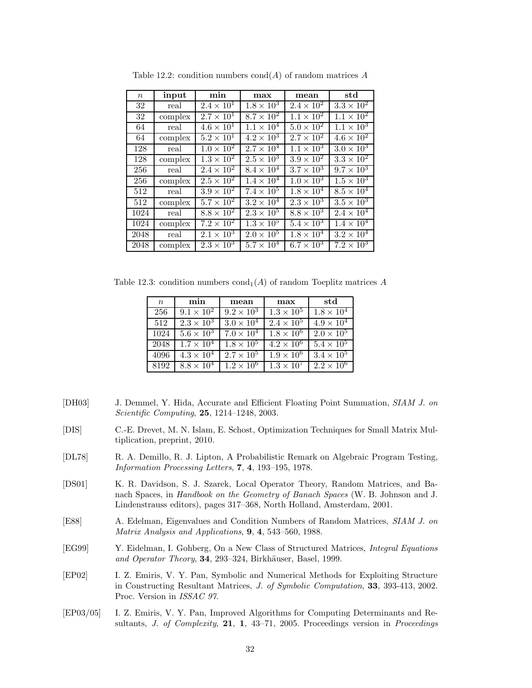| $\boldsymbol{n}$ | input   | min                        | max                 | mean                | $_{\rm std}$        |
|------------------|---------|----------------------------|---------------------|---------------------|---------------------|
| 32               | real    | $2.4 \times 10^{1}$        | $1.8 \times 10^{3}$ | $2.4 \times 10^{2}$ | $3.3 \times 10^2$   |
| 32               | complex | $2.7 \times 10^{1}$        | $8.7 \times 10^{2}$ | $1.1 \times 10^{2}$ | $1.1 \times 10^{2}$ |
| 64               | real    | $4.6 \times 10^{1}$        | $1.1 \times 10^{4}$ | $5.0 \times 10^{2}$ | $1.1 \times 10^{3}$ |
| 64               | complex | $5.2 \times 10^{1}$        | $4.2 \times 10^3$   | $2.7 \times 10^{2}$ | $4.6 \times 10^2$   |
| 128              | real    | $1.0 \times 10^{2}$        | $2.7 \times 10^{4}$ | $1.1 \times 10^{3}$ | $3.0 \times 10^{3}$ |
| 128              | complex | $1.3 \times 10^{2}$        | $2.5 \times 10^{3}$ | $3.9 \times 10^2$   | $3.3 \times 10^2$   |
| 256              | real    | $2.4 \times 10^2$          | $8.4 \times 10^4$   | $3.7 \times 10^3$   | $9.7 \times 10^{3}$ |
| 256              | complex | $2.5 \times 10^2$          | $1.4 \times 10^{4}$ | $1.0 \times 10^{3}$ | $1.5 \times 10^{3}$ |
| 512              | real    | $3.9 \times 10^2$          | $7.4 \times 10^{5}$ | $1.8 \times 10^4$   | $8.5 \times 10^4$   |
| 512              | complex | $5.7 \times 10^2$          | $3.2\times10^4$     | $2.3 \times 10^3$   | $3.5 \times 10^3$   |
| 1024             | real    | $8.8 \times 10^2$          | $2.3 \times 10^{5}$ | $8.8 \times 10^3$   | $2.4 \times 10^{4}$ |
| 1024             | complex | $7.2 \times 10^2$          | $1.3 \times 10^{5}$ | $5.4 \times 10^{3}$ | $1.4 \times 10^{4}$ |
| 2048             | real    | $2.\overline{1\times10^3}$ | $2.0 \times 10^{5}$ | $1.8 \times 10^{4}$ | $3.2 \times 10^{4}$ |
| 2048             | complex | $2.3 \times 10^{3}$        | $5.7 \times 10^{4}$ | $6.7 \times 10^{3}$ | $7.2 \times 10^{3}$ |

Table 12.2: condition numbers cond(*A*) of random matrices *A*

Table 12.3: condition numbers  $\text{cond}_1(A)$  of random Toeplitz matrices A

| $\boldsymbol{n}$ | min                 | mean                | max                 | std                 |
|------------------|---------------------|---------------------|---------------------|---------------------|
| 256              | $9.1 \times 10^{2}$ | $9.2 \times 10^3$   | $1.3 \times 10^5$   | $1.8 \times 10^{4}$ |
| 512              | $2.3 \times 10^{3}$ | $3.0 \times 10^{4}$ | $2.4 \times 10^{5}$ | $4.9 \times 10^{4}$ |
| 1024             | $5.6 \times 10^{3}$ | $7.0 \times 10^{4}$ | $1.8 \times 10^{6}$ | $2.0 \times 10^{5}$ |
| 2048             | $1.7 \times 10^{4}$ | $1.8 \times 10^{5}$ | $4.2 \times 10^{6}$ | $5.4 \times 10^5$   |
| 4096             | $4.3 \times 10^{4}$ | $2.7 \times 10^5$   | $1.9 \times 10^{6}$ | $3.4 \times 10^5$   |
| 8192             | $8.8 \times 10^{4}$ | $1.2 \times 10^6$   | $1.3 \times 10^7$   | $2.2 \times 10^6$   |

- [DH03] J. Demmel, Y. Hida, Accurate and Efficient Floating Point Summation, *SIAM J. on Scientific Computing*, **25**, 1214–1248, 2003.
- [DIS] C.-E. Drevet, M. N. Islam, E. Schost, Optimization Techniques for Small Matrix Multiplication, preprint, 2010.
- [DL78] R. A. Demillo, R. J. Lipton, A Probabilistic Remark on Algebraic Program Testing, *Information Processing Letters*, **7**, **4**, 193–195, 1978.
- [DS01] K. R. Davidson, S. J. Szarek, Local Operator Theory, Random Matrices, and Banach Spaces, in *Handbook on the Geometry of Banach Spaces* (W. B. Johnson and J. Lindenstrauss editors), pages 317–368, North Holland, Amsterdam, 2001.
- [E88] A. Edelman, Eigenvalues and Condition Numbers of Random Matrices, *SIAM J. on Matrix Analysis and Applications*, **9**, **4**, 543–560, 1988.
- [EG99] Y. Eidelman, I. Gohberg, On a New Class of Structured Matrices, *Integral Equations* and Operator Theory, 34, 293–324, Birkhäuser, Basel, 1999.
- [EP02] I. Z. Emiris, V. Y. Pan, Symbolic and Numerical Methods for Exploiting Structure in Constructing Resultant Matrices, *J. of Symbolic Computation*, **33**, 393-413, 2002. Proc. Version in *ISSAC 97*.
- [EP03/05] I. Z. Emiris, V. Y. Pan, Improved Algorithms for Computing Determinants and Resultants, *J. of Complexity*, **21**, **1**, 43–71, 2005. Proceedings version in *Proceedings*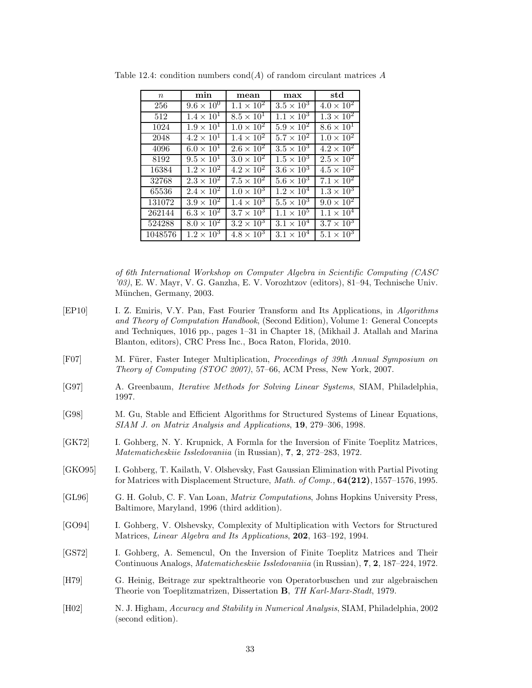| $\,n$   | min                 | mean                | max                 | $_{\rm std}$        |
|---------|---------------------|---------------------|---------------------|---------------------|
| 256     | $9.6 \times 10^{0}$ | $1.1 \times 10^{2}$ | $3.5 \times 10^{3}$ | $4.0 \times 10^{2}$ |
| 512     | $1.4 \times 10^{1}$ | $8.5 \times 10^{1}$ | $1.1 \times 10^{3}$ | $1.3 \times 10^2$   |
| 1024    | $1.9 \times 10^{1}$ | $1.0 \times 10^2$   | $5.9 \times 10^2$   | $8.6 \times 10^{1}$ |
| 2048    | $4.2 \times 10^{1}$ | $1.4 \times 10^{2}$ | $5.7 \times 10^2$   | $1.0 \times 10^{2}$ |
| 4096    | $6.0 \times 10^{1}$ | $2.6 \times 10^2$   | $3.5 \times 10^3$   | $4.2 \times 10^2$   |
| 8192    | $9.5 \times 10^{1}$ | $3.0 \times 10^2$   | $1.5 \times 10^3$   | $2.5 \times 10^2$   |
| 16384   | $1.2 \times 10^{2}$ | $4.2 \times 10^2$   | $3.6 \times 10^3$   | $4.5 \times 10^2$   |
| 32768   | $2.3 \times 10^2$   | $7.5 \times 10^{2}$ | $5.6 \times 10^{3}$ | $7.1 \times 10^{2}$ |
| 65536   | $2.4 \times 10^2$   | $1.0 \times 10^{3}$ | $1.2 \times 10^{4}$ | $1.3 \times 10^3$   |
| 131072  | $3.9 \times 10^2$   | $1.4 \times 10^{3}$ | $5.5 \times 10^3$   | $9.0 \times 10^{2}$ |
| 262144  | $6.3 \times 10^{2}$ | $3.7 \times 10^3$   | $1.1 \times 10^{5}$ | $1.1 \times 10^{4}$ |
| 524288  | $8.0 \times 10^{2}$ | $3.2 \times 10^{3}$ | $3.1 \times 10^{4}$ | $3.7 \times 10^{3}$ |
| 1048576 | $1.2 \times 10^{3}$ | $4.8 \times 10^3$   | $3.1 \times 10^{4}$ | $5.1 \times 10^{3}$ |

Table 12.4: condition numbers cond(*A*) of random circulant matrices *A*

- [EP10] I. Z. Emiris, V.Y. Pan, Fast Fourier Transform and Its Applications, in *Algorithms and Theory of Computation Handbook*, (Second Edition), Volume 1: General Concepts and Techniques, 1016 pp., pages 1–31 in Chapter 18, (Mikhail J. Atallah and Marina Blanton, editors), CRC Press Inc., Boca Raton, Florida, 2010.
- [F07] M. Fürer, Faster Integer Multiplication, *Proceedings of 39th Annual Symposium on Theory of Computing (STOC 2007)*, 57–66, ACM Press, New York, 2007.
- [G97] A. Greenbaum, *Iterative Methods for Solving Linear Systems*, SIAM, Philadelphia, 1997.
- [G98] M. Gu, Stable and Efficient Algorithms for Structured Systems of Linear Equations, *SIAM J. on Matrix Analysis and Applications*, **19**, 279–306, 1998.
- [GK72] I. Gohberg, N. Y. Krupnick, A Formla for the Inversion of Finite Toeplitz Matrices, *Matematicheskiie Issledovaniia* (in Russian), **7**, **2**, 272–283, 1972.
- [GKO95] I. Gohberg, T. Kailath, V. Olshevsky, Fast Gaussian Elimination with Partial Pivoting for Matrices with Displacement Structure, *Math. of Comp.,* **64(212)**, 1557–1576, 1995.
- [GL96] G. H. Golub, C. F. Van Loan, *Matrix Computations*, Johns Hopkins University Press, Baltimore, Maryland, 1996 (third addition).
- [GO94] I. Gohberg, V. Olshevsky, Complexity of Multiplication with Vectors for Structured Matrices, *Linear Algebra and Its Applications*, **202**, 163–192, 1994.
- [GS72] I. Gohberg, A. Semencul, On the Inversion of Finite Toeplitz Matrices and Their Continuous Analogs, *Matematicheskiie Issledovaniia* (in Russian), **7**, **2**, 187–224, 1972.
- [H79] G. Heinig, Beitrage zur spektraltheorie von Operatorbuschen und zur algebraischen Theorie von Toeplitzmatrizen, Dissertation **B**, *TH Karl-Marx-Stadt*, 1979.
- [H02] N. J. Higham, *Accuracy and Stability in Numerical Analysis*, SIAM, Philadelphia, 2002 (second edition).

*of 6th International Workshop on Computer Algebra in Scientific Computing (CASC '03)*, E. W. Mayr, V. G. Ganzha, E. V. Vorozhtzov (editors), 81–94, Technische Univ. München, Germany, 2003.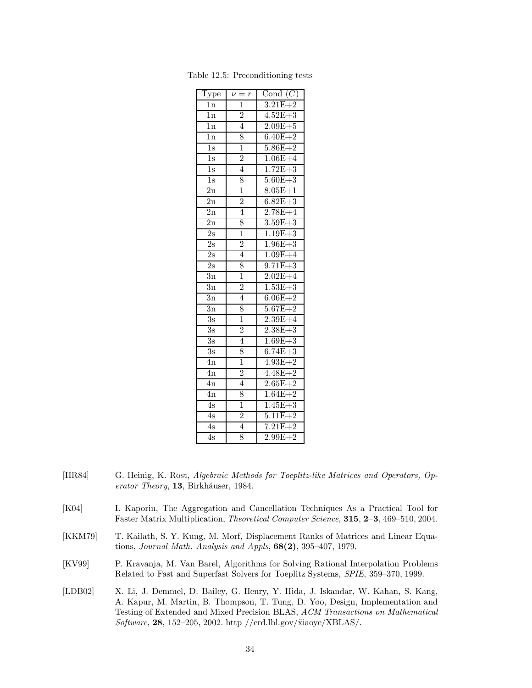| Type             | $\nu = r$      | Cond $(C)$  |
|------------------|----------------|-------------|
| <sup>1</sup> n   | $\overline{1}$ | $3.21E + 2$ |
| 1n               | $\overline{2}$ | $4.52E + 3$ |
| 1n               | $\overline{4}$ | $2.09E + 5$ |
| $\overline{1n}$  | 8              | $6.40E + 2$ |
| $\overline{1s}$  | $\overline{1}$ | $5.86E + 2$ |
| $\overline{1s}$  | $\overline{2}$ | $1.06E + 4$ |
| $\overline{1s}$  | $\overline{4}$ | $1.72E + 3$ |
| $\overline{1s}$  | 8              | $5.60E + 3$ |
| $\overline{2n}$  | $\overline{1}$ | $8.05E + 1$ |
| $_{\rm 2n}$      | $\frac{2}{4}$  | $6.82E + 3$ |
| $\overline{2n}$  |                | $2.78E + 4$ |
| $\overline{2n}$  | 8              | $3.59E + 3$ |
| $\overline{2s}$  | $\overline{1}$ | $1.19E + 3$ |
| $\overline{2s}$  | $\frac{2}{1}$  | $1.96E + 3$ |
| $\overline{2s}$  | $\overline{4}$ | $1.09E + 4$ |
| $\overline{2}$ s | 8              | $9.71E + 3$ |
| $\overline{3}n$  | $\overline{1}$ | $2.02E + 4$ |
| $\overline{3n}$  | $\overline{2}$ | $1.53E + 3$ |
| $\overline{3}n$  | $\overline{4}$ | $6.06E + 2$ |
| $\overline{3n}$  | 8              | $5.67E + 2$ |
| $\overline{3}$ s | $\overline{1}$ | $2.39E + 4$ |
| $\overline{3s}$  | $\frac{2}{4}$  | $2.38E + 3$ |
| $\overline{3s}$  |                | $1.69E + 3$ |
| $\overline{3s}$  | 8              | $6.74E + 3$ |
| $_{\rm 4n}$      | $\overline{1}$ | $4.93E + 2$ |
| 4n               | $\overline{2}$ | $4.48E + 2$ |
| 4n               | $\overline{4}$ | $2.65E + 2$ |
| $\overline{4n}$  | 8              | $1.64E + 2$ |
| $\overline{4s}$  | $\overline{1}$ | $1.45E + 3$ |
| $\overline{4s}$  | $\overline{2}$ | $5.11E + 2$ |
| $\overline{4s}$  | $\overline{4}$ | $7.21E + 2$ |
| $\overline{4s}$  | 8              | $2.99E + 2$ |

Table 12.5: Preconditioning tests

- [HR84] G. Heinig, K. Rost, *Algebraic Methods for Toeplitz-like Matrices and Operators, Operator Theory*, 13, Birkhäuser, 1984.
- [K04] I. Kaporin, The Aggregation and Cancellation Techniques As a Practical Tool for Faster Matrix Multiplication, *Theoretical Computer Science*, **315**, **2–3**, 469–510, 2004.
- [KKM79] T. Kailath, S. Y. Kung, M. Morf, Displacement Ranks of Matrices and Linear Equations, *Journal Math. Analysis and Appls*, **68(2)**, 395–407, 1979.
- [KV99] P. Kravanja, M. Van Barel, Algorithms for Solving Rational Interpolation Problems Related to Fast and Superfast Solvers for Toeplitz Systems, *SPIE*, 359–370, 1999.
- [LDB02] X. Li, J. Demmel, D. Bailey, G. Henry, Y. Hida, J. Iskandar, W. Kahan, S. Kang, A. Kapur, M. Martin, B. Thompson, T. Tung, D. Yoo, Design, Implementation and Testing of Extended and Mixed Precision BLAS, *ACM Transactions on Mathematical Software*, **28**, 152–205, 2002. http //crd.lbl.gov/˜xiaoye/XBLAS/.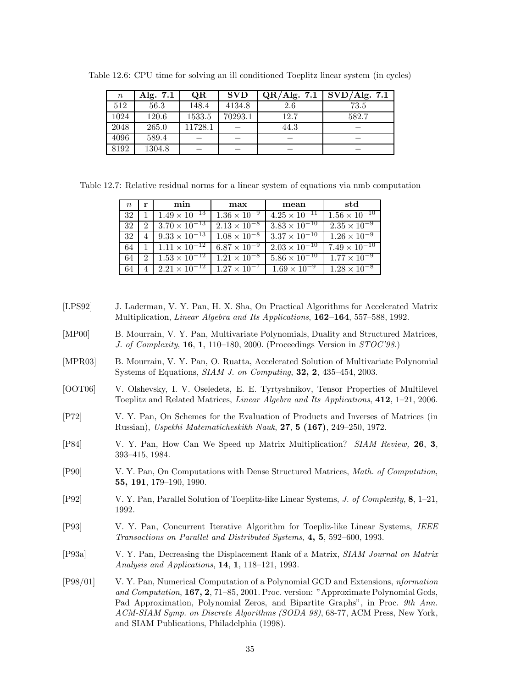| $\, n \,$ | Alg. 7.1 | <b>OR</b> | <b>SVD</b> | QR/Alg. 7.1 | SVD/Alg. 7.1 |
|-----------|----------|-----------|------------|-------------|--------------|
| 512       | 56.3     | 148.4     | 4134.8     | 2.6         | 73.5         |
| 1024      | 120.6    | 1533.5    | 70293.1    | 12.7        | 582.7        |
| 2048      | 265.0    | 11728.1   |            | 44.3        |              |
| 4096      | 589.4    |           |            |             |              |
| 8192      | 1304.8   |           |            |             |              |

Table 12.6: CPU time for solving an ill conditioned Toeplitz linear system (in cycles)

Table 12.7: Relative residual norms for a linear system of equations via nmb computation

| $\,n$ | r                           | min                    | max                   | mean                   | -std                   |
|-------|-----------------------------|------------------------|-----------------------|------------------------|------------------------|
| 32    |                             | $1.49 \times 10^{-13}$ | $1.36 \times 10^{-9}$ | $4.25 \times 10^{-11}$ | $1.56 \times 10^{-10}$ |
| 32    | $\mathcal{D}_{\mathcal{L}}$ | $3.70 \times 10^{-13}$ | $2.13 \times 10^{-8}$ | $3.83 \times 10^{-10}$ | $2.35 \times 10^{-9}$  |
| 32    |                             | $9.33 \times 10^{-13}$ | $1.08 \times 10^{-8}$ | $3.37 \times 10^{-10}$ | $1.26 \times 10^{-9}$  |
| 64    |                             | $1.11 \times 10^{-12}$ | $6.87 \times 10^{-9}$ | $2.03 \times 10^{-10}$ | $7.49 \times 10^{-10}$ |
| 64    | $\mathcal{D}_{\mathcal{L}}$ | $1.53 \times 10^{-12}$ | $1.21 \times 10^{-8}$ | $5.86 \times 10^{-10}$ | $1.77 \times 10^{-9}$  |
| 64    |                             | $2.21 \times 10^{-12}$ | $1.27 \times 10^{-7}$ | $1.69 \times 10^{-9}$  | $1.28 \times 10^{-8}$  |

- [LPS92] J. Laderman, V. Y. Pan, H. X. Sha, On Practical Algorithms for Accelerated Matrix Multiplication, *Linear Algebra and Its Applications*, **162–164**, 557–588, 1992.
- [MP00] B. Mourrain, V. Y. Pan, Multivariate Polynomials, Duality and Structured Matrices, *J. of Complexity*, **16**, **1**, 110–180, 2000. (Proceedings Version in *STOC'98*.)
- [MPR03] B. Mourrain, V. Y. Pan, O. Ruatta, Accelerated Solution of Multivariate Polynomial Systems of Equations, *SIAM J. on Computing*, **32, 2**, 435–454, 2003.
- [OOT06] V. Olshevsky, I. V. Oseledets, E. E. Tyrtyshnikov, Tensor Properties of Multilevel Toeplitz and Related Matrices, *Linear Algebra and Its Applications*, **412**, 1–21, 2006.
- [P72] V. Y. Pan, On Schemes for the Evaluation of Products and Inverses of Matrices (in Russian), *Uspekhi Matematicheskikh Nauk*, **27**, **5 (167)**, 249–250, 1972.
- [P84] V. Y. Pan, How Can We Speed up Matrix Multiplication? *SIAM Review,* **26**, **3**, 393–415, 1984.
- [P90] V. Y. Pan, On Computations with Dense Structured Matrices, *Math. of Computation*, **55, 191**, 179–190, 1990.
- [P92] V. Y. Pan, Parallel Solution of Toeplitz-like Linear Systems, *J. of Complexity*, **8**, 1–21, 1992.
- [P93] V. Y. Pan, Concurrent Iterative Algorithm for Toepliz-like Linear Systems, *IEEE Transactions on Parallel and Distributed Systems*, **4, 5**, 592–600, 1993.
- [P93a] V. Y. Pan, Decreasing the Displacement Rank of a Matrix, *SIAM Journal on Matrix Analysis and Applications*, **14**, **1**, 118–121, 1993.
- [P98/01] V. Y. Pan, Numerical Computation of a Polynomial GCD and Extensions, *nformation and Computation*, **167, 2**, 71–85, 2001. Proc. version: "Approximate Polynomial Gcds, Pad Approximation, Polynomial Zeros, and Bipartite Graphs", in Proc. *9th Ann. ACM-SIAM Symp. on Discrete Algorithms (SODA 98)*, 68-77, ACM Press, New York, and SIAM Publications, Philadelphia (1998).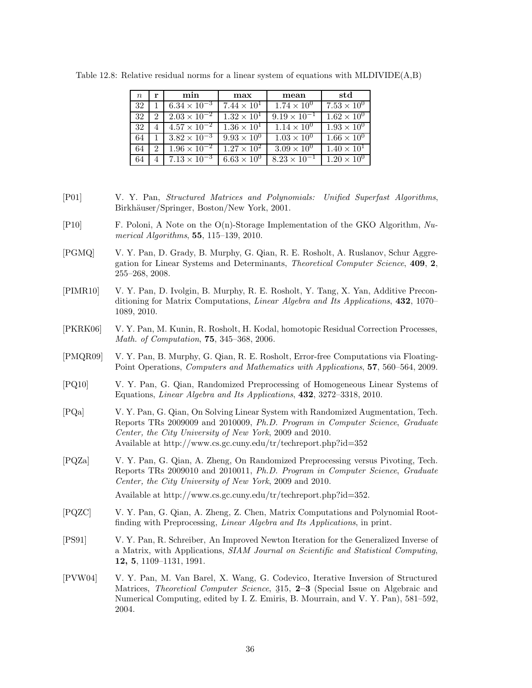| $n_{\rm c}$ | r                           | min                             | max                  | mean                  | std                  |
|-------------|-----------------------------|---------------------------------|----------------------|-----------------------|----------------------|
| 32          |                             | $6.34 \times 10^{-3}$           | $7.44 \times 10^{1}$ | $1.74 \times 10^{0}$  | $7.53 \times 10^{0}$ |
| 32          | $\mathcal{D}_{\mathcal{L}}$ | $2.03 \times 10^{-2}$           | $1.32 \times 10^{1}$ | $9.19 \times 10^{-1}$ | $1.62 \times 10^{0}$ |
| 32          |                             | $\frac{4.57 \times 10^{-2}}{2}$ | $1.36 \times 10^{1}$ | $1.14 \times 10^{0}$  | $1.93 \times 10^{0}$ |
| 64          |                             | $3.82 \times 10^{-3}$           | $9.93 \times 10^{0}$ | $1.03 \times 10^{0}$  | $1.66 \times 10^{0}$ |
| 64          | $\mathcal{D}_{\mathcal{L}}$ | $1.96 \times 10^{-2}$           | $1.27 \times 10^{2}$ | $3.09 \times 10^{0}$  | $1.40 \times 10^{1}$ |
|             |                             | $7.13 \times 10^{-3}$           | $6.63 \times 10^{0}$ | $8.23 \times 10^{-1}$ | $1.20 \times 10^{0}$ |

Table 12.8: Relative residual norms for a linear system of equations with MLDIVIDE(A,B)

- [P01] V. Y. Pan, *Structured Matrices and Polynomials: Unified Superfast Algorithms*, Birkhäuser/Springer, Boston/New York, 2001.
- [P10] F. Poloni, A Note on the O(n)-Storage Implementation of the GKO Algorithm, *Numerical Algorithms*, **55**, 115–139, 2010.
- [PGMQ] V. Y. Pan, D. Grady, B. Murphy, G. Qian, R. E. Rosholt, A. Ruslanov, Schur Aggregation for Linear Systems and Determinants, *Theoretical Computer Science*, **409**, **2**, 255–268, 2008.
- [PIMR10] V. Y. Pan, D. Ivolgin, B. Murphy, R. E. Rosholt, Y. Tang, X. Yan, Additive Preconditioning for Matrix Computations, *Linear Algebra and Its Applications*, **432**, 1070– 1089, 2010.
- [PKRK06] V. Y. Pan, M. Kunin, R. Rosholt, H. Kodal, homotopic Residual Correction Processes, *Math. of Computation*, **75**, 345–368, 2006.
- [PMQR09] V. Y. Pan, B. Murphy, G. Qian, R. E. Rosholt, Error-free Computations via Floating-Point Operations, *Computers and Mathematics with Applications*, **57**, 560–564, 2009.
- [PQ10] V. Y. Pan, G. Qian, Randomized Preprocessing of Homogeneous Linear Systems of Equations, *Linear Algebra and Its Applications*, **432**, 3272–3318, 2010.
- [PQa] V. Y. Pan, G. Qian, On Solving Linear System with Randomized Augmentation, Tech. Reports TRs 2009009 and 2010009, *Ph.D. Program in Computer Science*, *Graduate Center, the City University of New York*, 2009 and 2010. Available at http://www.cs.gc.cuny.edu/tr/techreport.php?id=352
- [PQZa] V. Y. Pan, G. Qian, A. Zheng, On Randomized Preprocessing versus Pivoting, Tech. Reports TRs 2009010 and 2010011, *Ph.D. Program in Computer Science*, *Graduate Center, the City University of New York*, 2009 and 2010.

Available at http://www.cs.gc.cuny.edu/tr/techreport.php?id=352.

- [PQZC] V. Y. Pan, G. Qian, A. Zheng, Z. Chen, Matrix Computations and Polynomial Rootfinding with Preprocessing, *Linear Algebra and Its Applications*, in print.
- [PS91] V. Y. Pan, R. Schreiber, An Improved Newton Iteration for the Generalized Inverse of a Matrix, with Applications, *SIAM Journal on Scientific and Statistical Computing*, **12, 5**, 1109–1131, 1991.
- [PVW04] V. Y. Pan, M. Van Barel, X. Wang, G. Codevico, Iterative Inversion of Structured Matrices, *Theoretical Computer Science*, 315, 2–3 (Special Issue on Algebraic and<br>Numerical Computing odited by L.Z. Emiris, B. Mourrain and V. V. Pan), 581–502 Numerical Computing, edited by I. Z. Emiris, B. Mourrain, and V. Y. Pan), 581–592, 2004.